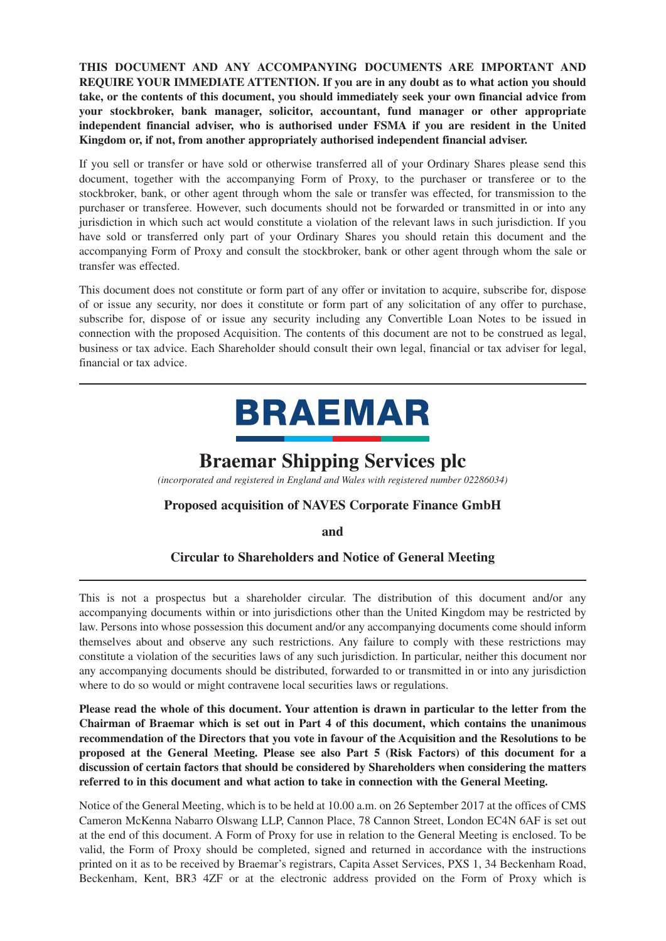**THIS DOCUMENT AND ANY ACCOMPANYING DOCUMENTS ARE IMPORTANT AND REQUIRE YOUR IMMEDIATE ATTENTION. If you are in any doubt as to what action you should take, or the contents of this document, you should immediately seek your own financial advice from your stockbroker, bank manager, solicitor, accountant, fund manager or other appropriate independent financial adviser, who is authorised under FSMA if you are resident in the United Kingdom or, if not, from another appropriately authorised independent financial adviser.**

If you sell or transfer or have sold or otherwise transferred all of your Ordinary Shares please send this document, together with the accompanying Form of Proxy, to the purchaser or transferee or to the stockbroker, bank, or other agent through whom the sale or transfer was effected, for transmission to the purchaser or transferee. However, such documents should not be forwarded or transmitted in or into any jurisdiction in which such act would constitute a violation of the relevant laws in such jurisdiction. If you have sold or transferred only part of your Ordinary Shares you should retain this document and the accompanying Form of Proxy and consult the stockbroker, bank or other agent through whom the sale or transfer was effected.

This document does not constitute or form part of any offer or invitation to acquire, subscribe for, dispose of or issue any security, nor does it constitute or form part of any solicitation of any offer to purchase, subscribe for, dispose of or issue any security including any Convertible Loan Notes to be issued in connection with the proposed Acquisition. The contents of this document are not to be construed as legal, business or tax advice. Each Shareholder should consult their own legal, financial or tax adviser for legal, financial or tax advice.

# **BRAEMAR**

# **Braemar Shipping Services plc**

*(incorporated and registered in England and Wales with registered number 02286034)*

### **Proposed acquisition of NAVES Corporate Finance GmbH**

**and**

### **Circular to Shareholders and Notice of General Meeting**

This is not a prospectus but a shareholder circular. The distribution of this document and/or any accompanying documents within or into jurisdictions other than the United Kingdom may be restricted by law. Persons into whose possession this document and/or any accompanying documents come should inform themselves about and observe any such restrictions. Any failure to comply with these restrictions may constitute a violation of the securities laws of any such jurisdiction. In particular, neither this document nor any accompanying documents should be distributed, forwarded to or transmitted in or into any jurisdiction where to do so would or might contravene local securities laws or regulations.

**Please read the whole of this document. Your attention is drawn in particular to the letter from the Chairman of Braemar which is set out in Part 4 of this document, which contains the unanimous recommendation of the Directors that you vote in favour of the Acquisition and the Resolutions to be proposed at the General Meeting. Please see also Part 5 (Risk Factors) of this document for a discussion of certain factors that should be considered by Shareholders when considering the matters referred to in this document and what action to take in connection with the General Meeting.**

Notice of the General Meeting, which is to be held at 10.00 a.m. on 26 September 2017 at the offices of CMS Cameron McKenna Nabarro Olswang LLP, Cannon Place, 78 Cannon Street, London EC4N 6AF is set out at the end of this document. A Form of Proxy for use in relation to the General Meeting is enclosed. To be valid, the Form of Proxy should be completed, signed and returned in accordance with the instructions printed on it as to be received by Braemar's registrars, Capita Asset Services, PXS 1, 34 Beckenham Road, Beckenham, Kent, BR3 4ZF or at the electronic address provided on the Form of Proxy which is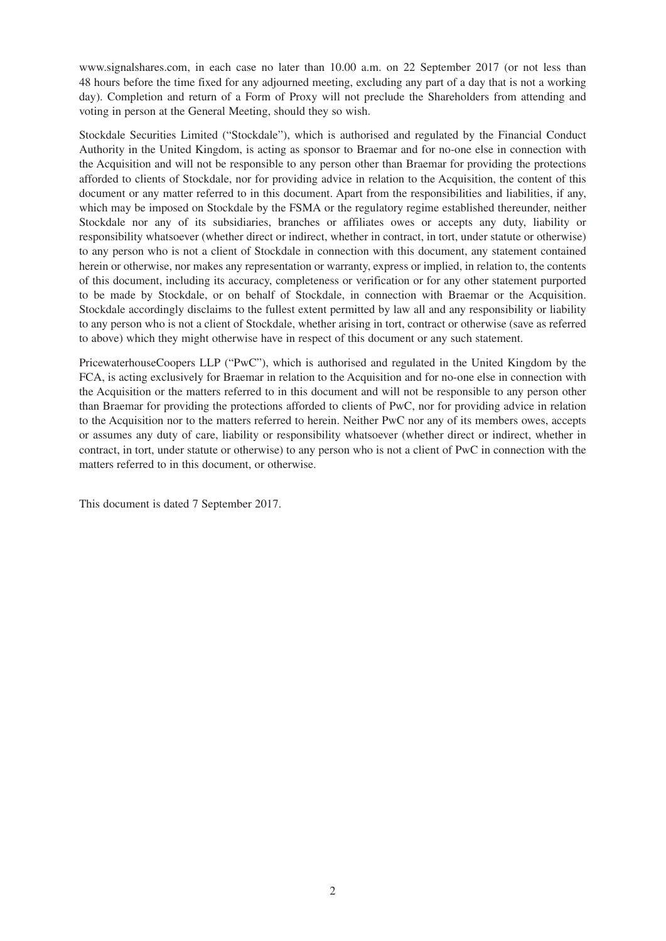www.signalshares.com, in each case no later than 10.00 a.m. on 22 September 2017 (or not less than 48 hours before the time fixed for any adjourned meeting, excluding any part of a day that is not a working day). Completion and return of a Form of Proxy will not preclude the Shareholders from attending and voting in person at the General Meeting, should they so wish.

Stockdale Securities Limited ("Stockdale"), which is authorised and regulated by the Financial Conduct Authority in the United Kingdom, is acting as sponsor to Braemar and for no-one else in connection with the Acquisition and will not be responsible to any person other than Braemar for providing the protections afforded to clients of Stockdale, nor for providing advice in relation to the Acquisition, the content of this document or any matter referred to in this document. Apart from the responsibilities and liabilities, if any, which may be imposed on Stockdale by the FSMA or the regulatory regime established thereunder, neither Stockdale nor any of its subsidiaries, branches or affiliates owes or accepts any duty, liability or responsibility whatsoever (whether direct or indirect, whether in contract, in tort, under statute or otherwise) to any person who is not a client of Stockdale in connection with this document, any statement contained herein or otherwise, nor makes any representation or warranty, express or implied, in relation to, the contents of this document, including its accuracy, completeness or verification or for any other statement purported to be made by Stockdale, or on behalf of Stockdale, in connection with Braemar or the Acquisition. Stockdale accordingly disclaims to the fullest extent permitted by law all and any responsibility or liability to any person who is not a client of Stockdale, whether arising in tort, contract or otherwise (save as referred to above) which they might otherwise have in respect of this document or any such statement.

PricewaterhouseCoopers LLP ("PwC"), which is authorised and regulated in the United Kingdom by the FCA, is acting exclusively for Braemar in relation to the Acquisition and for no-one else in connection with the Acquisition or the matters referred to in this document and will not be responsible to any person other than Braemar for providing the protections afforded to clients of PwC, nor for providing advice in relation to the Acquisition nor to the matters referred to herein. Neither PwC nor any of its members owes, accepts or assumes any duty of care, liability or responsibility whatsoever (whether direct or indirect, whether in contract, in tort, under statute or otherwise) to any person who is not a client of PwC in connection with the matters referred to in this document, or otherwise.

This document is dated 7 September 2017.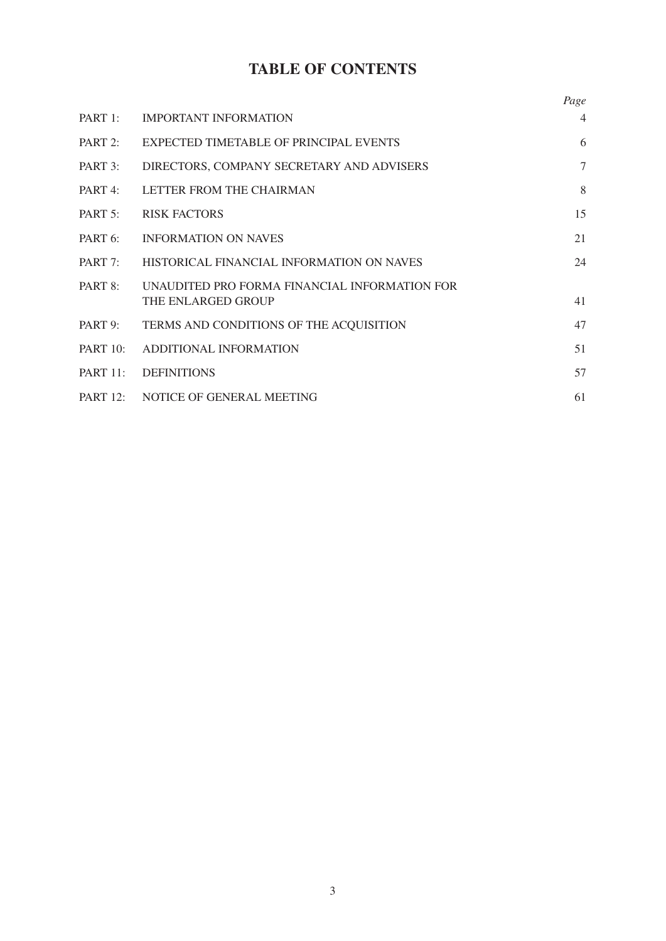# **TABLE OF CONTENTS**

|                 |                                                                     | Page           |
|-----------------|---------------------------------------------------------------------|----------------|
| PART 1:         | <b>IMPORTANT INFORMATION</b>                                        | $\overline{4}$ |
| PART 2:         | EXPECTED TIMETABLE OF PRINCIPAL EVENTS                              | 6              |
| PART 3:         | DIRECTORS, COMPANY SECRETARY AND ADVISERS                           | 7              |
| PART 4:         | LETTER FROM THE CHAIRMAN                                            | 8              |
|                 | PART 5: RISK FACTORS                                                | 15             |
| PART 6:         | <b>INFORMATION ON NAVES</b>                                         | 21             |
|                 | PART 7: HISTORICAL FINANCIAL INFORMATION ON NAVES                   | 24             |
| PART 8:         | UNAUDITED PRO FORMA FINANCIAL INFORMATION FOR<br>THE ENLARGED GROUP | 41             |
| PART 9:         | TERMS AND CONDITIONS OF THE ACQUISITION                             | 47             |
| <b>PART 10:</b> | ADDITIONAL INFORMATION                                              | 51             |
| <b>PART 11:</b> | <b>DEFINITIONS</b>                                                  | 57             |
|                 | PART 12: NOTICE OF GENERAL MEETING                                  | 61             |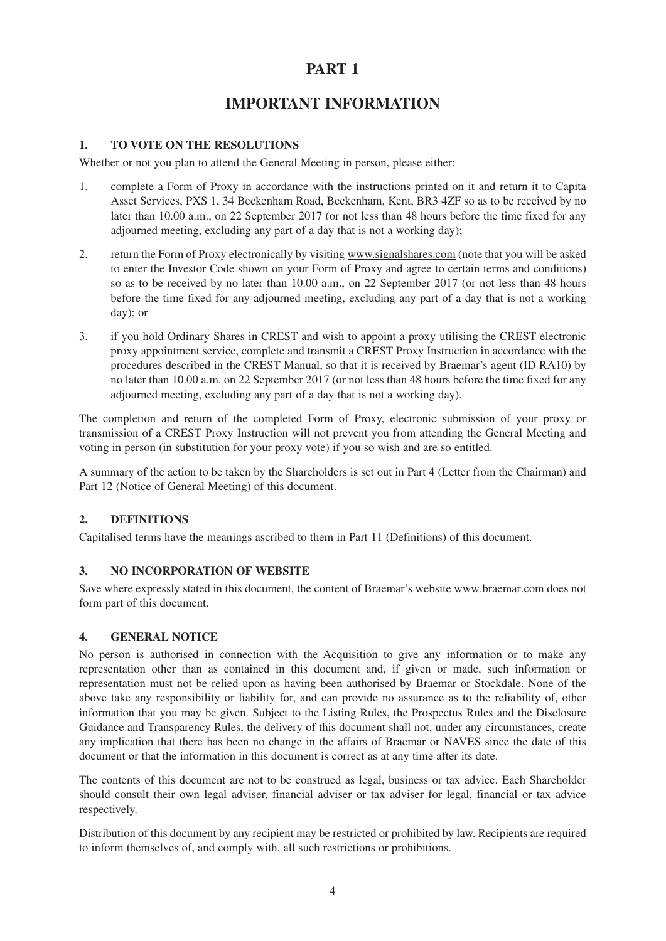# **IMPORTANT INFORMATION**

### **1. TO VOTE ON THE RESOLUTIONS**

Whether or not you plan to attend the General Meeting in person, please either:

- 1. complete a Form of Proxy in accordance with the instructions printed on it and return it to Capita Asset Services, PXS 1, 34 Beckenham Road, Beckenham, Kent, BR3 4ZF so as to be received by no later than 10.00 a.m., on 22 September 2017 (or not less than 48 hours before the time fixed for any adjourned meeting, excluding any part of a day that is not a working day);
- 2. return the Form of Proxy electronically by visiting www.signalshares.com (note that you will be asked to enter the Investor Code shown on your Form of Proxy and agree to certain terms and conditions) so as to be received by no later than 10.00 a.m., on 22 September 2017 (or not less than 48 hours before the time fixed for any adjourned meeting, excluding any part of a day that is not a working day); or
- 3. if you hold Ordinary Shares in CREST and wish to appoint a proxy utilising the CREST electronic proxy appointment service, complete and transmit a CREST Proxy Instruction in accordance with the procedures described in the CREST Manual, so that it is received by Braemar's agent (ID RA10) by no later than 10.00 a.m. on 22 September 2017 (or not less than 48 hours before the time fixed for any adjourned meeting, excluding any part of a day that is not a working day).

The completion and return of the completed Form of Proxy, electronic submission of your proxy or transmission of a CREST Proxy Instruction will not prevent you from attending the General Meeting and voting in person (in substitution for your proxy vote) if you so wish and are so entitled.

A summary of the action to be taken by the Shareholders is set out in Part 4 (Letter from the Chairman) and Part 12 (Notice of General Meeting) of this document.

### **2. DEFINITIONS**

Capitalised terms have the meanings ascribed to them in Part 11 (Definitions) of this document.

#### **3. NO INCORPORATION OF WEBSITE**

Save where expressly stated in this document, the content of Braemar's website www.braemar.com does not form part of this document.

#### **4. GENERAL NOTICE**

No person is authorised in connection with the Acquisition to give any information or to make any representation other than as contained in this document and, if given or made, such information or representation must not be relied upon as having been authorised by Braemar or Stockdale. None of the above take any responsibility or liability for, and can provide no assurance as to the reliability of, other information that you may be given. Subject to the Listing Rules, the Prospectus Rules and the Disclosure Guidance and Transparency Rules, the delivery of this document shall not, under any circumstances, create any implication that there has been no change in the affairs of Braemar or NAVES since the date of this document or that the information in this document is correct as at any time after its date.

The contents of this document are not to be construed as legal, business or tax advice. Each Shareholder should consult their own legal adviser, financial adviser or tax adviser for legal, financial or tax advice respectively.

Distribution of this document by any recipient may be restricted or prohibited by law. Recipients are required to inform themselves of, and comply with, all such restrictions or prohibitions.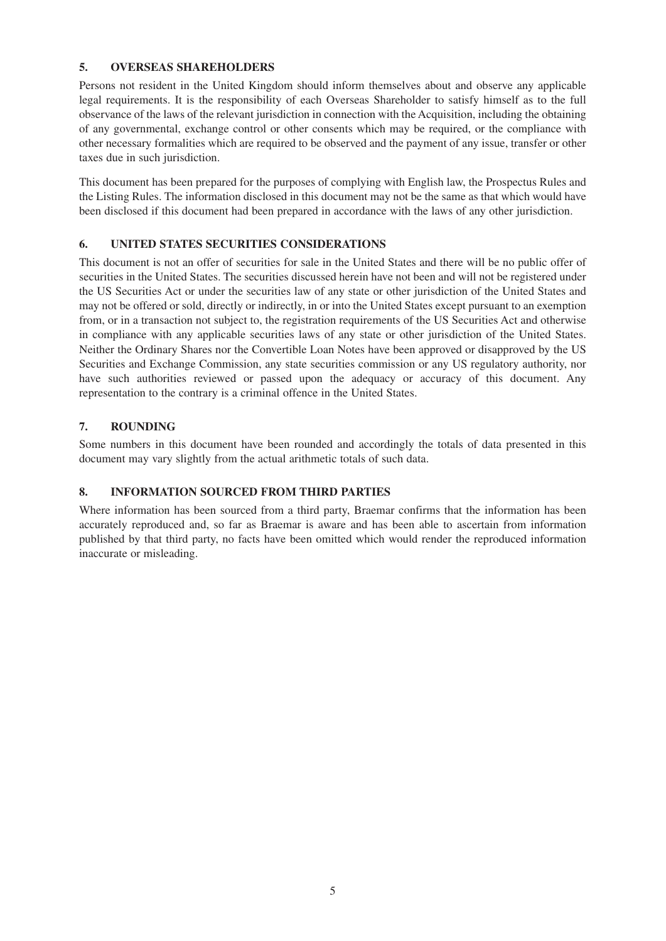#### **5. OVERSEAS SHAREHOLDERS**

Persons not resident in the United Kingdom should inform themselves about and observe any applicable legal requirements. It is the responsibility of each Overseas Shareholder to satisfy himself as to the full observance of the laws of the relevant jurisdiction in connection with the Acquisition, including the obtaining of any governmental, exchange control or other consents which may be required, or the compliance with other necessary formalities which are required to be observed and the payment of any issue, transfer or other taxes due in such jurisdiction.

This document has been prepared for the purposes of complying with English law, the Prospectus Rules and the Listing Rules. The information disclosed in this document may not be the same as that which would have been disclosed if this document had been prepared in accordance with the laws of any other jurisdiction.

#### **6. UNITED STATES SECURITIES CONSIDERATIONS**

This document is not an offer of securities for sale in the United States and there will be no public offer of securities in the United States. The securities discussed herein have not been and will not be registered under the US Securities Act or under the securities law of any state or other jurisdiction of the United States and may not be offered or sold, directly or indirectly, in or into the United States except pursuant to an exemption from, or in a transaction not subject to, the registration requirements of the US Securities Act and otherwise in compliance with any applicable securities laws of any state or other jurisdiction of the United States. Neither the Ordinary Shares nor the Convertible Loan Notes have been approved or disapproved by the US Securities and Exchange Commission, any state securities commission or any US regulatory authority, nor have such authorities reviewed or passed upon the adequacy or accuracy of this document. Any representation to the contrary is a criminal offence in the United States.

#### **7. ROUNDING**

Some numbers in this document have been rounded and accordingly the totals of data presented in this document may vary slightly from the actual arithmetic totals of such data.

### **8. INFORMATION SOURCED FROM THIRD PARTIES**

Where information has been sourced from a third party, Braemar confirms that the information has been accurately reproduced and, so far as Braemar is aware and has been able to ascertain from information published by that third party, no facts have been omitted which would render the reproduced information inaccurate or misleading.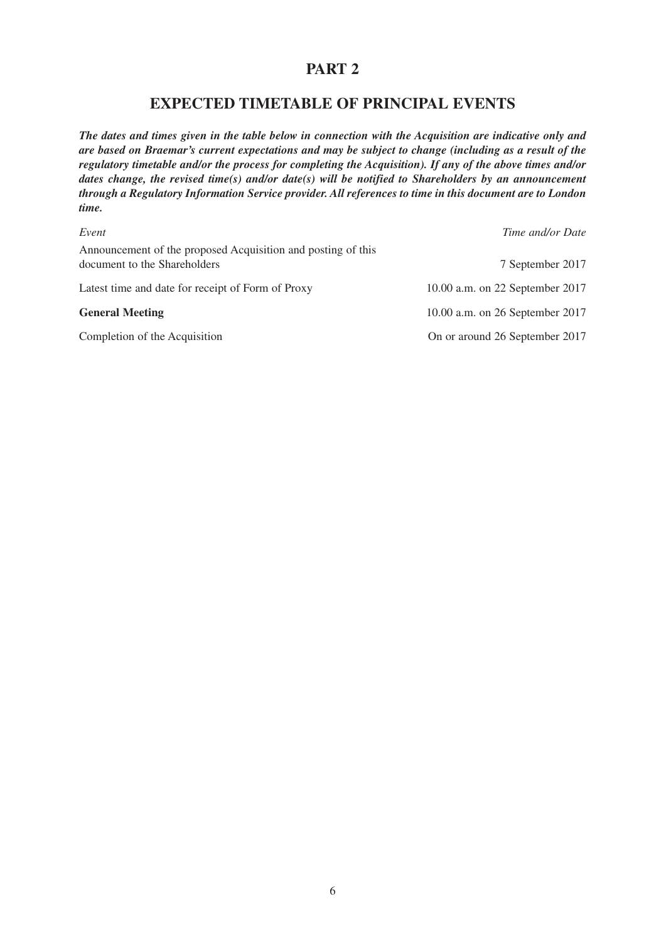# **EXPECTED TIMETABLE OF PRINCIPAL EVENTS**

*The dates and times given in the table below in connection with the Acquisition are indicative only and are based on Braemar's current expectations and may be subject to change (including as a result of the regulatory timetable and/or the process for completing the Acquisition). If any of the above times and/or dates change, the revised time(s) and/or date(s) will be notified to Shareholders by an announcement through a Regulatory Information Service provider. All references to time in this document are to London time.*

| Event                                                                                        | Time and/or Date                |
|----------------------------------------------------------------------------------------------|---------------------------------|
| Announcement of the proposed Acquisition and posting of this<br>document to the Shareholders | 7 September 2017                |
| Latest time and date for receipt of Form of Proxy                                            | 10.00 a.m. on 22 September 2017 |
| <b>General Meeting</b>                                                                       | 10.00 a.m. on 26 September 2017 |
| Completion of the Acquisition                                                                | On or around 26 September 2017  |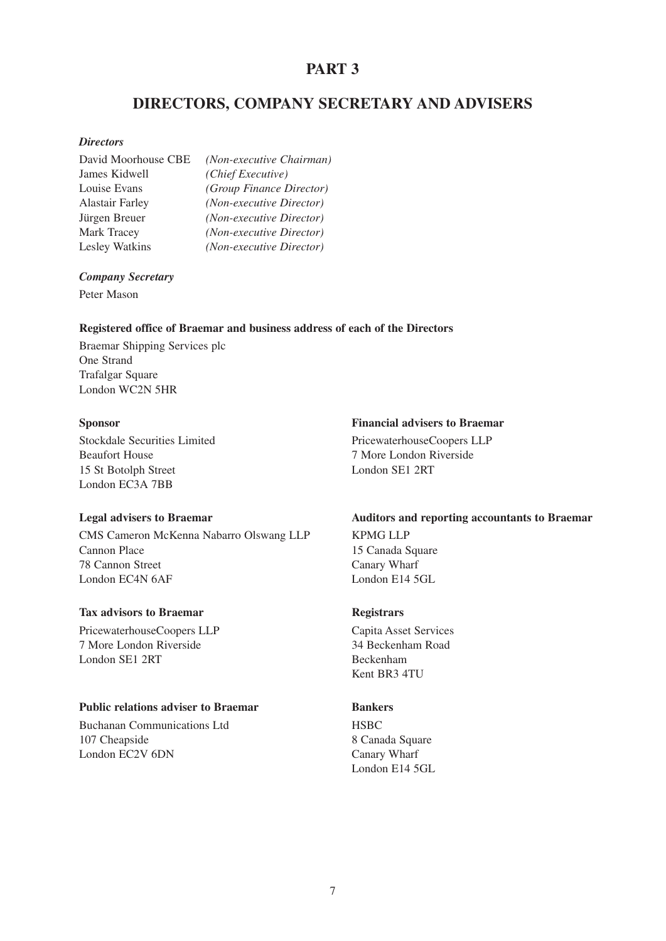# **DIRECTORS, COMPANY SECRETARY AND ADVISERS**

#### *Directors*

| David Moorhouse CBE    | (Non-executive Chairman) |
|------------------------|--------------------------|
| James Kidwell          | (Chief Executive)        |
| Louise Evans           | (Group Finance Director) |
| <b>Alastair Farley</b> | (Non-executive Director) |
| Jürgen Breuer          | (Non-executive Director) |
| <b>Mark Tracey</b>     | (Non-executive Director) |
| <b>Lesley Watkins</b>  | (Non-executive Director) |

#### *Company Secretary*

Peter Mason

#### **Registered office of Braemar and business address of each of the Directors**

Braemar Shipping Services plc One Strand Trafalgar Square London WC2N 5HR

Stockdale Securities Limited PricewaterhouseCoopers LLP Beaufort House 7 More London Riverside 15 St Botolph Street London SE1 2RT London EC3A 7BB

CMS Cameron McKenna Nabarro Olswang LLP KPMG LLP Cannon Place 15 Canada Square 78 Cannon Street Canary Wharf London EC4N 6AF London E14 5GL

#### **Tax advisors to Braemar** Registrars

PricewaterhouseCoopers LLP Capita Asset Services 7 More London Riverside 34 Beckenham Road London SE1 2RT Beckenham

#### **Public relations adviser to Braemar Bankers**

Buchanan Communications Ltd HSBC 107 Cheapside 8 Canada Square London EC2V 6DN Canary Wharf

#### **Sponsor Financial advisers to Braemar**

#### **Legal advisers to Braemar Auditors and reporting accountants to Braemar**

Kent BR3 4TU

London E14 5GL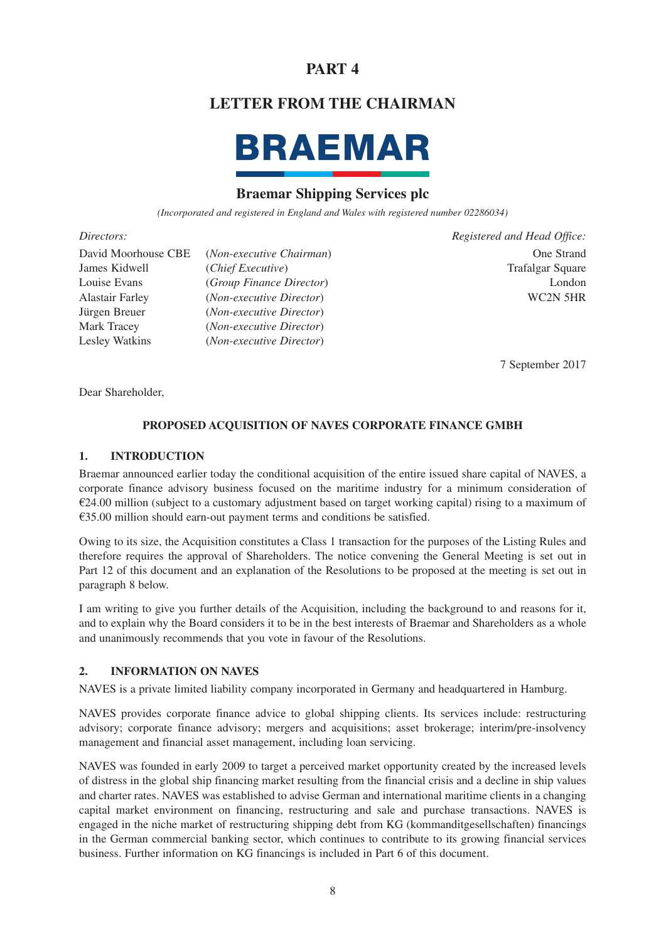# **LETTER FROM THE CHAIRMAN**



# **Braemar Shipping Services plc**

*(Incorporated and registered in England and Wales with registered number 02286034)*

| David Moorhouse CBE    | (Non-executive Chairman)   | One Strand              |
|------------------------|----------------------------|-------------------------|
| James Kidwell          | ( <i>Chief Executive</i> ) | <b>Trafalgar Square</b> |
| Louise Evans           | (Group Finance Director)   | London                  |
| <b>Alastair Farley</b> | (Non-executive Director)   | WC2N 5HR                |
| Jürgen Breuer          | (Non-executive Director)   |                         |
| Mark Tracey            | (Non-executive Director)   |                         |
| Lesley Watkins         | (Non-executive Director)   |                         |

*Directors: Registered and Head Office:*

7 September 2017

Dear Shareholder,

### **PROPOSED ACQUISITION OF NAVES CORPORATE FINANCE GMBH**

#### **1. INTRODUCTION**

Braemar announced earlier today the conditional acquisition of the entire issued share capital of NAVES, a corporate finance advisory business focused on the maritime industry for a minimum consideration of  $€24.00$  million (subject to a customary adjustment based on target working capital) rising to a maximum of €35.00 million should earn-out payment terms and conditions be satisfied.

Owing to its size, the Acquisition constitutes a Class 1 transaction for the purposes of the Listing Rules and therefore requires the approval of Shareholders. The notice convening the General Meeting is set out in Part 12 of this document and an explanation of the Resolutions to be proposed at the meeting is set out in paragraph 8 below.

I am writing to give you further details of the Acquisition, including the background to and reasons for it, and to explain why the Board considers it to be in the best interests of Braemar and Shareholders as a whole and unanimously recommends that you vote in favour of the Resolutions.

#### **2. INFORMATION ON NAVES**

NAVES is a private limited liability company incorporated in Germany and headquartered in Hamburg.

NAVES provides corporate finance advice to global shipping clients. Its services include: restructuring advisory; corporate finance advisory; mergers and acquisitions; asset brokerage; interim/pre-insolvency management and financial asset management, including loan servicing.

NAVES was founded in early 2009 to target a perceived market opportunity created by the increased levels of distress in the global ship financing market resulting from the financial crisis and a decline in ship values and charter rates. NAVES was established to advise German and international maritime clients in a changing capital market environment on financing, restructuring and sale and purchase transactions. NAVES is engaged in the niche market of restructuring shipping debt from KG (kommanditgesellschaften) financings in the German commercial banking sector, which continues to contribute to its growing financial services business. Further information on KG financings is included in Part 6 of this document.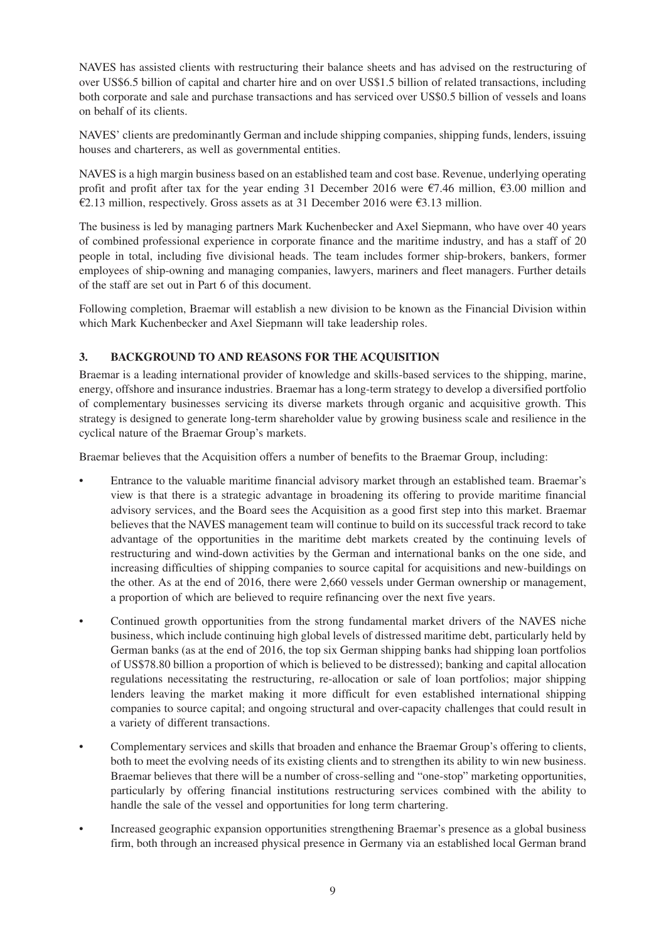NAVES has assisted clients with restructuring their balance sheets and has advised on the restructuring of over US\$6.5 billion of capital and charter hire and on over US\$1.5 billion of related transactions, including both corporate and sale and purchase transactions and has serviced over US\$0.5 billion of vessels and loans on behalf of its clients.

NAVES' clients are predominantly German and include shipping companies, shipping funds, lenders, issuing houses and charterers, as well as governmental entities.

NAVES is a high margin business based on an established team and cost base. Revenue, underlying operating profit and profit after tax for the year ending 31 December 2016 were  $\epsilon$ 7.46 million,  $\epsilon$ 3.00 million and €2.13 million, respectively. Gross assets as at 31 December 2016 were  $€3.13$  million.

The business is led by managing partners Mark Kuchenbecker and Axel Siepmann, who have over 40 years of combined professional experience in corporate finance and the maritime industry, and has a staff of 20 people in total, including five divisional heads. The team includes former ship-brokers, bankers, former employees of ship-owning and managing companies, lawyers, mariners and fleet managers. Further details of the staff are set out in Part 6 of this document.

Following completion, Braemar will establish a new division to be known as the Financial Division within which Mark Kuchenbecker and Axel Siepmann will take leadership roles.

### **3. BACKGROUND TO AND REASONS FOR THE ACQUISITION**

Braemar is a leading international provider of knowledge and skills-based services to the shipping, marine, energy, offshore and insurance industries. Braemar has a long-term strategy to develop a diversified portfolio of complementary businesses servicing its diverse markets through organic and acquisitive growth. This strategy is designed to generate long-term shareholder value by growing business scale and resilience in the cyclical nature of the Braemar Group's markets.

Braemar believes that the Acquisition offers a number of benefits to the Braemar Group, including:

- Entrance to the valuable maritime financial advisory market through an established team. Braemar's view is that there is a strategic advantage in broadening its offering to provide maritime financial advisory services, and the Board sees the Acquisition as a good first step into this market. Braemar believes that the NAVES management team will continue to build on its successful track record to take advantage of the opportunities in the maritime debt markets created by the continuing levels of restructuring and wind-down activities by the German and international banks on the one side, and increasing difficulties of shipping companies to source capital for acquisitions and new-buildings on the other. As at the end of 2016, there were 2,660 vessels under German ownership or management, a proportion of which are believed to require refinancing over the next five years.
- Continued growth opportunities from the strong fundamental market drivers of the NAVES niche business, which include continuing high global levels of distressed maritime debt, particularly held by German banks (as at the end of 2016, the top six German shipping banks had shipping loan portfolios of US\$78.80 billion a proportion of which is believed to be distressed); banking and capital allocation regulations necessitating the restructuring, re-allocation or sale of loan portfolios; major shipping lenders leaving the market making it more difficult for even established international shipping companies to source capital; and ongoing structural and over-capacity challenges that could result in a variety of different transactions.
- Complementary services and skills that broaden and enhance the Braemar Group's offering to clients, both to meet the evolving needs of its existing clients and to strengthen its ability to win new business. Braemar believes that there will be a number of cross-selling and "one-stop" marketing opportunities, particularly by offering financial institutions restructuring services combined with the ability to handle the sale of the vessel and opportunities for long term chartering.
- Increased geographic expansion opportunities strengthening Braemar's presence as a global business firm, both through an increased physical presence in Germany via an established local German brand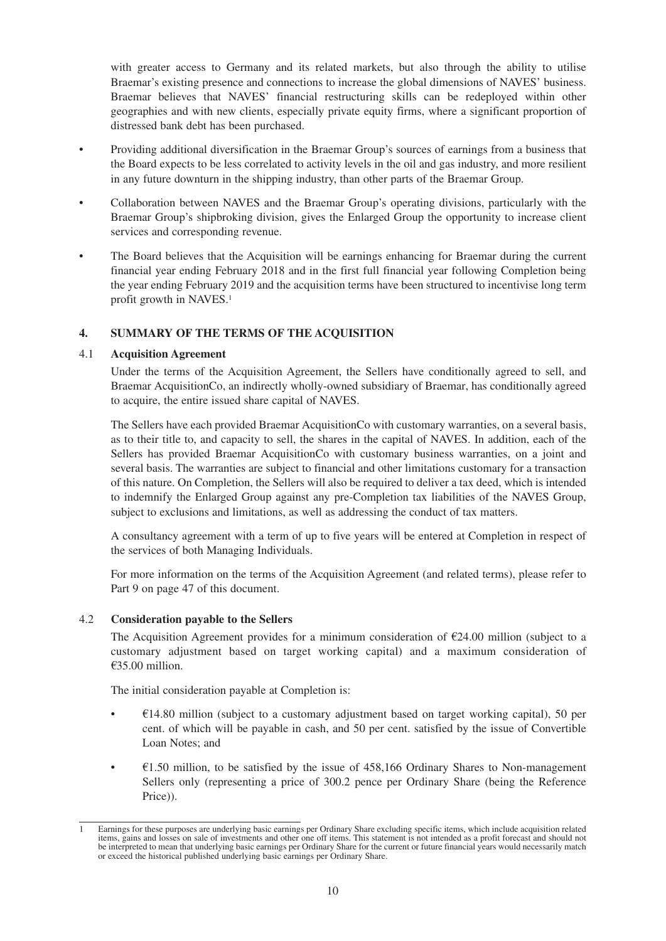with greater access to Germany and its related markets, but also through the ability to utilise Braemar's existing presence and connections to increase the global dimensions of NAVES' business. Braemar believes that NAVES' financial restructuring skills can be redeployed within other geographies and with new clients, especially private equity firms, where a significant proportion of distressed bank debt has been purchased.

- Providing additional diversification in the Braemar Group's sources of earnings from a business that the Board expects to be less correlated to activity levels in the oil and gas industry, and more resilient in any future downturn in the shipping industry, than other parts of the Braemar Group.
- Collaboration between NAVES and the Braemar Group's operating divisions, particularly with the Braemar Group's shipbroking division, gives the Enlarged Group the opportunity to increase client services and corresponding revenue.
- The Board believes that the Acquisition will be earnings enhancing for Braemar during the current financial year ending February 2018 and in the first full financial year following Completion being the year ending February 2019 and the acquisition terms have been structured to incentivise long term profit growth in NAVES.1

#### **4. SUMMARY OF THE TERMS OF THE ACQUISITION**

#### 4.1 **Acquisition Agreement**

Under the terms of the Acquisition Agreement, the Sellers have conditionally agreed to sell, and Braemar AcquisitionCo, an indirectly wholly-owned subsidiary of Braemar, has conditionally agreed to acquire, the entire issued share capital of NAVES.

The Sellers have each provided Braemar AcquisitionCo with customary warranties, on a several basis, as to their title to, and capacity to sell, the shares in the capital of NAVES. In addition, each of the Sellers has provided Braemar AcquisitionCo with customary business warranties, on a joint and several basis. The warranties are subject to financial and other limitations customary for a transaction of this nature. On Completion, the Sellers will also be required to deliver a tax deed, which is intended to indemnify the Enlarged Group against any pre-Completion tax liabilities of the NAVES Group, subject to exclusions and limitations, as well as addressing the conduct of tax matters.

A consultancy agreement with a term of up to five years will be entered at Completion in respect of the services of both Managing Individuals.

For more information on the terms of the Acquisition Agreement (and related terms), please refer to Part 9 on page 47 of this document.

#### 4.2 **Consideration payable to the Sellers**

The Acquisition Agreement provides for a minimum consideration of  $\epsilon$ 24.00 million (subject to a customary adjustment based on target working capital) and a maximum consideration of €35.00 million.

The initial consideration payable at Completion is:

- $£14.80$  million (subject to a customary adjustment based on target working capital), 50 per cent. of which will be payable in cash, and 50 per cent. satisfied by the issue of Convertible Loan Notes; and
- $\cdot$   $\epsilon$ 1.50 million, to be satisfied by the issue of 458,166 Ordinary Shares to Non-management Sellers only (representing a price of 300.2 pence per Ordinary Share (being the Reference Price)).

<sup>1</sup> Earnings for these purposes are underlying basic earnings per Ordinary Share excluding specific items, which include acquisition related Earlings for these purposes are underlying easie earlings per examing since electronic operations, gains and losses on sale of investments and other one off items. This statement is not intended as a profit forecast and sh be interpreted to mean that underlying basic earnings per Ordinary Share for the current or future financial years would necessarily match or exceed the historical published underlying basic earnings per Ordinary Share.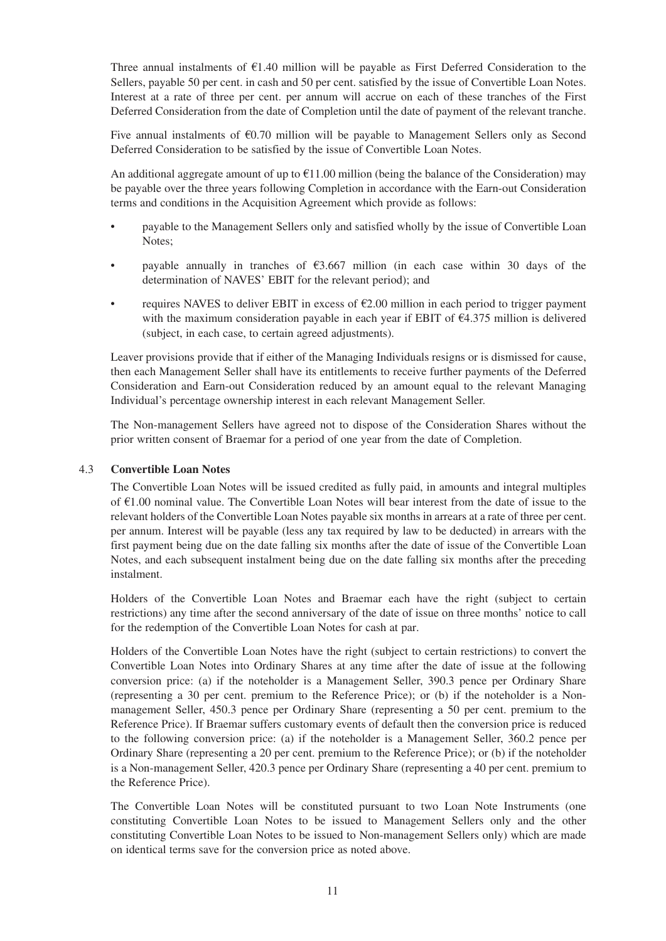Three annual instalments of  $E1.40$  million will be payable as First Deferred Consideration to the Sellers, payable 50 per cent. in cash and 50 per cent. satisfied by the issue of Convertible Loan Notes. Interest at a rate of three per cent. per annum will accrue on each of these tranches of the First Deferred Consideration from the date of Completion until the date of payment of the relevant tranche.

Five annual instalments of  $E$ 0.70 million will be payable to Management Sellers only as Second Deferred Consideration to be satisfied by the issue of Convertible Loan Notes.

An additional aggregate amount of up to  $\epsilon$ 11.00 million (being the balance of the Consideration) may be payable over the three years following Completion in accordance with the Earn-out Consideration terms and conditions in the Acquisition Agreement which provide as follows:

- payable to the Management Sellers only and satisfied wholly by the issue of Convertible Loan Notes;
- payable annually in tranches of  $\epsilon$ 3.667 million (in each case within 30 days of the determination of NAVES' EBIT for the relevant period); and
- requires NAVES to deliver EBIT in excess of  $\epsilon$ 2.00 million in each period to trigger payment with the maximum consideration payable in each year if EBIT of €4.375 million is delivered (subject, in each case, to certain agreed adjustments).

Leaver provisions provide that if either of the Managing Individuals resigns or is dismissed for cause, then each Management Seller shall have its entitlements to receive further payments of the Deferred Consideration and Earn-out Consideration reduced by an amount equal to the relevant Managing Individual's percentage ownership interest in each relevant Management Seller.

The Non-management Sellers have agreed not to dispose of the Consideration Shares without the prior written consent of Braemar for a period of one year from the date of Completion.

#### 4.3 **Convertible Loan Notes**

The Convertible Loan Notes will be issued credited as fully paid, in amounts and integral multiples of €1.00 nominal value. The Convertible Loan Notes will bear interest from the date of issue to the relevant holders of the Convertible Loan Notes payable six months in arrears at a rate of three per cent. per annum. Interest will be payable (less any tax required by law to be deducted) in arrears with the first payment being due on the date falling six months after the date of issue of the Convertible Loan Notes, and each subsequent instalment being due on the date falling six months after the preceding instalment.

Holders of the Convertible Loan Notes and Braemar each have the right (subject to certain restrictions) any time after the second anniversary of the date of issue on three months' notice to call for the redemption of the Convertible Loan Notes for cash at par.

Holders of the Convertible Loan Notes have the right (subject to certain restrictions) to convert the Convertible Loan Notes into Ordinary Shares at any time after the date of issue at the following conversion price: (a) if the noteholder is a Management Seller, 390.3 pence per Ordinary Share (representing a 30 per cent. premium to the Reference Price); or (b) if the noteholder is a Nonmanagement Seller, 450.3 pence per Ordinary Share (representing a 50 per cent. premium to the Reference Price). If Braemar suffers customary events of default then the conversion price is reduced to the following conversion price: (a) if the noteholder is a Management Seller, 360.2 pence per Ordinary Share (representing a 20 per cent. premium to the Reference Price); or (b) if the noteholder is a Non-management Seller, 420.3 pence per Ordinary Share (representing a 40 per cent. premium to the Reference Price).

The Convertible Loan Notes will be constituted pursuant to two Loan Note Instruments (one constituting Convertible Loan Notes to be issued to Management Sellers only and the other constituting Convertible Loan Notes to be issued to Non-management Sellers only) which are made on identical terms save for the conversion price as noted above.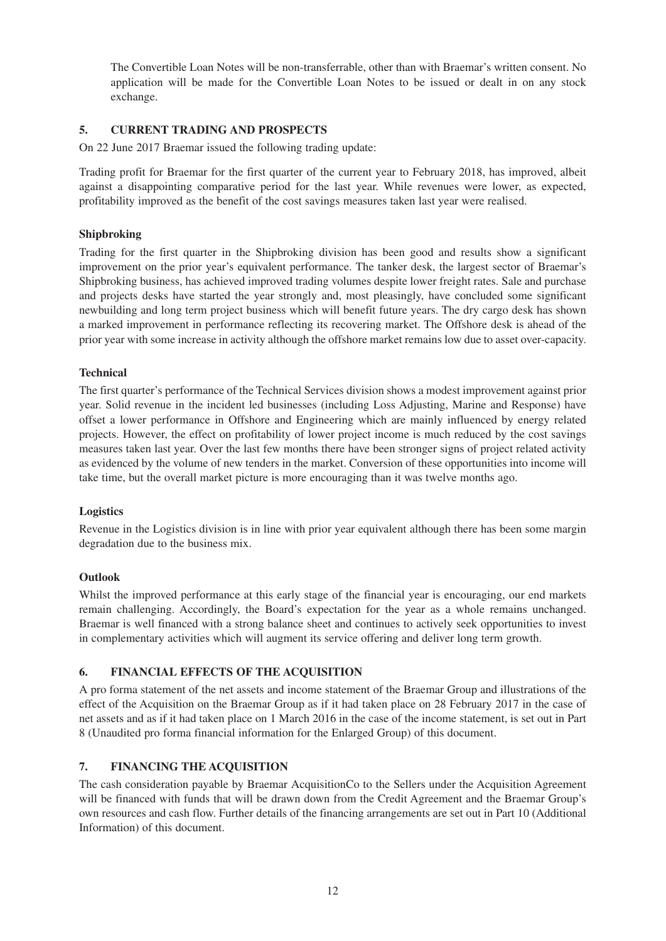The Convertible Loan Notes will be non-transferrable, other than with Braemar's written consent. No application will be made for the Convertible Loan Notes to be issued or dealt in on any stock exchange.

#### **5. CURRENT TRADING AND PROSPECTS**

On 22 June 2017 Braemar issued the following trading update:

Trading profit for Braemar for the first quarter of the current year to February 2018, has improved, albeit against a disappointing comparative period for the last year. While revenues were lower, as expected, profitability improved as the benefit of the cost savings measures taken last year were realised.

#### **Shipbroking**

Trading for the first quarter in the Shipbroking division has been good and results show a significant improvement on the prior year's equivalent performance. The tanker desk, the largest sector of Braemar's Shipbroking business, has achieved improved trading volumes despite lower freight rates. Sale and purchase and projects desks have started the year strongly and, most pleasingly, have concluded some significant newbuilding and long term project business which will benefit future years. The dry cargo desk has shown a marked improvement in performance reflecting its recovering market. The Offshore desk is ahead of the prior year with some increase in activity although the offshore market remains low due to asset over-capacity.

#### **Technical**

The first quarter's performance of the Technical Services division shows a modest improvement against prior year. Solid revenue in the incident led businesses (including Loss Adjusting, Marine and Response) have offset a lower performance in Offshore and Engineering which are mainly influenced by energy related projects. However, the effect on profitability of lower project income is much reduced by the cost savings measures taken last year. Over the last few months there have been stronger signs of project related activity as evidenced by the volume of new tenders in the market. Conversion of these opportunities into income will take time, but the overall market picture is more encouraging than it was twelve months ago.

#### **Logistics**

Revenue in the Logistics division is in line with prior year equivalent although there has been some margin degradation due to the business mix.

#### **Outlook**

Whilst the improved performance at this early stage of the financial year is encouraging, our end markets remain challenging. Accordingly, the Board's expectation for the year as a whole remains unchanged. Braemar is well financed with a strong balance sheet and continues to actively seek opportunities to invest in complementary activities which will augment its service offering and deliver long term growth.

#### **6. FINANCIAL EFFECTS OF THE ACQUISITION**

A pro forma statement of the net assets and income statement of the Braemar Group and illustrations of the effect of the Acquisition on the Braemar Group as if it had taken place on 28 February 2017 in the case of net assets and as if it had taken place on 1 March 2016 in the case of the income statement, is set out in Part 8 (Unaudited pro forma financial information for the Enlarged Group) of this document.

#### **7. FINANCING THE ACQUISITION**

The cash consideration payable by Braemar AcquisitionCo to the Sellers under the Acquisition Agreement will be financed with funds that will be drawn down from the Credit Agreement and the Braemar Group's own resources and cash flow. Further details of the financing arrangements are set out in Part 10 (Additional Information) of this document.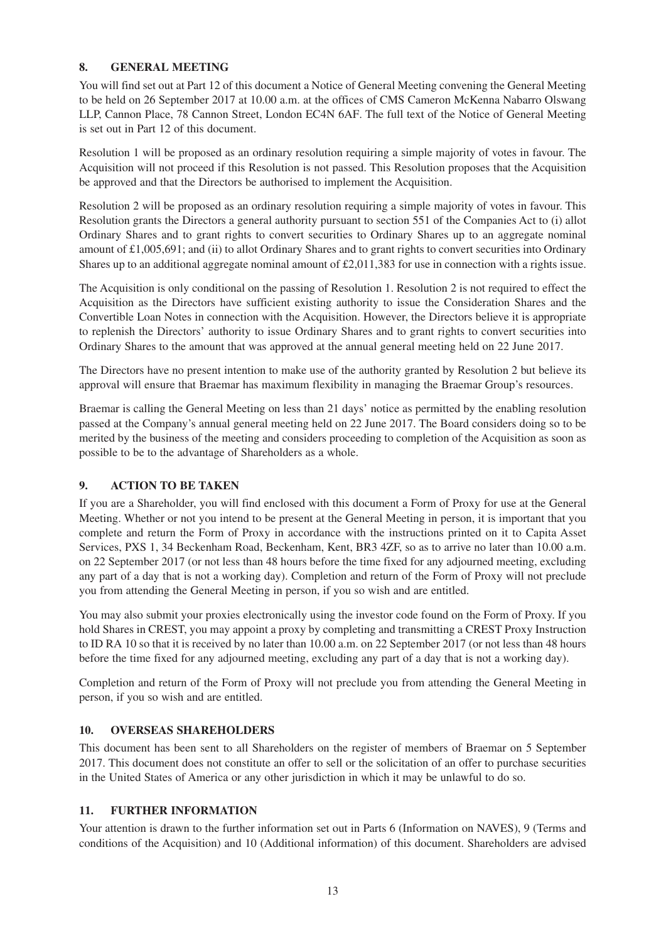#### **8. GENERAL MEETING**

You will find set out at Part 12 of this document a Notice of General Meeting convening the General Meeting to be held on 26 September 2017 at 10.00 a.m. at the offices of CMS Cameron McKenna Nabarro Olswang LLP, Cannon Place, 78 Cannon Street, London EC4N 6AF. The full text of the Notice of General Meeting is set out in Part 12 of this document.

Resolution 1 will be proposed as an ordinary resolution requiring a simple majority of votes in favour. The Acquisition will not proceed if this Resolution is not passed. This Resolution proposes that the Acquisition be approved and that the Directors be authorised to implement the Acquisition.

Resolution 2 will be proposed as an ordinary resolution requiring a simple majority of votes in favour. This Resolution grants the Directors a general authority pursuant to section 551 of the Companies Act to (i) allot Ordinary Shares and to grant rights to convert securities to Ordinary Shares up to an aggregate nominal amount of £1,005,691; and (ii) to allot Ordinary Shares and to grant rights to convert securities into Ordinary Shares up to an additional aggregate nominal amount of £2,011,383 for use in connection with a rights issue.

The Acquisition is only conditional on the passing of Resolution 1. Resolution 2 is not required to effect the Acquisition as the Directors have sufficient existing authority to issue the Consideration Shares and the Convertible Loan Notes in connection with the Acquisition. However, the Directors believe it is appropriate to replenish the Directors' authority to issue Ordinary Shares and to grant rights to convert securities into Ordinary Shares to the amount that was approved at the annual general meeting held on 22 June 2017.

The Directors have no present intention to make use of the authority granted by Resolution 2 but believe its approval will ensure that Braemar has maximum flexibility in managing the Braemar Group's resources.

Braemar is calling the General Meeting on less than 21 days' notice as permitted by the enabling resolution passed at the Company's annual general meeting held on 22 June 2017. The Board considers doing so to be merited by the business of the meeting and considers proceeding to completion of the Acquisition as soon as possible to be to the advantage of Shareholders as a whole.

### **9. ACTION TO BE TAKEN**

If you are a Shareholder, you will find enclosed with this document a Form of Proxy for use at the General Meeting. Whether or not you intend to be present at the General Meeting in person, it is important that you complete and return the Form of Proxy in accordance with the instructions printed on it to Capita Asset Services, PXS 1, 34 Beckenham Road, Beckenham, Kent, BR3 4ZF, so as to arrive no later than 10.00 a.m. on 22 September 2017 (or not less than 48 hours before the time fixed for any adjourned meeting, excluding any part of a day that is not a working day). Completion and return of the Form of Proxy will not preclude you from attending the General Meeting in person, if you so wish and are entitled.

You may also submit your proxies electronically using the investor code found on the Form of Proxy. If you hold Shares in CREST, you may appoint a proxy by completing and transmitting a CREST Proxy Instruction to ID RA 10 so that it is received by no later than 10.00 a.m. on 22 September 2017 (or not less than 48 hours before the time fixed for any adjourned meeting, excluding any part of a day that is not a working day).

Completion and return of the Form of Proxy will not preclude you from attending the General Meeting in person, if you so wish and are entitled.

#### **10. OVERSEAS SHAREHOLDERS**

This document has been sent to all Shareholders on the register of members of Braemar on 5 September 2017. This document does not constitute an offer to sell or the solicitation of an offer to purchase securities in the United States of America or any other jurisdiction in which it may be unlawful to do so.

### **11. FURTHER INFORMATION**

Your attention is drawn to the further information set out in Parts 6 (Information on NAVES), 9 (Terms and conditions of the Acquisition) and 10 (Additional information) of this document. Shareholders are advised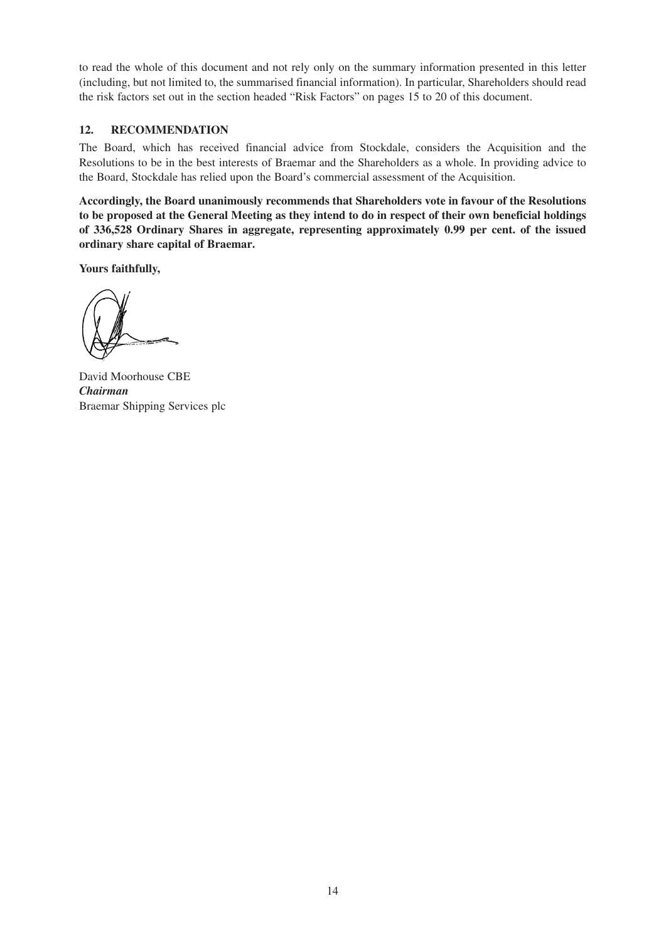to read the whole of this document and not rely only on the summary information presented in this letter (including, but not limited to, the summarised financial information). In particular, Shareholders should read the risk factors set out in the section headed "Risk Factors" on pages 15 to 20 of this document.

#### **12. RECOMMENDATION**

The Board, which has received financial advice from Stockdale, considers the Acquisition and the Resolutions to be in the best interests of Braemar and the Shareholders as a whole. In providing advice to the Board, Stockdale has relied upon the Board's commercial assessment of the Acquisition.

**Accordingly, the Board unanimously recommends that Shareholders vote in favour of the Resolutions to be proposed at the General Meeting as they intend to do in respect of their own beneficial holdings of 336,528 Ordinary Shares in aggregate, representing approximately 0.99 per cent. of the issued ordinary share capital of Braemar.**

**Yours faithfully,**

David Moorhouse CBE *Chairman* Braemar Shipping Services plc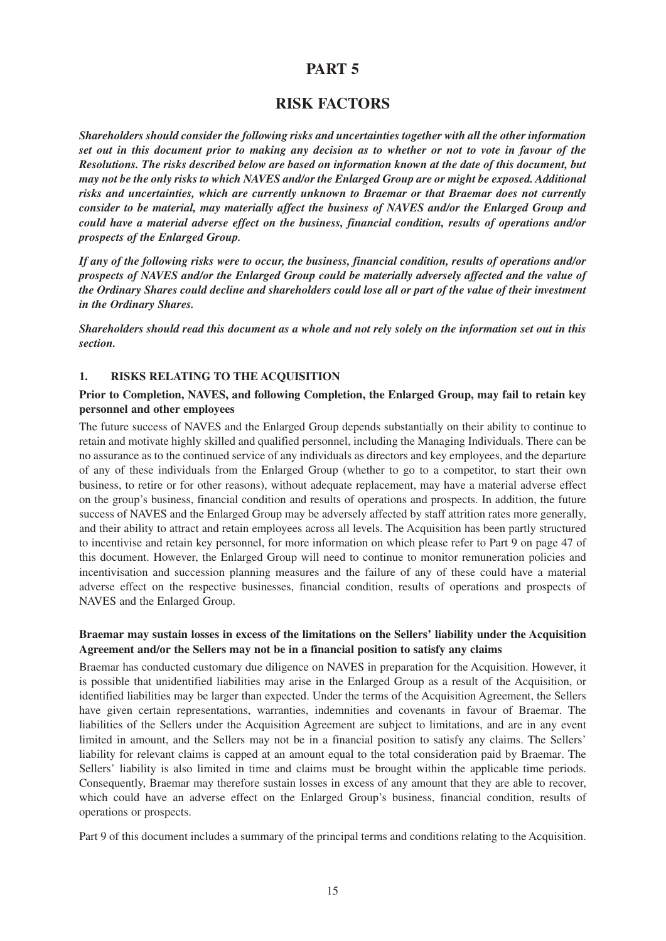### **RISK FACTORS**

*Shareholders should consider the following risks and uncertainties together with all the other information set out in this document prior to making any decision as to whether or not to vote in favour of the Resolutions. The risks described below are based on information known at the date of this document, but may not be the only risks to which NAVES and/or the Enlarged Group are or might be exposed. Additional risks and uncertainties, which are currently unknown to Braemar or that Braemar does not currently consider to be material, may materially affect the business of NAVES and/or the Enlarged Group and could have a material adverse effect on the business, financial condition, results of operations and/or prospects of the Enlarged Group.*

*If any of the following risks were to occur, the business, financial condition, results of operations and/or prospects of NAVES and/or the Enlarged Group could be materially adversely affected and the value of the Ordinary Shares could decline and shareholders could lose all or part of the value of their investment in the Ordinary Shares.*

*Shareholders should read this document as a whole and not rely solely on the information set out in this section.*

#### **1. RISKS RELATING TO THE ACQUISITION**

#### **Prior to Completion, NAVES, and following Completion, the Enlarged Group, may fail to retain key personnel and other employees**

The future success of NAVES and the Enlarged Group depends substantially on their ability to continue to retain and motivate highly skilled and qualified personnel, including the Managing Individuals. There can be no assurance as to the continued service of any individuals as directors and key employees, and the departure of any of these individuals from the Enlarged Group (whether to go to a competitor, to start their own business, to retire or for other reasons), without adequate replacement, may have a material adverse effect on the group's business, financial condition and results of operations and prospects. In addition, the future success of NAVES and the Enlarged Group may be adversely affected by staff attrition rates more generally, and their ability to attract and retain employees across all levels. The Acquisition has been partly structured to incentivise and retain key personnel, for more information on which please refer to Part 9 on page 47 of this document. However, the Enlarged Group will need to continue to monitor remuneration policies and incentivisation and succession planning measures and the failure of any of these could have a material adverse effect on the respective businesses, financial condition, results of operations and prospects of NAVES and the Enlarged Group.

#### **Braemar may sustain losses in excess of the limitations on the Sellers' liability under the Acquisition Agreement and/or the Sellers may not be in a financial position to satisfy any claims**

Braemar has conducted customary due diligence on NAVES in preparation for the Acquisition. However, it is possible that unidentified liabilities may arise in the Enlarged Group as a result of the Acquisition, or identified liabilities may be larger than expected. Under the terms of the Acquisition Agreement, the Sellers have given certain representations, warranties, indemnities and covenants in favour of Braemar. The liabilities of the Sellers under the Acquisition Agreement are subject to limitations, and are in any event limited in amount, and the Sellers may not be in a financial position to satisfy any claims. The Sellers' liability for relevant claims is capped at an amount equal to the total consideration paid by Braemar. The Sellers' liability is also limited in time and claims must be brought within the applicable time periods. Consequently, Braemar may therefore sustain losses in excess of any amount that they are able to recover, which could have an adverse effect on the Enlarged Group's business, financial condition, results of operations or prospects.

Part 9 of this document includes a summary of the principal terms and conditions relating to the Acquisition.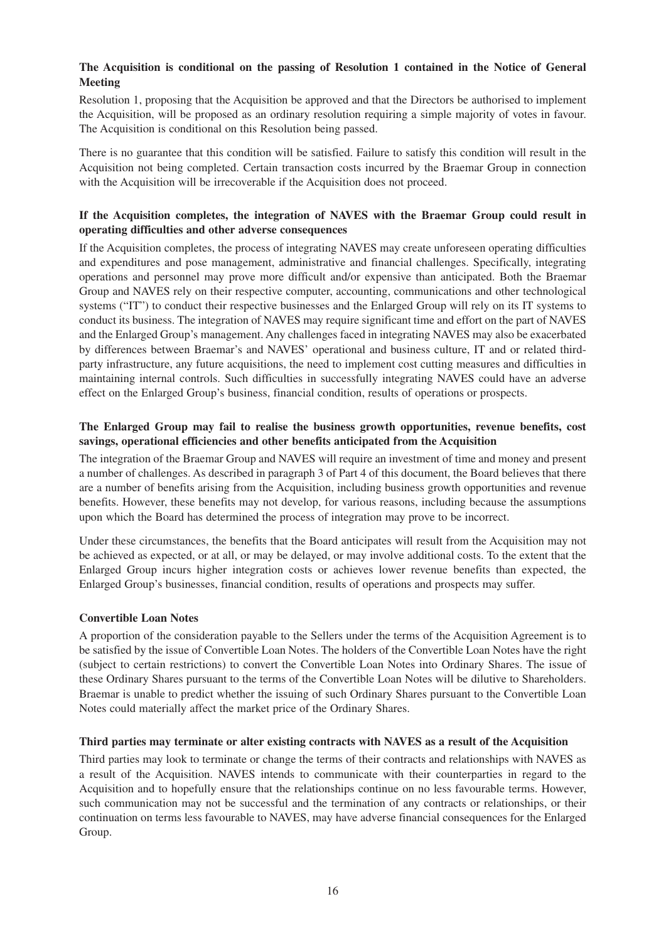#### **The Acquisition is conditional on the passing of Resolution 1 contained in the Notice of General Meeting**

Resolution 1, proposing that the Acquisition be approved and that the Directors be authorised to implement the Acquisition, will be proposed as an ordinary resolution requiring a simple majority of votes in favour. The Acquisition is conditional on this Resolution being passed.

There is no guarantee that this condition will be satisfied. Failure to satisfy this condition will result in the Acquisition not being completed. Certain transaction costs incurred by the Braemar Group in connection with the Acquisition will be irrecoverable if the Acquisition does not proceed.

#### **If the Acquisition completes, the integration of NAVES with the Braemar Group could result in operating difficulties and other adverse consequences**

If the Acquisition completes, the process of integrating NAVES may create unforeseen operating difficulties and expenditures and pose management, administrative and financial challenges. Specifically, integrating operations and personnel may prove more difficult and/or expensive than anticipated. Both the Braemar Group and NAVES rely on their respective computer, accounting, communications and other technological systems ("IT") to conduct their respective businesses and the Enlarged Group will rely on its IT systems to conduct its business. The integration of NAVES may require significant time and effort on the part of NAVES and the Enlarged Group's management. Any challenges faced in integrating NAVES may also be exacerbated by differences between Braemar's and NAVES' operational and business culture, IT and or related thirdparty infrastructure, any future acquisitions, the need to implement cost cutting measures and difficulties in maintaining internal controls. Such difficulties in successfully integrating NAVES could have an adverse effect on the Enlarged Group's business, financial condition, results of operations or prospects.

#### **The Enlarged Group may fail to realise the business growth opportunities, revenue benefits, cost savings, operational efficiencies and other benefits anticipated from the Acquisition**

The integration of the Braemar Group and NAVES will require an investment of time and money and present a number of challenges. As described in paragraph 3 of Part 4 of this document, the Board believes that there are a number of benefits arising from the Acquisition, including business growth opportunities and revenue benefits. However, these benefits may not develop, for various reasons, including because the assumptions upon which the Board has determined the process of integration may prove to be incorrect.

Under these circumstances, the benefits that the Board anticipates will result from the Acquisition may not be achieved as expected, or at all, or may be delayed, or may involve additional costs. To the extent that the Enlarged Group incurs higher integration costs or achieves lower revenue benefits than expected, the Enlarged Group's businesses, financial condition, results of operations and prospects may suffer.

#### **Convertible Loan Notes**

A proportion of the consideration payable to the Sellers under the terms of the Acquisition Agreement is to be satisfied by the issue of Convertible Loan Notes. The holders of the Convertible Loan Notes have the right (subject to certain restrictions) to convert the Convertible Loan Notes into Ordinary Shares. The issue of these Ordinary Shares pursuant to the terms of the Convertible Loan Notes will be dilutive to Shareholders. Braemar is unable to predict whether the issuing of such Ordinary Shares pursuant to the Convertible Loan Notes could materially affect the market price of the Ordinary Shares.

#### **Third parties may terminate or alter existing contracts with NAVES as a result of the Acquisition**

Third parties may look to terminate or change the terms of their contracts and relationships with NAVES as a result of the Acquisition. NAVES intends to communicate with their counterparties in regard to the Acquisition and to hopefully ensure that the relationships continue on no less favourable terms. However, such communication may not be successful and the termination of any contracts or relationships, or their continuation on terms less favourable to NAVES, may have adverse financial consequences for the Enlarged Group.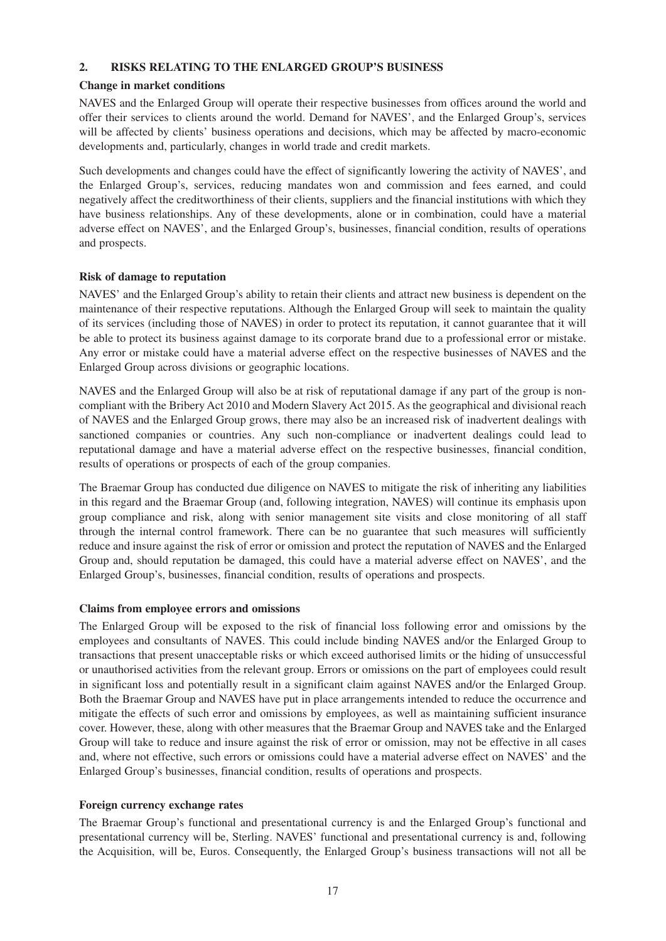#### **2. RISKS RELATING TO THE ENLARGED GROUP'S BUSINESS**

#### **Change in market conditions**

NAVES and the Enlarged Group will operate their respective businesses from offices around the world and offer their services to clients around the world. Demand for NAVES', and the Enlarged Group's, services will be affected by clients' business operations and decisions, which may be affected by macro-economic developments and, particularly, changes in world trade and credit markets.

Such developments and changes could have the effect of significantly lowering the activity of NAVES', and the Enlarged Group's, services, reducing mandates won and commission and fees earned, and could negatively affect the creditworthiness of their clients, suppliers and the financial institutions with which they have business relationships. Any of these developments, alone or in combination, could have a material adverse effect on NAVES', and the Enlarged Group's, businesses, financial condition, results of operations and prospects.

#### **Risk of damage to reputation**

NAVES' and the Enlarged Group's ability to retain their clients and attract new business is dependent on the maintenance of their respective reputations. Although the Enlarged Group will seek to maintain the quality of its services (including those of NAVES) in order to protect its reputation, it cannot guarantee that it will be able to protect its business against damage to its corporate brand due to a professional error or mistake. Any error or mistake could have a material adverse effect on the respective businesses of NAVES and the Enlarged Group across divisions or geographic locations.

NAVES and the Enlarged Group will also be at risk of reputational damage if any part of the group is noncompliant with the Bribery Act 2010 and Modern Slavery Act 2015. As the geographical and divisional reach of NAVES and the Enlarged Group grows, there may also be an increased risk of inadvertent dealings with sanctioned companies or countries. Any such non-compliance or inadvertent dealings could lead to reputational damage and have a material adverse effect on the respective businesses, financial condition, results of operations or prospects of each of the group companies.

The Braemar Group has conducted due diligence on NAVES to mitigate the risk of inheriting any liabilities in this regard and the Braemar Group (and, following integration, NAVES) will continue its emphasis upon group compliance and risk, along with senior management site visits and close monitoring of all staff through the internal control framework. There can be no guarantee that such measures will sufficiently reduce and insure against the risk of error or omission and protect the reputation of NAVES and the Enlarged Group and, should reputation be damaged, this could have a material adverse effect on NAVES', and the Enlarged Group's, businesses, financial condition, results of operations and prospects.

#### **Claims from employee errors and omissions**

The Enlarged Group will be exposed to the risk of financial loss following error and omissions by the employees and consultants of NAVES. This could include binding NAVES and/or the Enlarged Group to transactions that present unacceptable risks or which exceed authorised limits or the hiding of unsuccessful or unauthorised activities from the relevant group. Errors or omissions on the part of employees could result in significant loss and potentially result in a significant claim against NAVES and/or the Enlarged Group. Both the Braemar Group and NAVES have put in place arrangements intended to reduce the occurrence and mitigate the effects of such error and omissions by employees, as well as maintaining sufficient insurance cover. However, these, along with other measures that the Braemar Group and NAVES take and the Enlarged Group will take to reduce and insure against the risk of error or omission, may not be effective in all cases and, where not effective, such errors or omissions could have a material adverse effect on NAVES' and the Enlarged Group's businesses, financial condition, results of operations and prospects.

#### **Foreign currency exchange rates**

The Braemar Group's functional and presentational currency is and the Enlarged Group's functional and presentational currency will be, Sterling. NAVES' functional and presentational currency is and, following the Acquisition, will be, Euros. Consequently, the Enlarged Group's business transactions will not all be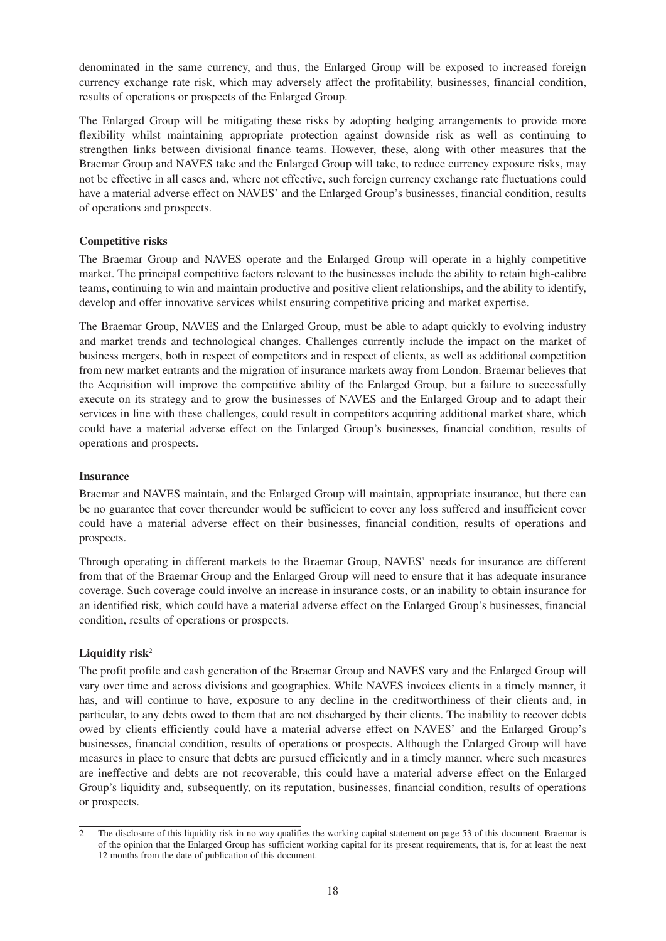denominated in the same currency, and thus, the Enlarged Group will be exposed to increased foreign currency exchange rate risk, which may adversely affect the profitability, businesses, financial condition, results of operations or prospects of the Enlarged Group.

The Enlarged Group will be mitigating these risks by adopting hedging arrangements to provide more flexibility whilst maintaining appropriate protection against downside risk as well as continuing to strengthen links between divisional finance teams. However, these, along with other measures that the Braemar Group and NAVES take and the Enlarged Group will take, to reduce currency exposure risks, may not be effective in all cases and, where not effective, such foreign currency exchange rate fluctuations could have a material adverse effect on NAVES' and the Enlarged Group's businesses, financial condition, results of operations and prospects.

#### **Competitive risks**

The Braemar Group and NAVES operate and the Enlarged Group will operate in a highly competitive market. The principal competitive factors relevant to the businesses include the ability to retain high-calibre teams, continuing to win and maintain productive and positive client relationships, and the ability to identify, develop and offer innovative services whilst ensuring competitive pricing and market expertise.

The Braemar Group, NAVES and the Enlarged Group, must be able to adapt quickly to evolving industry and market trends and technological changes. Challenges currently include the impact on the market of business mergers, both in respect of competitors and in respect of clients, as well as additional competition from new market entrants and the migration of insurance markets away from London. Braemar believes that the Acquisition will improve the competitive ability of the Enlarged Group, but a failure to successfully execute on its strategy and to grow the businesses of NAVES and the Enlarged Group and to adapt their services in line with these challenges, could result in competitors acquiring additional market share, which could have a material adverse effect on the Enlarged Group's businesses, financial condition, results of operations and prospects.

#### **Insurance**

Braemar and NAVES maintain, and the Enlarged Group will maintain, appropriate insurance, but there can be no guarantee that cover thereunder would be sufficient to cover any loss suffered and insufficient cover could have a material adverse effect on their businesses, financial condition, results of operations and prospects.

Through operating in different markets to the Braemar Group, NAVES' needs for insurance are different from that of the Braemar Group and the Enlarged Group will need to ensure that it has adequate insurance coverage. Such coverage could involve an increase in insurance costs, or an inability to obtain insurance for an identified risk, which could have a material adverse effect on the Enlarged Group's businesses, financial condition, results of operations or prospects.

#### **Liquidity risk**<sup>2</sup>

The profit profile and cash generation of the Braemar Group and NAVES vary and the Enlarged Group will vary over time and across divisions and geographies. While NAVES invoices clients in a timely manner, it has, and will continue to have, exposure to any decline in the creditworthiness of their clients and, in particular, to any debts owed to them that are not discharged by their clients. The inability to recover debts owed by clients efficiently could have a material adverse effect on NAVES' and the Enlarged Group's businesses, financial condition, results of operations or prospects. Although the Enlarged Group will have measures in place to ensure that debts are pursued efficiently and in a timely manner, where such measures are ineffective and debts are not recoverable, this could have a material adverse effect on the Enlarged Group's liquidity and, subsequently, on its reputation, businesses, financial condition, results of operations or prospects.

<sup>2</sup> The disclosure of this liquidity risk in no way qualifies the working capital statement on page 53 of this document. Braemar is of the opinion that the Enlarged Group has sufficient working capital for its present requirements, that is, for at least the next 12 months from the date of publication of this document.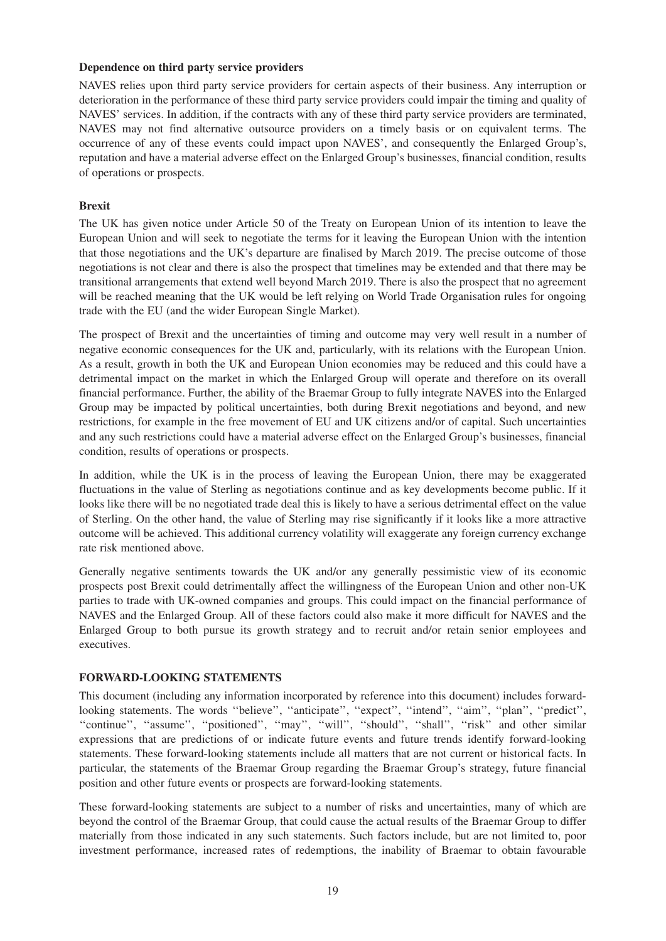#### **Dependence on third party service providers**

NAVES relies upon third party service providers for certain aspects of their business. Any interruption or deterioration in the performance of these third party service providers could impair the timing and quality of NAVES' services. In addition, if the contracts with any of these third party service providers are terminated, NAVES may not find alternative outsource providers on a timely basis or on equivalent terms. The occurrence of any of these events could impact upon NAVES', and consequently the Enlarged Group's, reputation and have a material adverse effect on the Enlarged Group's businesses, financial condition, results of operations or prospects.

#### **Brexit**

The UK has given notice under Article 50 of the Treaty on European Union of its intention to leave the European Union and will seek to negotiate the terms for it leaving the European Union with the intention that those negotiations and the UK's departure are finalised by March 2019. The precise outcome of those negotiations is not clear and there is also the prospect that timelines may be extended and that there may be transitional arrangements that extend well beyond March 2019. There is also the prospect that no agreement will be reached meaning that the UK would be left relying on World Trade Organisation rules for ongoing trade with the EU (and the wider European Single Market).

The prospect of Brexit and the uncertainties of timing and outcome may very well result in a number of negative economic consequences for the UK and, particularly, with its relations with the European Union. As a result, growth in both the UK and European Union economies may be reduced and this could have a detrimental impact on the market in which the Enlarged Group will operate and therefore on its overall financial performance. Further, the ability of the Braemar Group to fully integrate NAVES into the Enlarged Group may be impacted by political uncertainties, both during Brexit negotiations and beyond, and new restrictions, for example in the free movement of EU and UK citizens and/or of capital. Such uncertainties and any such restrictions could have a material adverse effect on the Enlarged Group's businesses, financial condition, results of operations or prospects.

In addition, while the UK is in the process of leaving the European Union, there may be exaggerated fluctuations in the value of Sterling as negotiations continue and as key developments become public. If it looks like there will be no negotiated trade deal this is likely to have a serious detrimental effect on the value of Sterling. On the other hand, the value of Sterling may rise significantly if it looks like a more attractive outcome will be achieved. This additional currency volatility will exaggerate any foreign currency exchange rate risk mentioned above.

Generally negative sentiments towards the UK and/or any generally pessimistic view of its economic prospects post Brexit could detrimentally affect the willingness of the European Union and other non-UK parties to trade with UK-owned companies and groups. This could impact on the financial performance of NAVES and the Enlarged Group. All of these factors could also make it more difficult for NAVES and the Enlarged Group to both pursue its growth strategy and to recruit and/or retain senior employees and executives.

#### **FORWARD-LOOKING STATEMENTS**

This document (including any information incorporated by reference into this document) includes forwardlooking statements. The words ''believe'', ''anticipate'', ''expect'', ''intend'', ''aim'', ''plan'', ''predict'', "continue", "assume", "positioned", "may", "will", "should", "shall", "risk" and other similar expressions that are predictions of or indicate future events and future trends identify forward-looking statements. These forward-looking statements include all matters that are not current or historical facts. In particular, the statements of the Braemar Group regarding the Braemar Group's strategy, future financial position and other future events or prospects are forward-looking statements.

These forward-looking statements are subject to a number of risks and uncertainties, many of which are beyond the control of the Braemar Group, that could cause the actual results of the Braemar Group to differ materially from those indicated in any such statements. Such factors include, but are not limited to, poor investment performance, increased rates of redemptions, the inability of Braemar to obtain favourable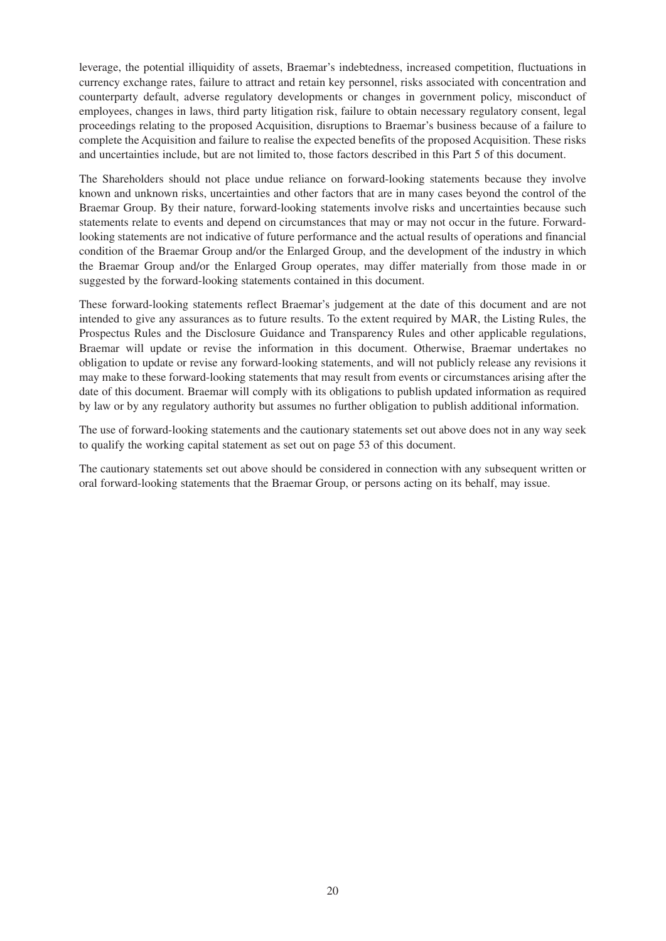leverage, the potential illiquidity of assets, Braemar's indebtedness, increased competition, fluctuations in currency exchange rates, failure to attract and retain key personnel, risks associated with concentration and counterparty default, adverse regulatory developments or changes in government policy, misconduct of employees, changes in laws, third party litigation risk, failure to obtain necessary regulatory consent, legal proceedings relating to the proposed Acquisition, disruptions to Braemar's business because of a failure to complete the Acquisition and failure to realise the expected benefits of the proposed Acquisition. These risks and uncertainties include, but are not limited to, those factors described in this Part 5 of this document.

The Shareholders should not place undue reliance on forward-looking statements because they involve known and unknown risks, uncertainties and other factors that are in many cases beyond the control of the Braemar Group. By their nature, forward-looking statements involve risks and uncertainties because such statements relate to events and depend on circumstances that may or may not occur in the future. Forwardlooking statements are not indicative of future performance and the actual results of operations and financial condition of the Braemar Group and/or the Enlarged Group, and the development of the industry in which the Braemar Group and/or the Enlarged Group operates, may differ materially from those made in or suggested by the forward-looking statements contained in this document.

These forward-looking statements reflect Braemar's judgement at the date of this document and are not intended to give any assurances as to future results. To the extent required by MAR, the Listing Rules, the Prospectus Rules and the Disclosure Guidance and Transparency Rules and other applicable regulations, Braemar will update or revise the information in this document. Otherwise, Braemar undertakes no obligation to update or revise any forward-looking statements, and will not publicly release any revisions it may make to these forward-looking statements that may result from events or circumstances arising after the date of this document. Braemar will comply with its obligations to publish updated information as required by law or by any regulatory authority but assumes no further obligation to publish additional information.

The use of forward-looking statements and the cautionary statements set out above does not in any way seek to qualify the working capital statement as set out on page 53 of this document.

The cautionary statements set out above should be considered in connection with any subsequent written or oral forward-looking statements that the Braemar Group, or persons acting on its behalf, may issue.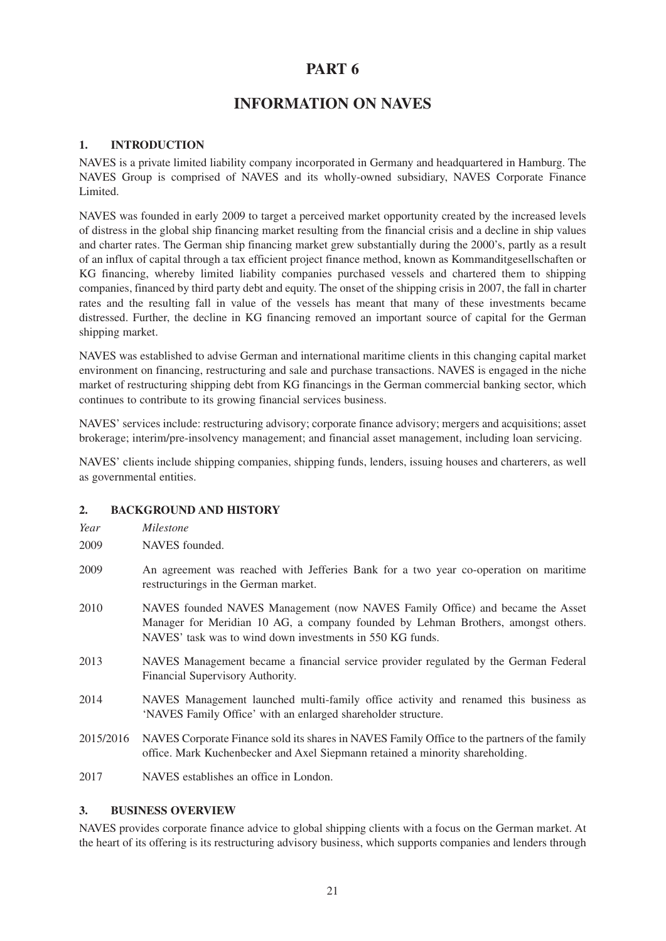# **INFORMATION ON NAVES**

#### **1. INTRODUCTION**

NAVES is a private limited liability company incorporated in Germany and headquartered in Hamburg. The NAVES Group is comprised of NAVES and its wholly-owned subsidiary, NAVES Corporate Finance Limited.

NAVES was founded in early 2009 to target a perceived market opportunity created by the increased levels of distress in the global ship financing market resulting from the financial crisis and a decline in ship values and charter rates. The German ship financing market grew substantially during the 2000's, partly as a result of an influx of capital through a tax efficient project finance method, known as Kommanditgesellschaften or KG financing, whereby limited liability companies purchased vessels and chartered them to shipping companies, financed by third party debt and equity. The onset of the shipping crisis in 2007, the fall in charter rates and the resulting fall in value of the vessels has meant that many of these investments became distressed. Further, the decline in KG financing removed an important source of capital for the German shipping market.

NAVES was established to advise German and international maritime clients in this changing capital market environment on financing, restructuring and sale and purchase transactions. NAVES is engaged in the niche market of restructuring shipping debt from KG financings in the German commercial banking sector, which continues to contribute to its growing financial services business.

NAVES' services include: restructuring advisory; corporate finance advisory; mergers and acquisitions; asset brokerage; interim/pre-insolvency management; and financial asset management, including loan servicing.

NAVES' clients include shipping companies, shipping funds, lenders, issuing houses and charterers, as well as governmental entities.

#### **2. BACKGROUND AND HISTORY**

- 2009 NAVES founded.
- 2009 An agreement was reached with Jefferies Bank for a two year co-operation on maritime restructurings in the German market.
- 2010 NAVES founded NAVES Management (now NAVES Family Office) and became the Asset Manager for Meridian 10 AG, a company founded by Lehman Brothers, amongst others. NAVES' task was to wind down investments in 550 KG funds.
- 2013 NAVES Management became a financial service provider regulated by the German Federal Financial Supervisory Authority.
- 2014 NAVES Management launched multi-family office activity and renamed this business as 'NAVES Family Office' with an enlarged shareholder structure.
- 2015/2016 NAVES Corporate Finance sold its shares in NAVES Family Office to the partners of the family office. Mark Kuchenbecker and Axel Siepmann retained a minority shareholding.
- 2017 NAVES establishes an office in London.

#### **3. BUSINESS OVERVIEW**

NAVES provides corporate finance advice to global shipping clients with a focus on the German market. At the heart of its offering is its restructuring advisory business, which supports companies and lenders through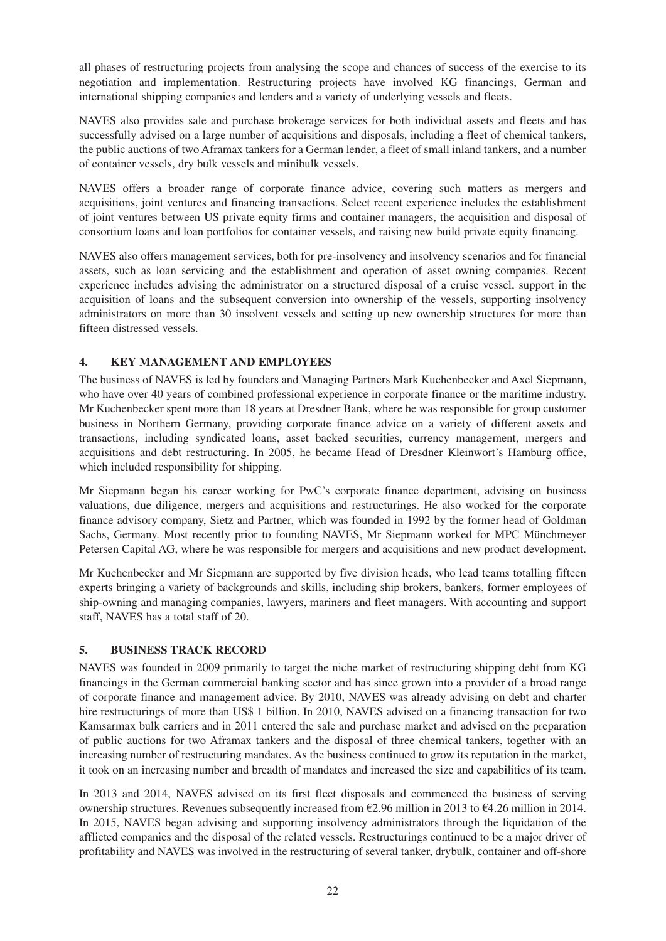all phases of restructuring projects from analysing the scope and chances of success of the exercise to its negotiation and implementation. Restructuring projects have involved KG financings, German and international shipping companies and lenders and a variety of underlying vessels and fleets.

NAVES also provides sale and purchase brokerage services for both individual assets and fleets and has successfully advised on a large number of acquisitions and disposals, including a fleet of chemical tankers, the public auctions of two Aframax tankers for a German lender, a fleet of small inland tankers, and a number of container vessels, dry bulk vessels and minibulk vessels.

NAVES offers a broader range of corporate finance advice, covering such matters as mergers and acquisitions, joint ventures and financing transactions. Select recent experience includes the establishment of joint ventures between US private equity firms and container managers, the acquisition and disposal of consortium loans and loan portfolios for container vessels, and raising new build private equity financing.

NAVES also offers management services, both for pre-insolvency and insolvency scenarios and for financial assets, such as loan servicing and the establishment and operation of asset owning companies. Recent experience includes advising the administrator on a structured disposal of a cruise vessel, support in the acquisition of loans and the subsequent conversion into ownership of the vessels, supporting insolvency administrators on more than 30 insolvent vessels and setting up new ownership structures for more than fifteen distressed vessels.

### **4. KEY MANAGEMENT AND EMPLOYEES**

The business of NAVES is led by founders and Managing Partners Mark Kuchenbecker and Axel Siepmann, who have over 40 years of combined professional experience in corporate finance or the maritime industry. Mr Kuchenbecker spent more than 18 years at Dresdner Bank, where he was responsible for group customer business in Northern Germany, providing corporate finance advice on a variety of different assets and transactions, including syndicated loans, asset backed securities, currency management, mergers and acquisitions and debt restructuring. In 2005, he became Head of Dresdner Kleinwort's Hamburg office, which included responsibility for shipping.

Mr Siepmann began his career working for PwC's corporate finance department, advising on business valuations, due diligence, mergers and acquisitions and restructurings. He also worked for the corporate finance advisory company, Sietz and Partner, which was founded in 1992 by the former head of Goldman Sachs, Germany. Most recently prior to founding NAVES, Mr Siepmann worked for MPC Münchmeyer Petersen Capital AG, where he was responsible for mergers and acquisitions and new product development.

Mr Kuchenbecker and Mr Siepmann are supported by five division heads, who lead teams totalling fifteen experts bringing a variety of backgrounds and skills, including ship brokers, bankers, former employees of ship-owning and managing companies, lawyers, mariners and fleet managers. With accounting and support staff, NAVES has a total staff of 20.

### **5. BUSINESS TRACK RECORD**

NAVES was founded in 2009 primarily to target the niche market of restructuring shipping debt from KG financings in the German commercial banking sector and has since grown into a provider of a broad range of corporate finance and management advice. By 2010, NAVES was already advising on debt and charter hire restructurings of more than US\$ 1 billion. In 2010, NAVES advised on a financing transaction for two Kamsarmax bulk carriers and in 2011 entered the sale and purchase market and advised on the preparation of public auctions for two Aframax tankers and the disposal of three chemical tankers, together with an increasing number of restructuring mandates. As the business continued to grow its reputation in the market, it took on an increasing number and breadth of mandates and increased the size and capabilities of its team.

In 2013 and 2014, NAVES advised on its first fleet disposals and commenced the business of serving ownership structures. Revenues subsequently increased from €2.96 million in 2013 to €4.26 million in 2014. In 2015, NAVES began advising and supporting insolvency administrators through the liquidation of the afflicted companies and the disposal of the related vessels. Restructurings continued to be a major driver of profitability and NAVES was involved in the restructuring of several tanker, drybulk, container and off-shore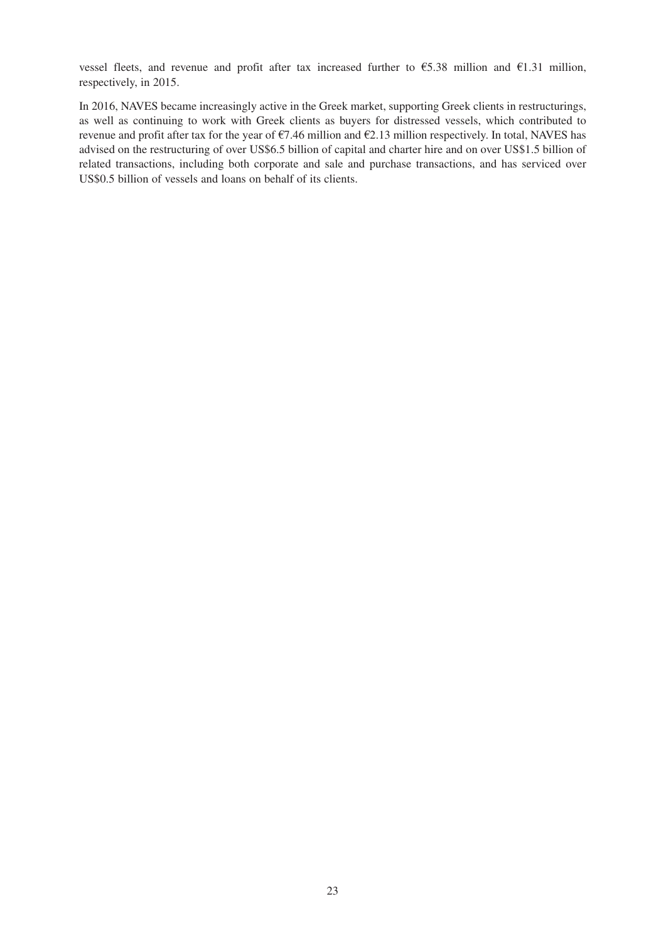vessel fleets, and revenue and profit after tax increased further to  $\epsilon$ 5.38 million and  $\epsilon$ 1.31 million, respectively, in 2015.

In 2016, NAVES became increasingly active in the Greek market, supporting Greek clients in restructurings, as well as continuing to work with Greek clients as buyers for distressed vessels, which contributed to revenue and profit after tax for the year of €7.46 million and €2.13 million respectively. In total, NAVES has advised on the restructuring of over US\$6.5 billion of capital and charter hire and on over US\$1.5 billion of related transactions, including both corporate and sale and purchase transactions, and has serviced over US\$0.5 billion of vessels and loans on behalf of its clients.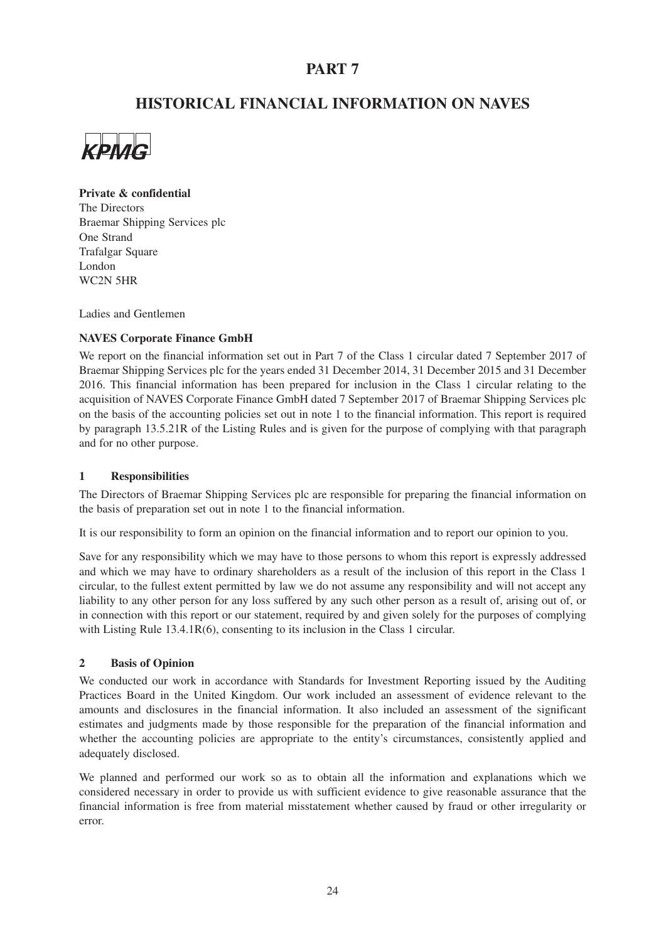# **HISTORICAL FINANCIAL INFORMATION ON NAVES**



#### **Private & confidential**

The Directors Braemar Shipping Services plc One Strand Trafalgar Square London WC2N 5HR

Ladies and Gentlemen

#### **NAVES Corporate Finance GmbH**

We report on the financial information set out in Part 7 of the Class 1 circular dated 7 September 2017 of Braemar Shipping Services plc for the years ended 31 December 2014, 31 December 2015 and 31 December 2016. This financial information has been prepared for inclusion in the Class 1 circular relating to the acquisition of NAVES Corporate Finance GmbH dated 7 September 2017 of Braemar Shipping Services plc on the basis of the accounting policies set out in note 1 to the financial information. This report is required by paragraph 13.5.21R of the Listing Rules and is given for the purpose of complying with that paragraph and for no other purpose.

#### **1 Responsibilities**

The Directors of Braemar Shipping Services plc are responsible for preparing the financial information on the basis of preparation set out in note 1 to the financial information.

It is our responsibility to form an opinion on the financial information and to report our opinion to you.

Save for any responsibility which we may have to those persons to whom this report is expressly addressed and which we may have to ordinary shareholders as a result of the inclusion of this report in the Class 1 circular, to the fullest extent permitted by law we do not assume any responsibility and will not accept any liability to any other person for any loss suffered by any such other person as a result of, arising out of, or in connection with this report or our statement, required by and given solely for the purposes of complying with Listing Rule 13.4.1R(6), consenting to its inclusion in the Class 1 circular.

#### **2 Basis of Opinion**

We conducted our work in accordance with Standards for Investment Reporting issued by the Auditing Practices Board in the United Kingdom. Our work included an assessment of evidence relevant to the amounts and disclosures in the financial information. It also included an assessment of the significant estimates and judgments made by those responsible for the preparation of the financial information and whether the accounting policies are appropriate to the entity's circumstances, consistently applied and adequately disclosed.

We planned and performed our work so as to obtain all the information and explanations which we considered necessary in order to provide us with sufficient evidence to give reasonable assurance that the financial information is free from material misstatement whether caused by fraud or other irregularity or error.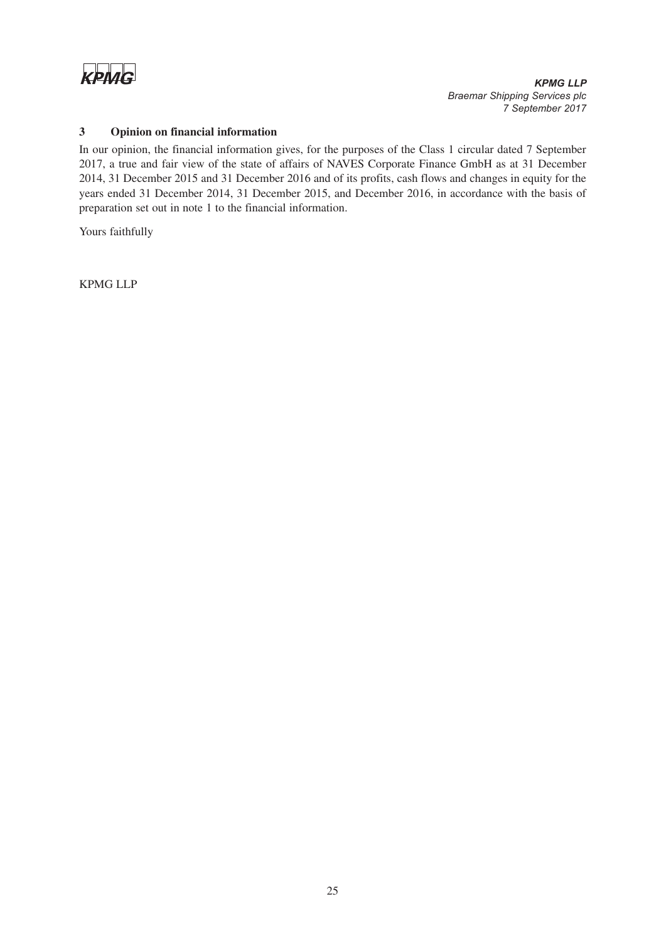

### *KPMG LLP Braemar Shipping Services plc 7 September 2017*

#### **3 Opinion on financial information**

In our opinion, the financial information gives, for the purposes of the Class 1 circular dated 7 September 2017, a true and fair view of the state of affairs of NAVES Corporate Finance GmbH as at 31 December 2014, 31 December 2015 and 31 December 2016 and of its profits, cash flows and changes in equity for the years ended 31 December 2014, 31 December 2015, and December 2016, in accordance with the basis of preparation set out in note 1 to the financial information.

Yours faithfully

KPMG LLP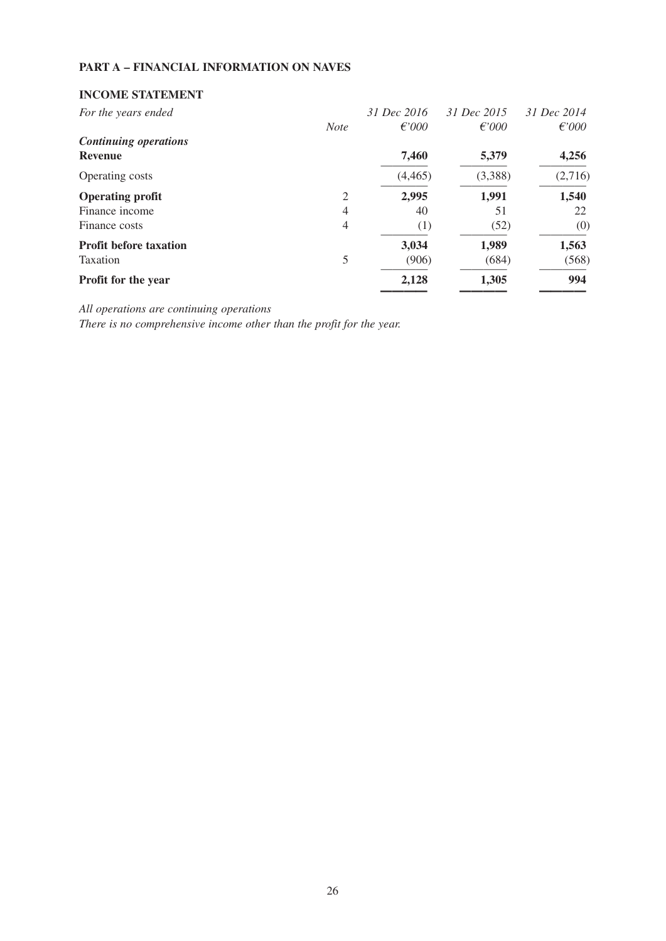# **PART A – FINANCIAL INFORMATION ON NAVES**

# **INCOME STATEMENT**

| For the years ended           |                | 31 Dec 2016 | 31 Dec 2015     | 31 Dec 2014     |
|-------------------------------|----------------|-------------|-----------------|-----------------|
|                               | <b>Note</b>    | $f{67000}$  | $\epsilon$ '000 | $\epsilon$ '000 |
| <b>Continuing operations</b>  |                |             |                 |                 |
| <b>Revenue</b>                |                | 7,460       | 5,379           | 4,256           |
| Operating costs               |                | (4,465)     | (3,388)         | (2,716)         |
| <b>Operating profit</b>       | 2              | 2,995       | 1,991           | 1,540           |
| Finance income                | 4              | 40          | 51              | 22              |
| Finance costs                 | $\overline{4}$ | (1)         | (52)            | (0)             |
| <b>Profit before taxation</b> |                | 3,034       | 1,989           | 1,563           |
| Taxation                      | 5              | (906)       | (684)           | (568)           |
| Profit for the year           |                | 2,128       | 1,305           | 994             |
|                               |                |             |                 |                 |

*All operations are continuing operations*

*There is no comprehensive income other than the profit for the year.*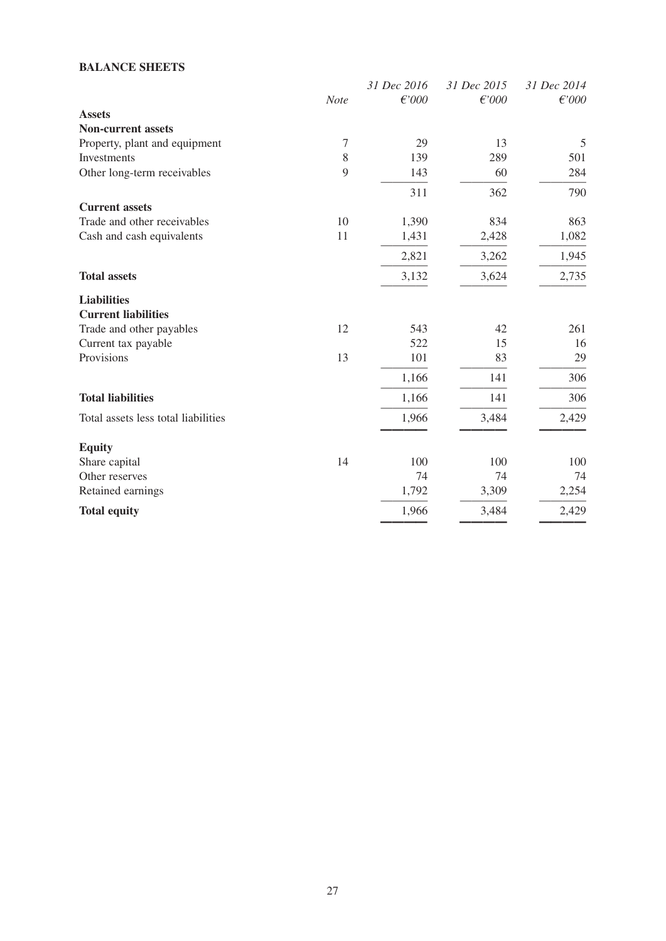# **BALANCE SHEETS**

|                                     |      | 31 Dec 2016 | 31 Dec 2015 | 31 Dec 2014 |
|-------------------------------------|------|-------------|-------------|-------------|
|                                     | Note | $f$ '000    | $f$ '000    | f000        |
| <b>Assets</b>                       |      |             |             |             |
| <b>Non-current assets</b>           |      |             |             |             |
| Property, plant and equipment       | 7    | 29          | 13          | 5           |
| Investments                         | 8    | 139         | 289         | 501         |
| Other long-term receivables         | 9    | 143         | 60          | 284         |
|                                     |      | 311         | 362         | 790         |
| <b>Current assets</b>               |      |             |             |             |
| Trade and other receivables         | 10   | 1,390       | 834         | 863         |
| Cash and cash equivalents           | 11   | 1,431       | 2,428       | 1,082       |
|                                     |      | 2,821       | 3,262       | 1,945       |
| <b>Total assets</b>                 |      | 3,132       | 3,624       | 2,735       |
| <b>Liabilities</b>                  |      |             |             |             |
| <b>Current liabilities</b>          |      |             |             |             |
| Trade and other payables            | 12   | 543         | 42          | 261         |
| Current tax payable                 |      | 522         | 15          | 16          |
| Provisions                          | 13   | 101         | 83          | 29          |
|                                     |      | 1,166       | 141         | 306         |
| <b>Total liabilities</b>            |      | 1,166       | 141         | 306         |
| Total assets less total liabilities |      | 1,966       | 3,484       | 2,429       |
| <b>Equity</b>                       |      |             |             |             |
| Share capital                       | 14   | 100         | 100         | 100         |
| Other reserves                      |      | 74          | 74          | 74          |
| Retained earnings                   |      | 1,792       | 3,309       | 2,254       |
| <b>Total equity</b>                 |      | 1,966       | 3,484       | 2,429       |
|                                     |      |             |             |             |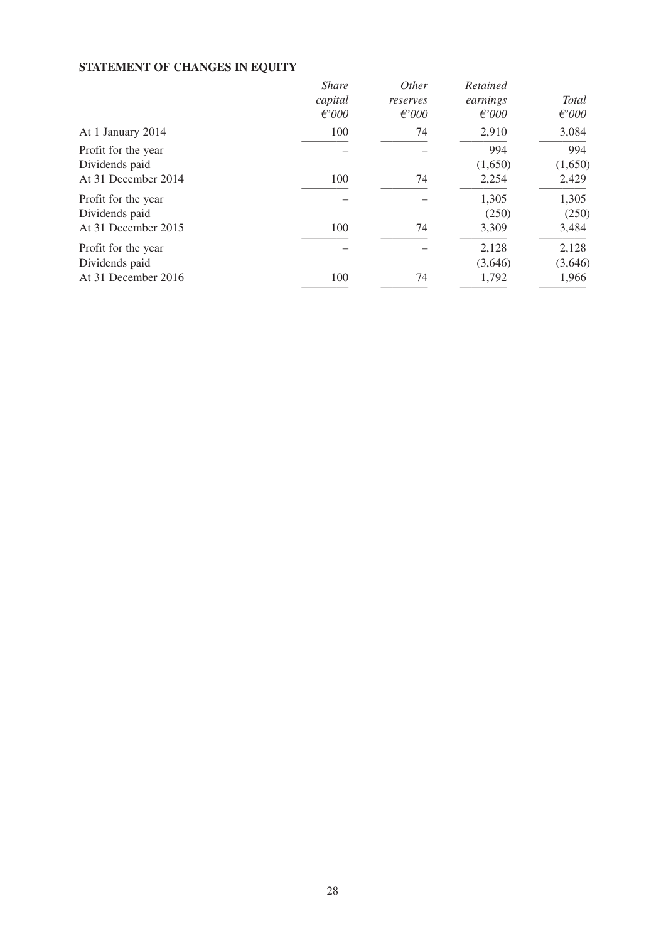# **STATEMENT OF CHANGES IN EQUITY**

|                     | <b>Share</b>    | <i>Other</i> | Retained |                 |
|---------------------|-----------------|--------------|----------|-----------------|
|                     | capital         | reserves     | earnings | Total           |
|                     | $\epsilon$ '000 | $f$ '000     | $f$ '000 | $\epsilon$ '000 |
| At 1 January 2014   | 100             | 74           | 2,910    | 3,084           |
| Profit for the year |                 |              | 994      | 994             |
| Dividends paid      |                 |              | (1,650)  | (1,650)         |
| At 31 December 2014 | 100             | 74           | 2,254    | 2,429           |
| Profit for the year |                 |              | 1,305    | 1,305           |
| Dividends paid      |                 |              | (250)    | (250)           |
| At 31 December 2015 | 100             | 74           | 3,309    | 3,484           |
| Profit for the year |                 |              | 2,128    | 2,128           |
| Dividends paid      |                 |              | (3,646)  | (3,646)         |
| At 31 December 2016 | 100             | 74           | 1,792    | 1,966           |
|                     |                 |              |          |                 |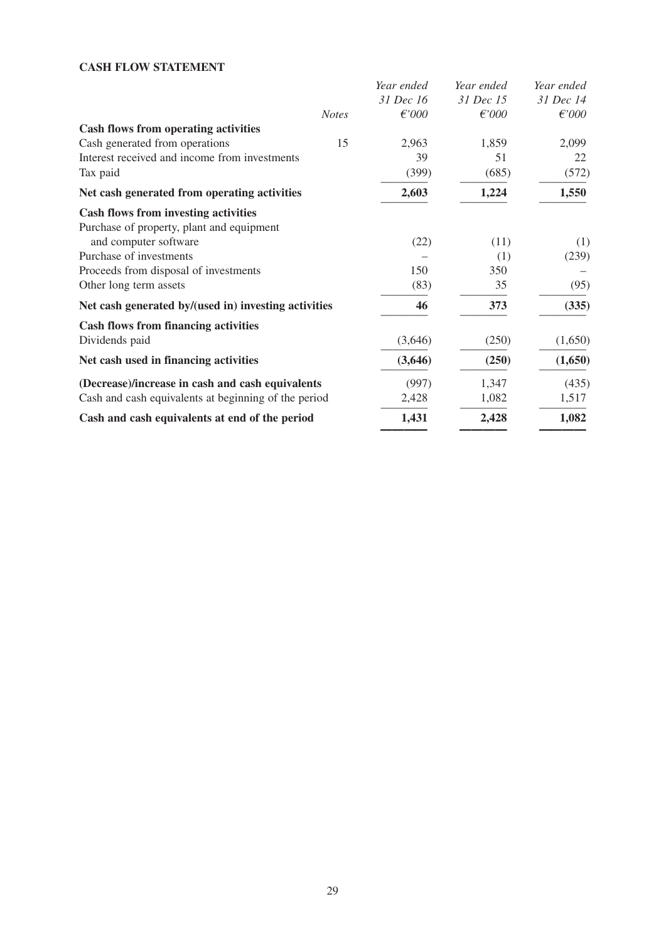# **CASH FLOW STATEMENT**

| Year ended | Year ended | Year ended      |
|------------|------------|-----------------|
| 31 Dec 16  | 31 Dec 15  | 31 Dec 14       |
| $f$ '000   | $f$ '000   | $\epsilon$ '000 |
|            |            |                 |
| 2,963      | 1,859      | 2,099           |
| 39         | 51         | 22              |
| (399)      | (685)      | (572)           |
| 2,603      | 1,224      | 1,550           |
|            |            |                 |
|            |            |                 |
| (22)       | (11)       | (1)             |
|            | (1)        | (239)           |
| 150        | 350        |                 |
| (83)       | 35         | (95)            |
| 46         | 373        | (335)           |
|            |            |                 |
| (3,646)    | (250)      | (1,650)         |
| (3,646)    | (250)      | (1,650)         |
| (997)      | 1,347      | (435)           |
| 2,428      | 1,082      | 1,517           |
| 1,431      | 2,428      | 1,082           |
|            |            |                 |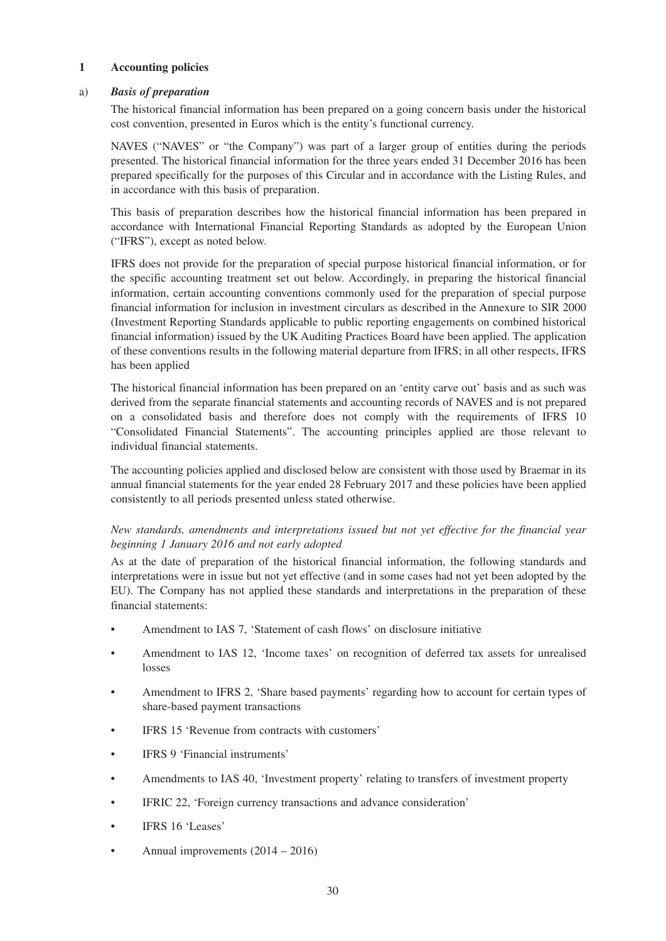#### **1 Accounting policies**

#### a) *Basis of preparation*

The historical financial information has been prepared on a going concern basis under the historical cost convention, presented in Euros which is the entity's functional currency.

NAVES ("NAVES" or "the Company") was part of a larger group of entities during the periods presented. The historical financial information for the three years ended 31 December 2016 has been prepared specifically for the purposes of this Circular and in accordance with the Listing Rules, and in accordance with this basis of preparation.

This basis of preparation describes how the historical financial information has been prepared in accordance with International Financial Reporting Standards as adopted by the European Union ("IFRS"), except as noted below.

IFRS does not provide for the preparation of special purpose historical financial information, or for the specific accounting treatment set out below. Accordingly, in preparing the historical financial information, certain accounting conventions commonly used for the preparation of special purpose financial information for inclusion in investment circulars as described in the Annexure to SIR 2000 (Investment Reporting Standards applicable to public reporting engagements on combined historical financial information) issued by the UK Auditing Practices Board have been applied. The application of these conventions results in the following material departure from IFRS; in all other respects, IFRS has been applied

The historical financial information has been prepared on an 'entity carve out' basis and as such was derived from the separate financial statements and accounting records of NAVES and is not prepared on a consolidated basis and therefore does not comply with the requirements of IFRS 10 "Consolidated Financial Statements". The accounting principles applied are those relevant to individual financial statements.

The accounting policies applied and disclosed below are consistent with those used by Braemar in its annual financial statements for the year ended 28 February 2017 and these policies have been applied consistently to all periods presented unless stated otherwise.

#### *New standards, amendments and interpretations issued but not yet effective for the financial year beginning 1 January 2016 and not early adopted*

As at the date of preparation of the historical financial information, the following standards and interpretations were in issue but not yet effective (and in some cases had not yet been adopted by the EU). The Company has not applied these standards and interpretations in the preparation of these financial statements:

- Amendment to IAS 7, 'Statement of cash flows' on disclosure initiative
- Amendment to IAS 12, 'Income taxes' on recognition of deferred tax assets for unrealised losses
- Amendment to IFRS 2, 'Share based payments' regarding how to account for certain types of share-based payment transactions
- IFRS 15 'Revenue from contracts with customers'
- IFRS 9 'Financial instruments'
- Amendments to IAS 40, 'Investment property' relating to transfers of investment property
- IFRIC 22, 'Foreign currency transactions and advance consideration'
- IFRS 16 'Leases'
- Annual improvements  $(2014 2016)$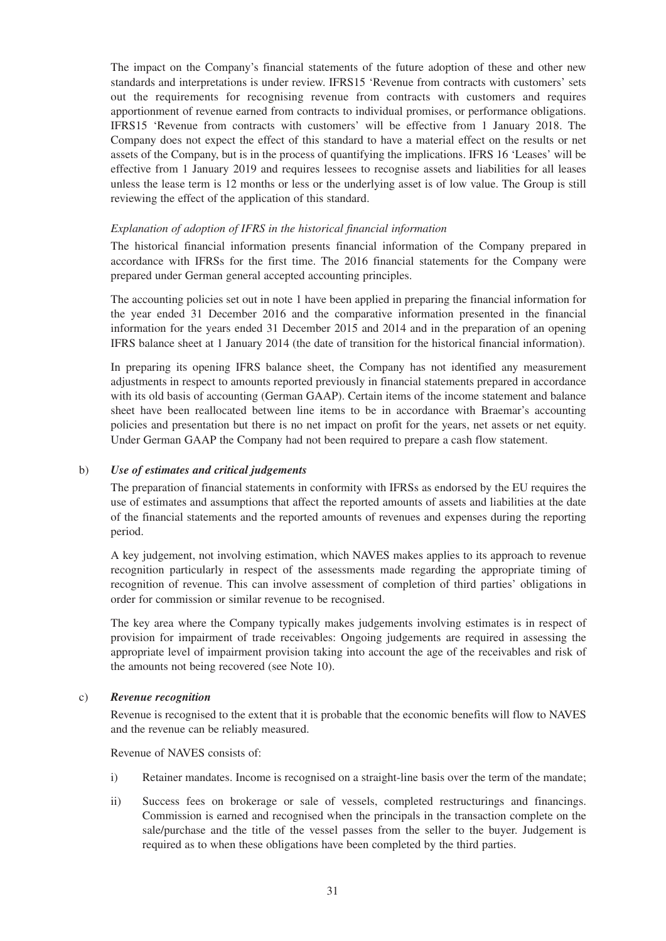The impact on the Company's financial statements of the future adoption of these and other new standards and interpretations is under review. IFRS15 'Revenue from contracts with customers' sets out the requirements for recognising revenue from contracts with customers and requires apportionment of revenue earned from contracts to individual promises, or performance obligations. IFRS15 'Revenue from contracts with customers' will be effective from 1 January 2018. The Company does not expect the effect of this standard to have a material effect on the results or net assets of the Company, but is in the process of quantifying the implications. IFRS 16 'Leases' will be effective from 1 January 2019 and requires lessees to recognise assets and liabilities for all leases unless the lease term is 12 months or less or the underlying asset is of low value. The Group is still reviewing the effect of the application of this standard.

#### *Explanation of adoption of IFRS in the historical financial information*

The historical financial information presents financial information of the Company prepared in accordance with IFRSs for the first time. The 2016 financial statements for the Company were prepared under German general accepted accounting principles.

The accounting policies set out in note 1 have been applied in preparing the financial information for the year ended 31 December 2016 and the comparative information presented in the financial information for the years ended 31 December 2015 and 2014 and in the preparation of an opening IFRS balance sheet at 1 January 2014 (the date of transition for the historical financial information).

In preparing its opening IFRS balance sheet, the Company has not identified any measurement adjustments in respect to amounts reported previously in financial statements prepared in accordance with its old basis of accounting (German GAAP). Certain items of the income statement and balance sheet have been reallocated between line items to be in accordance with Braemar's accounting policies and presentation but there is no net impact on profit for the years, net assets or net equity. Under German GAAP the Company had not been required to prepare a cash flow statement.

#### b) *Use of estimates and critical judgements*

The preparation of financial statements in conformity with IFRSs as endorsed by the EU requires the use of estimates and assumptions that affect the reported amounts of assets and liabilities at the date of the financial statements and the reported amounts of revenues and expenses during the reporting period.

A key judgement, not involving estimation, which NAVES makes applies to its approach to revenue recognition particularly in respect of the assessments made regarding the appropriate timing of recognition of revenue. This can involve assessment of completion of third parties' obligations in order for commission or similar revenue to be recognised.

The key area where the Company typically makes judgements involving estimates is in respect of provision for impairment of trade receivables: Ongoing judgements are required in assessing the appropriate level of impairment provision taking into account the age of the receivables and risk of the amounts not being recovered (see Note 10).

#### c) *Revenue recognition*

Revenue is recognised to the extent that it is probable that the economic benefits will flow to NAVES and the revenue can be reliably measured.

Revenue of NAVES consists of:

- i) Retainer mandates. Income is recognised on a straight-line basis over the term of the mandate;
- ii) Success fees on brokerage or sale of vessels, completed restructurings and financings. Commission is earned and recognised when the principals in the transaction complete on the sale/purchase and the title of the vessel passes from the seller to the buyer. Judgement is required as to when these obligations have been completed by the third parties.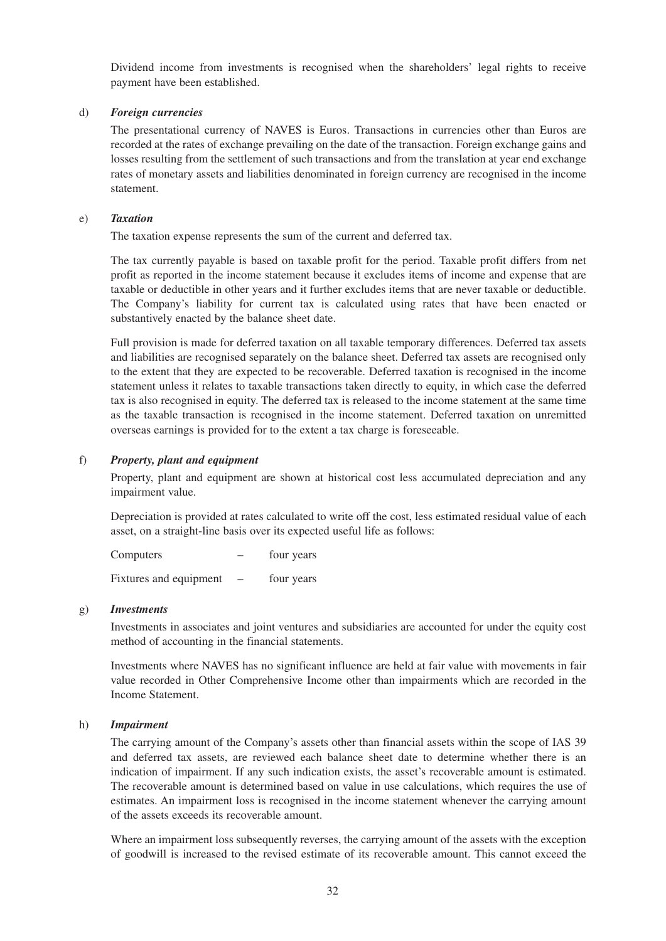Dividend income from investments is recognised when the shareholders' legal rights to receive payment have been established.

#### d) *Foreign currencies*

The presentational currency of NAVES is Euros. Transactions in currencies other than Euros are recorded at the rates of exchange prevailing on the date of the transaction. Foreign exchange gains and losses resulting from the settlement of such transactions and from the translation at year end exchange rates of monetary assets and liabilities denominated in foreign currency are recognised in the income statement.

#### e) *Taxation*

The taxation expense represents the sum of the current and deferred tax.

The tax currently payable is based on taxable profit for the period. Taxable profit differs from net profit as reported in the income statement because it excludes items of income and expense that are taxable or deductible in other years and it further excludes items that are never taxable or deductible. The Company's liability for current tax is calculated using rates that have been enacted or substantively enacted by the balance sheet date.

Full provision is made for deferred taxation on all taxable temporary differences. Deferred tax assets and liabilities are recognised separately on the balance sheet. Deferred tax assets are recognised only to the extent that they are expected to be recoverable. Deferred taxation is recognised in the income statement unless it relates to taxable transactions taken directly to equity, in which case the deferred tax is also recognised in equity. The deferred tax is released to the income statement at the same time as the taxable transaction is recognised in the income statement. Deferred taxation on unremitted overseas earnings is provided for to the extent a tax charge is foreseeable.

#### f) *Property, plant and equipment*

Property, plant and equipment are shown at historical cost less accumulated depreciation and any impairment value.

Depreciation is provided at rates calculated to write off the cost, less estimated residual value of each asset, on a straight-line basis over its expected useful life as follows:

Computers – four years Fixtures and equipment – four years

#### g) *Investments*

Investments in associates and joint ventures and subsidiaries are accounted for under the equity cost method of accounting in the financial statements.

Investments where NAVES has no significant influence are held at fair value with movements in fair value recorded in Other Comprehensive Income other than impairments which are recorded in the Income Statement.

#### h) *Impairment*

The carrying amount of the Company's assets other than financial assets within the scope of IAS 39 and deferred tax assets, are reviewed each balance sheet date to determine whether there is an indication of impairment. If any such indication exists, the asset's recoverable amount is estimated. The recoverable amount is determined based on value in use calculations, which requires the use of estimates. An impairment loss is recognised in the income statement whenever the carrying amount of the assets exceeds its recoverable amount.

Where an impairment loss subsequently reverses, the carrying amount of the assets with the exception of goodwill is increased to the revised estimate of its recoverable amount. This cannot exceed the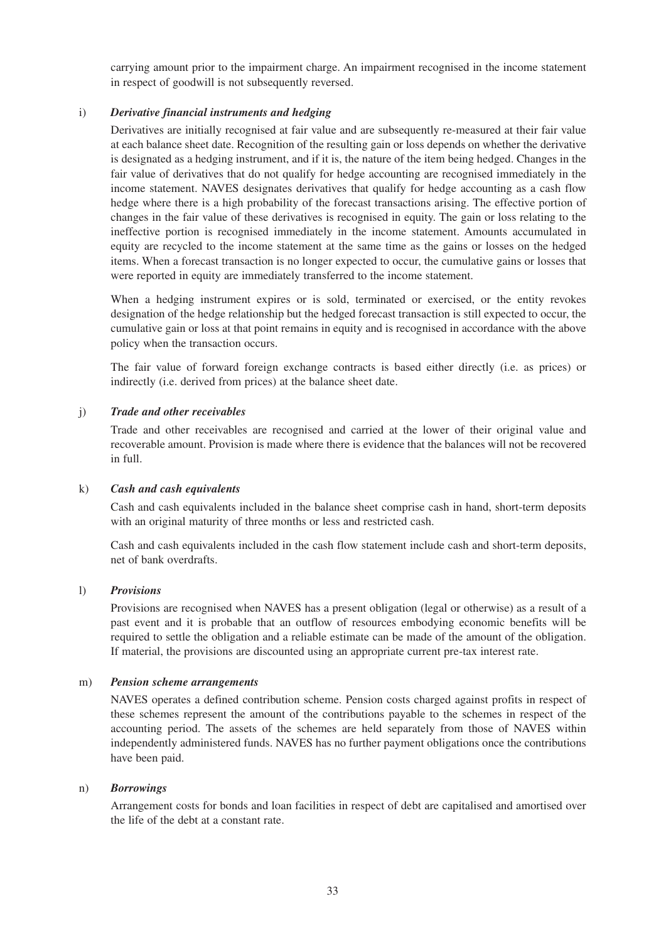carrying amount prior to the impairment charge. An impairment recognised in the income statement in respect of goodwill is not subsequently reversed.

#### i) *Derivative financial instruments and hedging*

Derivatives are initially recognised at fair value and are subsequently re-measured at their fair value at each balance sheet date. Recognition of the resulting gain or loss depends on whether the derivative is designated as a hedging instrument, and if it is, the nature of the item being hedged. Changes in the fair value of derivatives that do not qualify for hedge accounting are recognised immediately in the income statement. NAVES designates derivatives that qualify for hedge accounting as a cash flow hedge where there is a high probability of the forecast transactions arising. The effective portion of changes in the fair value of these derivatives is recognised in equity. The gain or loss relating to the ineffective portion is recognised immediately in the income statement. Amounts accumulated in equity are recycled to the income statement at the same time as the gains or losses on the hedged items. When a forecast transaction is no longer expected to occur, the cumulative gains or losses that were reported in equity are immediately transferred to the income statement.

When a hedging instrument expires or is sold, terminated or exercised, or the entity revokes designation of the hedge relationship but the hedged forecast transaction is still expected to occur, the cumulative gain or loss at that point remains in equity and is recognised in accordance with the above policy when the transaction occurs.

The fair value of forward foreign exchange contracts is based either directly (i.e. as prices) or indirectly (i.e. derived from prices) at the balance sheet date.

#### j) *Trade and other receivables*

Trade and other receivables are recognised and carried at the lower of their original value and recoverable amount. Provision is made where there is evidence that the balances will not be recovered in full.

#### k) *Cash and cash equivalents*

Cash and cash equivalents included in the balance sheet comprise cash in hand, short-term deposits with an original maturity of three months or less and restricted cash.

Cash and cash equivalents included in the cash flow statement include cash and short-term deposits, net of bank overdrafts.

#### l) *Provisions*

Provisions are recognised when NAVES has a present obligation (legal or otherwise) as a result of a past event and it is probable that an outflow of resources embodying economic benefits will be required to settle the obligation and a reliable estimate can be made of the amount of the obligation. If material, the provisions are discounted using an appropriate current pre-tax interest rate.

#### m) *Pension scheme arrangements*

NAVES operates a defined contribution scheme. Pension costs charged against profits in respect of these schemes represent the amount of the contributions payable to the schemes in respect of the accounting period. The assets of the schemes are held separately from those of NAVES within independently administered funds. NAVES has no further payment obligations once the contributions have been paid.

#### n) *Borrowings*

Arrangement costs for bonds and loan facilities in respect of debt are capitalised and amortised over the life of the debt at a constant rate.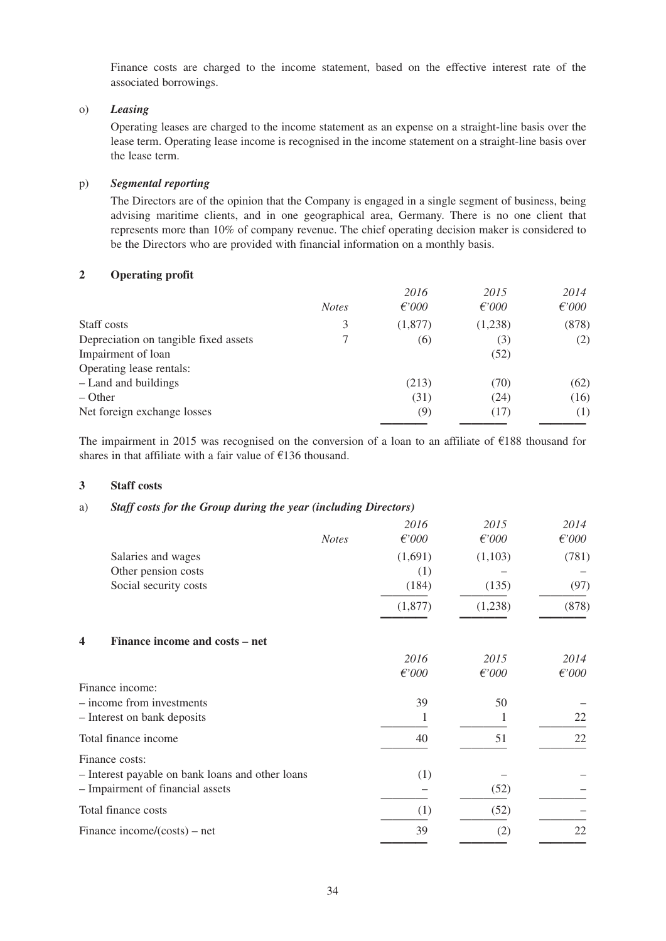Finance costs are charged to the income statement, based on the effective interest rate of the associated borrowings.

#### o) *Leasing*

Operating leases are charged to the income statement as an expense on a straight-line basis over the lease term. Operating lease income is recognised in the income statement on a straight-line basis over the lease term.

#### p) *Segmental reporting*

The Directors are of the opinion that the Company is engaged in a single segment of business, being advising maritime clients, and in one geographical area, Germany. There is no one client that represents more than 10% of company revenue. The chief operating decision maker is considered to be the Directors who are provided with financial information on a monthly basis.

#### **2 Operating profit**

|                                       |              | 2016            | 2015            | 2014  |
|---------------------------------------|--------------|-----------------|-----------------|-------|
|                                       | <b>Notes</b> | $\epsilon$ '000 | $\epsilon$ '000 | f000  |
| Staff costs                           | 3            | (1,877)         | (1,238)         | (878) |
| Depreciation on tangible fixed assets |              | (6)             | (3)             | (2)   |
| Impairment of loan                    |              |                 | (52)            |       |
| Operating lease rentals:              |              |                 |                 |       |
| - Land and buildings                  |              | (213)           | (70)            | (62)  |
| $-$ Other                             |              | (31)            | (24)            | (16)  |
| Net foreign exchange losses           |              | (9)             | (17)            | (1)   |
|                                       |              |                 |                 |       |

The impairment in 2015 was recognised on the conversion of a loan to an affiliate of €188 thousand for shares in that affiliate with a fair value of €136 thousand.

#### **3 Staff costs**

#### a) *Staff costs for the Group during the year (including Directors)*

|   |                                                  |              | 2016     | 2015            | 2014  |
|---|--------------------------------------------------|--------------|----------|-----------------|-------|
|   |                                                  | <b>Notes</b> | $f$ '000 | f000            | f000  |
|   | Salaries and wages                               |              | (1,691)  | (1,103)         | (781) |
|   | Other pension costs                              |              | (1)      |                 |       |
|   | Social security costs                            |              | (184)    | (135)           | (97)  |
|   |                                                  |              | (1,877)  | (1,238)         | (878) |
| 4 | Finance income and costs – net                   |              |          |                 |       |
|   |                                                  |              | 2016     | 2015            | 2014  |
|   |                                                  |              | $f$ '000 | $\epsilon$ '000 | f000  |
|   | Finance income:                                  |              |          |                 |       |
|   | - income from investments                        |              | 39       | 50              |       |
|   | - Interest on bank deposits                      |              |          |                 | 22    |
|   | Total finance income                             |              | 40       | 51              | 22    |
|   | Finance costs:                                   |              |          |                 |       |
|   | - Interest payable on bank loans and other loans |              | (1)      |                 |       |
|   | - Impairment of financial assets                 |              |          | (52)            |       |
|   | Total finance costs                              |              | (1)      | (52)            |       |
|   | Finance income/ $(costs)$ – net                  |              | 39       | (2)             | 22    |
|   |                                                  |              |          |                 |       |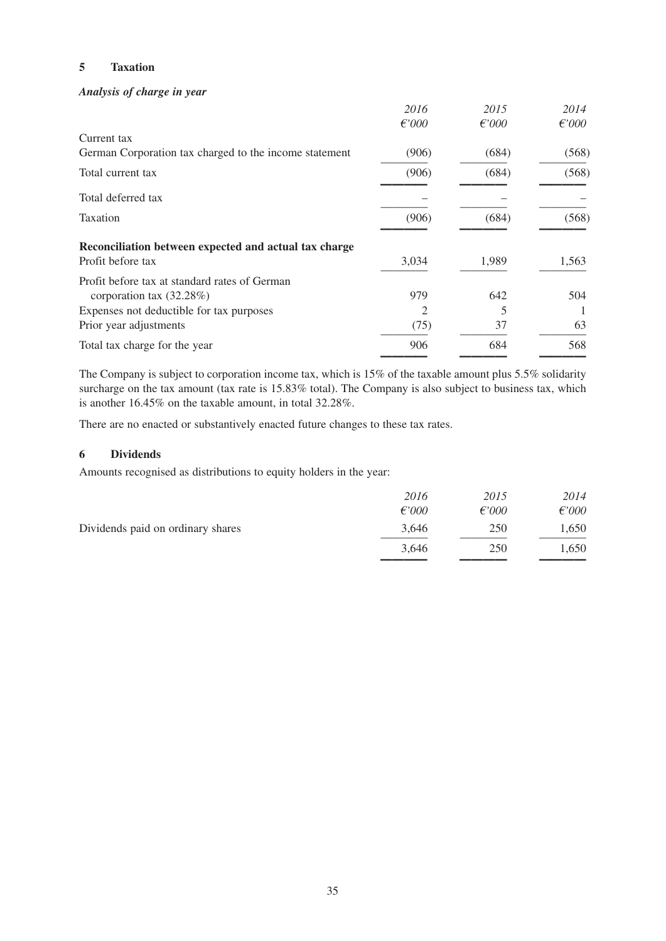#### **5 Taxation**

### *Analysis of charge in year*

|                                                        | 2016     | 2015     | 2014  |
|--------------------------------------------------------|----------|----------|-------|
|                                                        | $f$ '000 | $f$ '000 | f000  |
| Current tax                                            |          |          |       |
| German Corporation tax charged to the income statement | (906)    | (684)    | (568) |
| Total current tax                                      | (906)    | (684)    | (568) |
| Total deferred tax                                     |          |          |       |
| Taxation                                               | (906)    | (684)    | (568) |
| Reconciliation between expected and actual tax charge  |          |          |       |
| Profit before tax                                      | 3,034    | 1,989    | 1,563 |
| Profit before tax at standard rates of German          |          |          |       |
| corporation tax $(32.28\%)$                            | 979      | 642      | 504   |
| Expenses not deductible for tax purposes               | 2        |          |       |
| Prior year adjustments                                 | (75)     | 37       | 63    |
| Total tax charge for the year                          | 906      | 684      | 568   |
|                                                        |          |          |       |

The Company is subject to corporation income tax, which is 15% of the taxable amount plus 5.5% solidarity surcharge on the tax amount (tax rate is 15.83% total). The Company is also subject to business tax, which is another 16.45% on the taxable amount, in total 32.28%.

There are no enacted or substantively enacted future changes to these tax rates.

#### **6 Dividends**

Amounts recognised as distributions to equity holders in the year:

|                                   | 2016     | 2015            | 2014            |
|-----------------------------------|----------|-----------------|-----------------|
|                                   | $f$ '000 | $\epsilon$ '000 | $\epsilon$ '000 |
| Dividends paid on ordinary shares | 3.646    | 250             | 1,650           |
|                                   | 3.646    | 250             | 1,650           |
|                                   |          |                 |                 |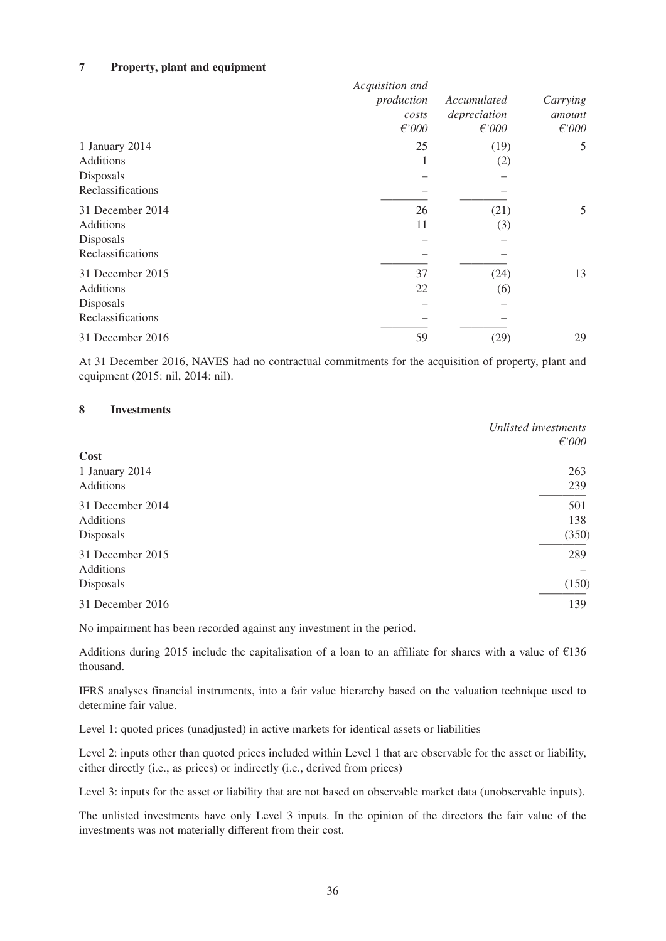#### **7 Property, plant and equipment**

|                   | Acquisition and |              | Carrying        |
|-------------------|-----------------|--------------|-----------------|
|                   | production      | Accumulated  |                 |
|                   | costs           | depreciation | amount          |
|                   | $\epsilon$ '000 | $f$ '000     | $\epsilon$ '000 |
| 1 January 2014    | 25              | (19)         | 5               |
| Additions         |                 | (2)          |                 |
| Disposals         |                 |              |                 |
| Reclassifications |                 |              |                 |
| 31 December 2014  | 26              | (21)         | 5               |
| <b>Additions</b>  | 11              | (3)          |                 |
| Disposals         |                 |              |                 |
| Reclassifications |                 |              |                 |
| 31 December 2015  | 37              | (24)         | 13              |
| <b>Additions</b>  | 22              | (6)          |                 |
| Disposals         |                 |              |                 |
| Reclassifications |                 |              |                 |
| 31 December 2016  | 59              | (29)         | 29              |

At 31 December 2016, NAVES had no contractual commitments for the acquisition of property, plant and equipment (2015: nil, 2014: nil).

#### **8 Investments**

|                                            | Unlisted investments<br>f000 |
|--------------------------------------------|------------------------------|
| Cost<br>1 January 2014                     | 263                          |
| Additions                                  | 239                          |
| 31 December 2014<br>Additions<br>Disposals | 501<br>138<br>(350)          |
| 31 December 2015<br><b>Additions</b>       | 289                          |
| Disposals<br>31 December 2016              | (150)<br>139                 |

No impairment has been recorded against any investment in the period.

Additions during 2015 include the capitalisation of a loan to an affiliate for shares with a value of €136 thousand.

IFRS analyses financial instruments, into a fair value hierarchy based on the valuation technique used to determine fair value.

Level 1: quoted prices (unadjusted) in active markets for identical assets or liabilities

Level 2: inputs other than quoted prices included within Level 1 that are observable for the asset or liability, either directly (i.e., as prices) or indirectly (i.e., derived from prices)

Level 3: inputs for the asset or liability that are not based on observable market data (unobservable inputs).

The unlisted investments have only Level 3 inputs. In the opinion of the directors the fair value of the investments was not materially different from their cost.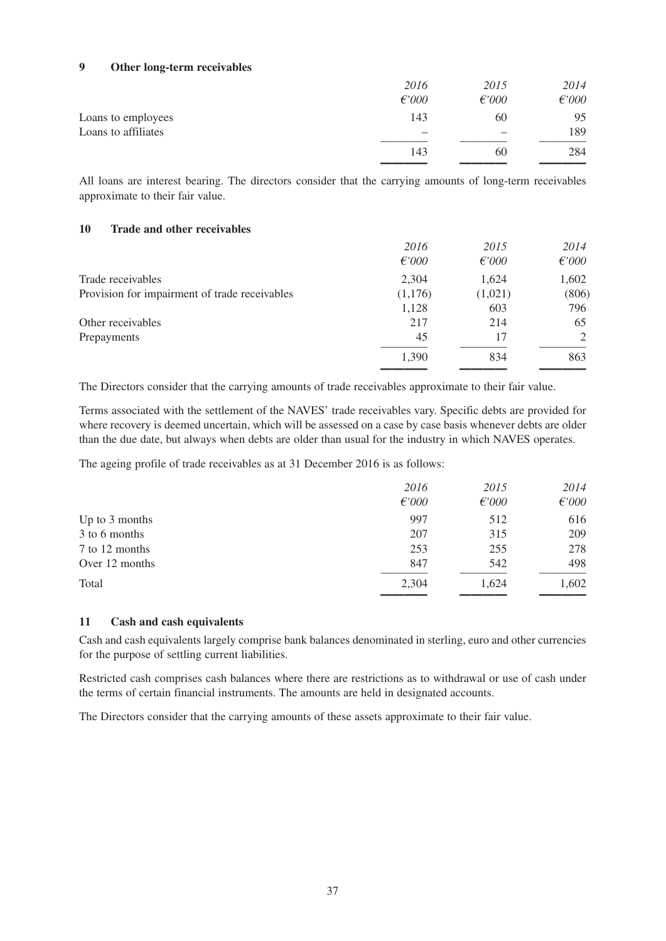### **9 Other long-term receivables**

|                     | 2016<br>$\epsilon$ '000  | 2015<br>$f$ '000 | 2014<br>$\epsilon$ '000 |
|---------------------|--------------------------|------------------|-------------------------|
| Loans to employees  | 143                      | 60               | 95                      |
| Loans to affiliates | $\overline{\phantom{0}}$ | –                | 189                     |
|                     | 143                      | 60               | 284                     |

 ———— ———— ———— All loans are interest bearing. The directors consider that the carrying amounts of long-term receivables approximate to their fair value.

#### **10 Trade and other receivables**

|                                               | 2016            | 2015            | 2014  |
|-----------------------------------------------|-----------------|-----------------|-------|
|                                               | $\epsilon$ '000 | $\epsilon$ '000 | f000  |
| Trade receivables                             | 2,304           | 1,624           | 1,602 |
| Provision for impairment of trade receivables | (1,176)         | (1,021)         | (806) |
|                                               | 1,128           | 603             | 796   |
| Other receivables                             | 217             | 214             | 65    |
| Prepayments                                   | 45              | 17              | 2     |
|                                               | 1,390           | 834             | 863   |
|                                               |                 |                 |       |

The Directors consider that the carrying amounts of trade receivables approximate to their fair value.

Terms associated with the settlement of the NAVES' trade receivables vary. Specific debts are provided for where recovery is deemed uncertain, which will be assessed on a case by case basis whenever debts are older than the due date, but always when debts are older than usual for the industry in which NAVES operates.

The ageing profile of trade receivables as at 31 December 2016 is as follows:

|                | 2016            | 2015     | 2014            |
|----------------|-----------------|----------|-----------------|
|                | $\epsilon$ '000 | $f$ '000 | $\epsilon$ '000 |
| Up to 3 months | 997             | 512      | 616             |
| 3 to 6 months  | 207             | 315      | 209             |
| 7 to 12 months | 253             | 255      | 278             |
| Over 12 months | 847             | 542      | 498             |
| Total          | 2.304           | 1,624    | 1,602           |
|                |                 |          |                 |

#### **11 Cash and cash equivalents**

Cash and cash equivalents largely comprise bank balances denominated in sterling, euro and other currencies for the purpose of settling current liabilities.

Restricted cash comprises cash balances where there are restrictions as to withdrawal or use of cash under the terms of certain financial instruments. The amounts are held in designated accounts.

The Directors consider that the carrying amounts of these assets approximate to their fair value.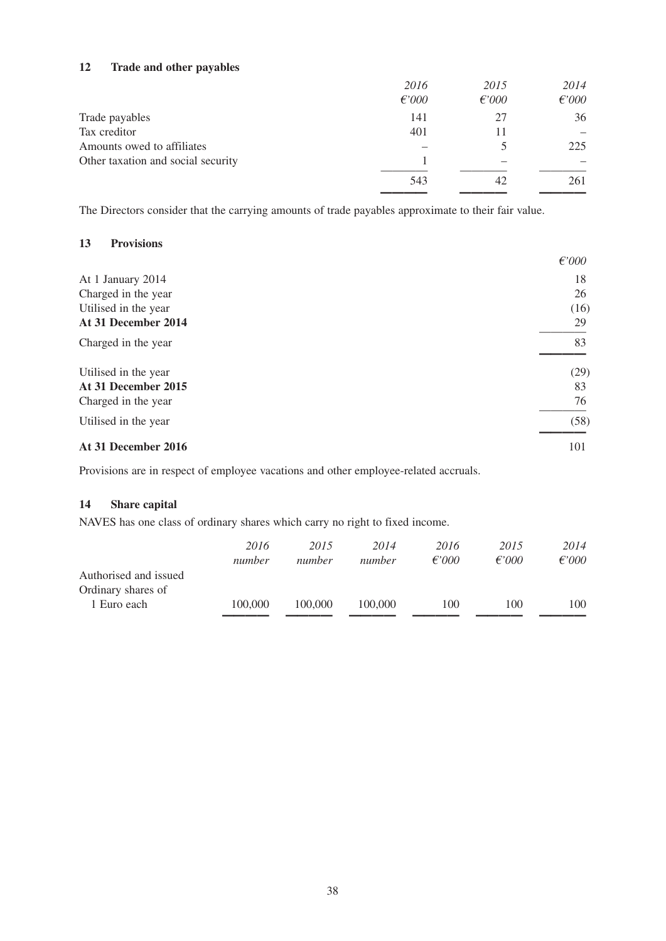#### **12 Trade and other payables**

|                                    | 2016     | 2015     | 2014            |
|------------------------------------|----------|----------|-----------------|
|                                    | $f$ '000 | $f$ '000 | $\epsilon$ '000 |
| Trade payables                     | 141      | 27       | 36              |
| Tax creditor                       | 401      |          |                 |
| Amounts owed to affiliates         |          |          | 225             |
| Other taxation and social security |          |          |                 |
|                                    | 543      | 42       | 261             |

———— ———— ————

The Directors consider that the carrying amounts of trade payables approximate to their fair value.

#### **13 Provisions**

| At 31 December 2016  | 101             |
|----------------------|-----------------|
| Utilised in the year | (58)            |
| Charged in the year  | 76              |
| At 31 December 2015  | 83              |
| Utilised in the year | (29)            |
| Charged in the year  | 83              |
| At 31 December 2014  | 29              |
| Utilised in the year | (16)            |
| Charged in the year  | 26              |
| At 1 January 2014    | 18              |
|                      | $\epsilon$ '000 |

Provisions are in respect of employee vacations and other employee-related accruals.

#### **14 Share capital**

NAVES has one class of ordinary shares which carry no right to fixed income.

|                       | 2016<br>number | 2015<br>number | 2014<br>number | 2016<br>$f$ '000 | 2015<br>f'000 | 2014<br>$f\in \mathcal{O}00$ |
|-----------------------|----------------|----------------|----------------|------------------|---------------|------------------------------|
| Authorised and issued |                |                |                |                  |               |                              |
| Ordinary shares of    |                |                |                |                  |               |                              |
| 1 Euro each           | 100,000        | 100,000        | 100,000        | 100              | 100           | 100                          |
|                       |                |                |                |                  |               |                              |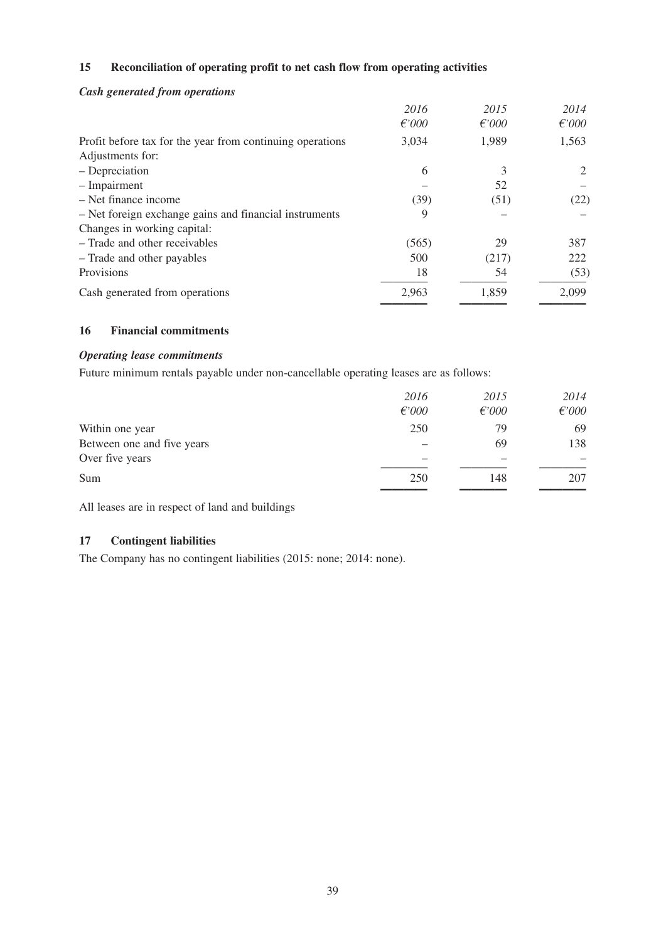### **15 Reconciliation of operating profit to net cash flow from operating activities**

#### *Cash generated from operations*

|                                                           | 2016     | 2015            | 2014            |
|-----------------------------------------------------------|----------|-----------------|-----------------|
|                                                           | $f$ '000 | $\epsilon$ '000 | $\epsilon$ '000 |
| Profit before tax for the year from continuing operations | 3,034    | 1,989           | 1,563           |
| Adjustments for:                                          |          |                 |                 |
| - Depreciation                                            | 6        | 3               | 2               |
| - Impairment                                              |          | 52              |                 |
| - Net finance income                                      | (39)     | (51)            | (22)            |
| - Net foreign exchange gains and financial instruments    | 9        |                 |                 |
| Changes in working capital:                               |          |                 |                 |
| - Trade and other receivables                             | (565)    | 29              | 387             |
| - Trade and other payables                                | 500      | (217)           | 222             |
| Provisions                                                | 18       | 54              | (53)            |
| Cash generated from operations                            | 2,963    | 1,859           | 2,099           |
|                                                           |          |                 |                 |

### **16 Financial commitments**

#### *Operating lease commitments*

Future minimum rentals payable under non-cancellable operating leases are as follows:

|                            | 2016            | 2015            | 2014            |
|----------------------------|-----------------|-----------------|-----------------|
|                            | $\epsilon$ '000 | $\epsilon$ '000 | $\epsilon$ '000 |
| Within one year            | 250             | 79              | 69              |
| Between one and five years |                 | 69              | 138             |
| Over five years            |                 |                 |                 |
| Sum                        | 250             | 148             | 207             |
|                            |                 |                 |                 |

All leases are in respect of land and buildings

#### **17 Contingent liabilities**

The Company has no contingent liabilities (2015: none; 2014: none).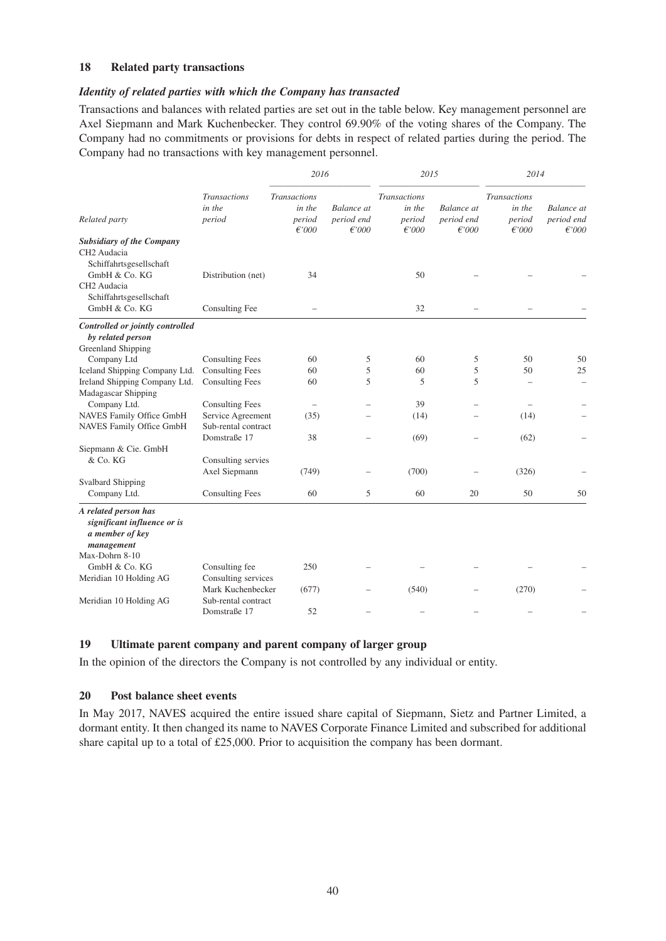#### **18 Related party transactions**

#### *Identity of related parties with which the Company has transacted*

Transactions and balances with related parties are set out in the table below. Key management personnel are Axel Siepmann and Mark Kuchenbecker. They control 69.90% of the voting shares of the Company. The Company had no commitments or provisions for debts in respect of related parties during the period. The Company had no transactions with key management personnel.

|                                                                                                                                                   |                                          | 2016                                                |                                             | 2015                                                |                                             | 2014                                                |                                             |
|---------------------------------------------------------------------------------------------------------------------------------------------------|------------------------------------------|-----------------------------------------------------|---------------------------------------------|-----------------------------------------------------|---------------------------------------------|-----------------------------------------------------|---------------------------------------------|
| Related party                                                                                                                                     | <b>Transactions</b><br>in the<br>period  | <b>Transactions</b><br>in the<br>period<br>$f$ '000 | <b>Balance</b> at<br>period end<br>$f$ '000 | <b>Transactions</b><br>in the<br>period<br>$f$ '000 | <b>Balance</b> at<br>period end<br>$f$ '000 | <b>Transactions</b><br>in the<br>period<br>$f$ '000 | <b>Balance</b> at<br>period end<br>$f$ '000 |
| <b>Subsidiary of the Company</b><br>CH2 Audacia<br>Schiffahrtsgesellschaft<br>GmbH & Co. KG<br>CH <sub>2</sub> Audacia<br>Schiffahrtsgesellschaft | Distribution (net)                       | 34                                                  |                                             | 50                                                  |                                             |                                                     |                                             |
| GmbH & Co. KG                                                                                                                                     | Consulting Fee                           |                                                     |                                             | 32                                                  |                                             |                                                     |                                             |
| Controlled or jointly controlled<br>by related person<br>Greenland Shipping                                                                       |                                          |                                                     |                                             |                                                     |                                             |                                                     |                                             |
| Company Ltd                                                                                                                                       | <b>Consulting Fees</b>                   | 60                                                  | 5                                           | 60                                                  | 5                                           | 50                                                  | 50                                          |
| Iceland Shipping Company Ltd.                                                                                                                     | <b>Consulting Fees</b>                   | 60                                                  | 5                                           | 60                                                  | 5                                           | 50                                                  | 25                                          |
| Ireland Shipping Company Ltd.<br>Madagascar Shipping                                                                                              | <b>Consulting Fees</b>                   | 60                                                  | 5                                           | 5                                                   | 5                                           |                                                     |                                             |
| Company Ltd.                                                                                                                                      | <b>Consulting Fees</b>                   |                                                     |                                             | 39                                                  |                                             |                                                     |                                             |
| NAVES Family Office GmbH<br><b>NAVES Family Office GmbH</b>                                                                                       | Service Agreement<br>Sub-rental contract | (35)                                                |                                             | (14)                                                |                                             | (14)                                                |                                             |
|                                                                                                                                                   | Domstraße 17                             | 38                                                  |                                             | (69)                                                |                                             | (62)                                                |                                             |
| Siepmann & Cie. GmbH<br>& Co. KG                                                                                                                  | Consulting servies<br>Axel Siepmann      | (749)                                               |                                             | (700)                                               |                                             | (326)                                               |                                             |
| <b>Svalbard Shipping</b>                                                                                                                          |                                          |                                                     |                                             |                                                     |                                             |                                                     |                                             |
| Company Ltd.                                                                                                                                      | <b>Consulting Fees</b>                   | 60                                                  | 5                                           | 60                                                  | 20                                          | 50                                                  | 50                                          |
| A related person has<br>significant influence or is<br>a member of key<br>management                                                              |                                          |                                                     |                                             |                                                     |                                             |                                                     |                                             |
| Max-Dohrn 8-10                                                                                                                                    |                                          |                                                     |                                             |                                                     |                                             |                                                     |                                             |
| GmbH & Co. KG                                                                                                                                     | Consulting fee                           | 250                                                 |                                             |                                                     |                                             |                                                     |                                             |
| Meridian 10 Holding AG                                                                                                                            | Consulting services<br>Mark Kuchenbecker | (677)                                               |                                             | (540)                                               |                                             | (270)                                               |                                             |
| Meridian 10 Holding AG                                                                                                                            | Sub-rental contract<br>Domstraße 17      | 52                                                  |                                             |                                                     |                                             |                                                     |                                             |

#### **19 Ultimate parent company and parent company of larger group**

In the opinion of the directors the Company is not controlled by any individual or entity.

#### **20 Post balance sheet events**

In May 2017, NAVES acquired the entire issued share capital of Siepmann, Sietz and Partner Limited, a dormant entity. It then changed its name to NAVES Corporate Finance Limited and subscribed for additional share capital up to a total of £25,000. Prior to acquisition the company has been dormant.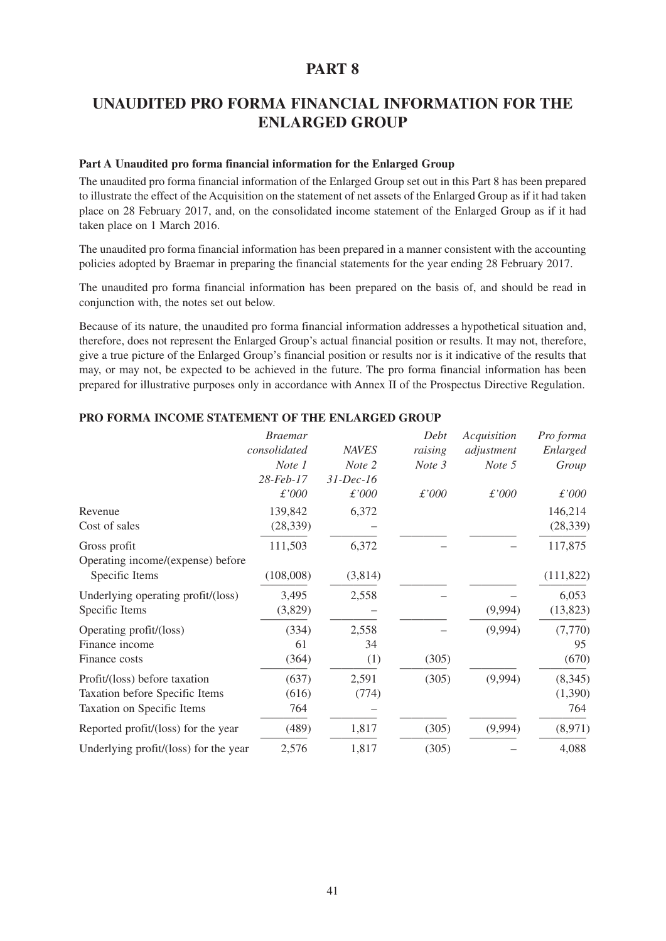# **UNAUDITED PRO FORMA FINANCIAL INFORMATION FOR THE ENLARGED GROUP**

#### **Part A Unaudited pro forma financial information for the Enlarged Group**

The unaudited pro forma financial information of the Enlarged Group set out in this Part 8 has been prepared to illustrate the effect of the Acquisition on the statement of net assets of the Enlarged Group as if it had taken place on 28 February 2017, and, on the consolidated income statement of the Enlarged Group as if it had taken place on 1 March 2016.

The unaudited pro forma financial information has been prepared in a manner consistent with the accounting policies adopted by Braemar in preparing the financial statements for the year ending 28 February 2017.

The unaudited pro forma financial information has been prepared on the basis of, and should be read in conjunction with, the notes set out below.

Because of its nature, the unaudited pro forma financial information addresses a hypothetical situation and, therefore, does not represent the Enlarged Group's actual financial position or results. It may not, therefore, give a true picture of the Enlarged Group's financial position or results nor is it indicative of the results that may, or may not, be expected to be achieved in the future. The pro forma financial information has been prepared for illustrative purposes only in accordance with Annex II of the Prospectus Directive Regulation.

|                                       | <b>Braemar</b> |              | Debt    | Acquisition | Pro forma  |
|---------------------------------------|----------------|--------------|---------|-------------|------------|
|                                       | consolidated   | <b>NAVES</b> | raising | adjustment  | Enlarged   |
|                                       | Note 1         | Note 2       | Note 3  | Note 5      | Group      |
|                                       | 28-Feb-17      | $31$ -Dec-16 |         |             |            |
|                                       | £'000          | £'000        | £'000   | £'000       | £'000      |
| Revenue                               | 139,842        | 6,372        |         |             | 146,214    |
| Cost of sales                         | (28, 339)      |              |         |             | (28, 339)  |
| Gross profit                          | 111,503        | 6,372        |         |             | 117,875    |
| Operating income/(expense) before     |                |              |         |             |            |
| Specific Items                        | (108,008)      | (3,814)      |         |             | (111, 822) |
| Underlying operating profit/(loss)    | 3,495          | 2,558        |         |             | 6,053      |
| Specific Items                        | (3,829)        |              |         | (9,994)     | (13,823)   |
| Operating profit/(loss)               | (334)          | 2,558        |         | (9,994)     | (7,770)    |
| Finance income                        | 61             | 34           |         |             | 95         |
| Finance costs                         | (364)          | (1)          | (305)   |             | (670)      |
| Profit/(loss) before taxation         | (637)          | 2,591        | (305)   | (9,994)     | (8,345)    |
| Taxation before Specific Items        | (616)          | (774)        |         |             | (1,390)    |
| Taxation on Specific Items            | 764            |              |         |             | 764        |
| Reported profit/(loss) for the year   | (489)          | 1,817        | (305)   | (9,994)     | (8,971)    |
| Underlying profit/(loss) for the year | 2,576          | 1,817        | (305)   |             | 4,088      |

#### **PRO FORMA INCOME STATEMENT OF THE ENLARGED GROUP**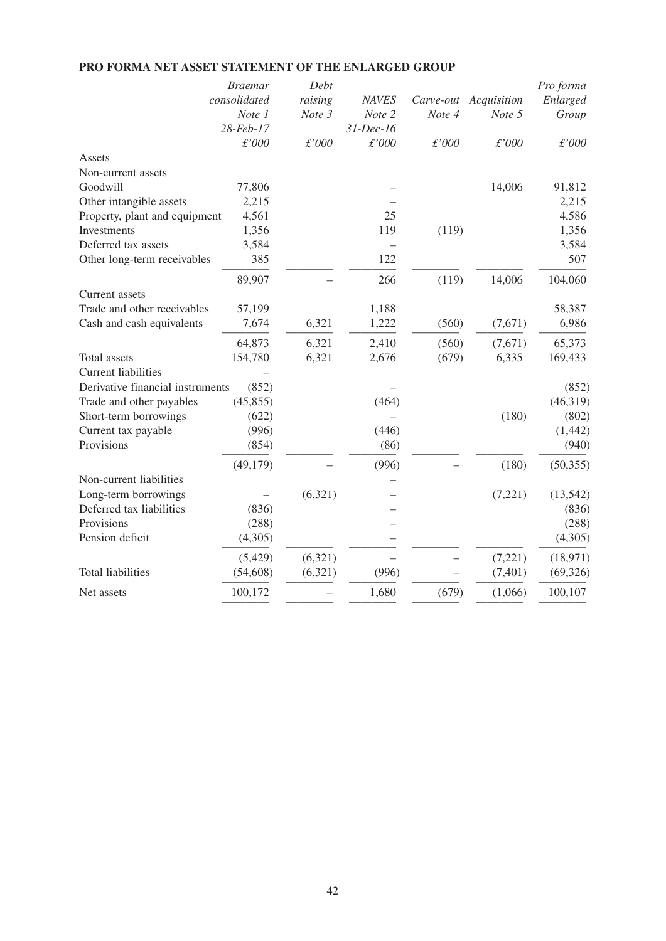|                                  | <b>Braemar</b> | Debt    |              |           |             | Pro forma |
|----------------------------------|----------------|---------|--------------|-----------|-------------|-----------|
|                                  | consolidated   | raising | <b>NAVES</b> | Carve-out | Acquisition | Enlarged  |
|                                  | Note 1         | Note 3  | Note 2       | Note 4    | Note 5      | Group     |
|                                  | 28-Feb-17      |         | $31$ -Dec-16 |           |             |           |
|                                  | £'000          | £'000   | £'000        | £'000     | £'000       | £'000     |
| Assets                           |                |         |              |           |             |           |
| Non-current assets               |                |         |              |           |             |           |
| Goodwill                         | 77,806         |         |              |           | 14,006      | 91,812    |
| Other intangible assets          | 2,215          |         |              |           |             | 2,215     |
| Property, plant and equipment    | 4,561          |         | 25           |           |             | 4,586     |
| Investments                      | 1,356          |         | 119          | (119)     |             | 1,356     |
| Deferred tax assets              | 3,584          |         |              |           |             | 3,584     |
| Other long-term receivables      | 385            |         | 122          |           |             | 507       |
|                                  | 89,907         |         | 266          | (119)     | 14,006      | 104,060   |
| <b>Current</b> assets            |                |         |              |           |             |           |
| Trade and other receivables      | 57,199         |         | 1,188        |           |             | 58,387    |
| Cash and cash equivalents        | 7,674          | 6,321   | 1,222        | (560)     | (7,671)     | 6,986     |
|                                  | 64,873         | 6,321   | 2,410        | (560)     | (7,671)     | 65,373    |
| <b>Total</b> assets              | 154,780        | 6,321   | 2,676        | (679)     | 6,335       | 169,433   |
| <b>Current liabilities</b>       |                |         |              |           |             |           |
| Derivative financial instruments | (852)          |         |              |           |             | (852)     |
| Trade and other payables         | (45, 855)      |         | (464)        |           |             | (46,319)  |
| Short-term borrowings            | (622)          |         |              |           | (180)       | (802)     |
| Current tax payable              | (996)          |         | (446)        |           |             | (1, 442)  |
| Provisions                       | (854)          |         | (86)         |           |             | (940)     |
|                                  | (49,179)       |         | (996)        |           | (180)       | (50, 355) |
| Non-current liabilities          |                |         |              |           |             |           |
| Long-term borrowings             |                | (6,321) |              |           | (7,221)     | (13, 542) |
| Deferred tax liabilities         | (836)          |         |              |           |             | (836)     |
| Provisions                       | (288)          |         |              |           |             | (288)     |
| Pension deficit                  | (4,305)        |         |              |           |             | (4,305)   |
|                                  | (5, 429)       | (6,321) |              |           | (7,221)     | (18,971)  |
| <b>Total liabilities</b>         | (54, 608)      | (6,321) | (996)        |           | (7, 401)    | (69, 326) |
| Net assets                       | 100,172        |         | 1,680        | (679)     | (1,066)     | 100,107   |
|                                  |                |         |              |           |             |           |

# **PRO FORMA NET ASSET STATEMENT OF THE ENLARGED GROUP**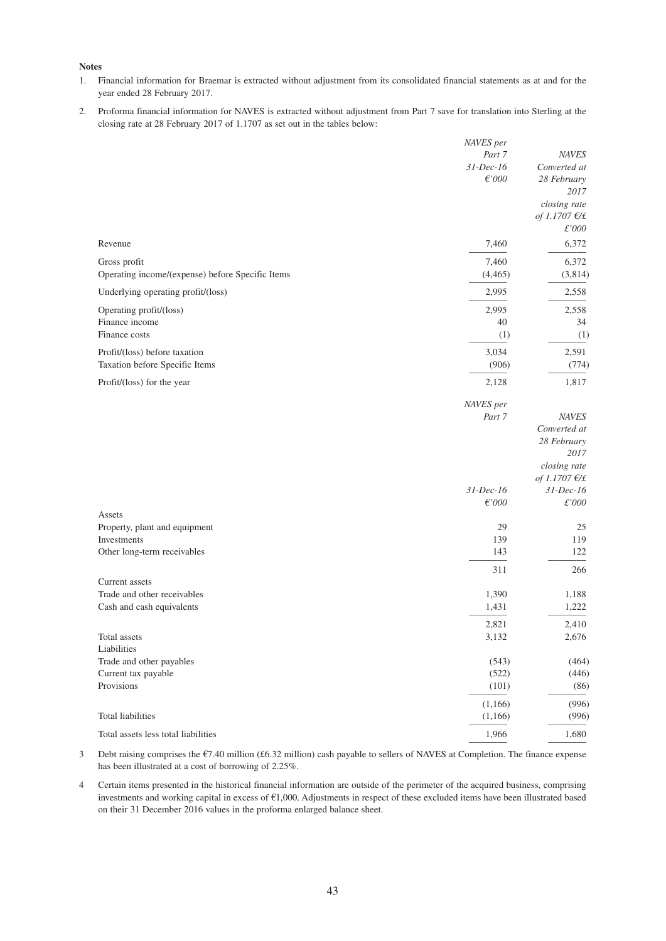#### **Notes**

- 1. Financial information for Braemar is extracted without adjustment from its consolidated financial statements as at and for the year ended 28 February 2017.
- 2. Proforma financial information for NAVES is extracted without adjustment from Part 7 save for translation into Sterling at the closing rate at 28 February 2017 of 1.1707 as set out in the tables below:

|                                                  | NAVES per       |                 |
|--------------------------------------------------|-----------------|-----------------|
|                                                  | Part 7          | <b>NAVES</b>    |
|                                                  | $31$ -Dec-16    | Converted at    |
|                                                  | $\epsilon$ '000 | 28 February     |
|                                                  |                 | 2017            |
|                                                  |                 | closing rate    |
|                                                  |                 | of 1.1707 $E/E$ |
|                                                  |                 | £'000           |
| Revenue                                          | 7,460           | 6,372           |
| Gross profit                                     | 7,460           | 6,372           |
| Operating income/(expense) before Specific Items | (4, 465)        | (3,814)         |
| Underlying operating profit/(loss)               | 2,995           | 2,558           |
| Operating profit/(loss)                          | 2,995           | 2,558           |
| Finance income                                   | 40              | 34              |
| Finance costs                                    | (1)             | (1)             |
| Profit/(loss) before taxation                    | 3,034           | 2,591           |
| Taxation before Specific Items                   | (906)           | (774)           |
|                                                  |                 |                 |
| Profit/(loss) for the year                       | 2,128           | 1,817           |
|                                                  | NAVES per       |                 |
|                                                  | Part 7          | <b>NAVES</b>    |
|                                                  |                 | Converted at    |
|                                                  |                 | 28 February     |
|                                                  |                 | 2017            |
|                                                  |                 | closing rate    |
|                                                  |                 | of 1.1707 $E/E$ |
|                                                  | $31$ -Dec-16    | $31$ -Dec-16    |
|                                                  | $\epsilon$ '000 | £'000           |
| Assets<br>Property, plant and equipment          | 29              | 25              |
| Investments                                      | 139             | 119             |
| Other long-term receivables                      | 143             | 122             |
|                                                  | 311             | 266             |
| Current assets                                   |                 |                 |
| Trade and other receivables                      | 1,390           | 1,188           |
| Cash and cash equivalents                        | 1,431           | 1,222           |
|                                                  | 2,821           | 2,410           |
| Total assets                                     | 3,132           | 2,676           |
| Liabilities                                      |                 |                 |
| Trade and other payables                         | (543)           | (464)           |
| Current tax payable                              | (522)           | (446)           |
| Provisions                                       | (101)           | (86)            |
|                                                  | (1,166)         | (996)           |
| Total liabilities                                | (1,166)         | (996)           |
| Total assets less total liabilities              | 1,966           | 1,680           |
|                                                  |                 |                 |

- 3 Debt raising comprises the €7.40 million (£6.32 million) cash payable to sellers of NAVES at Completion. The finance expense has been illustrated at a cost of borrowing of 2.25%.
- 4 Certain items presented in the historical financial information are outside of the perimeter of the acquired business, comprising investments and working capital in excess of €1,000. Adjustments in respect of these excluded items have been illustrated based on their 31 December 2016 values in the proforma enlarged balance sheet.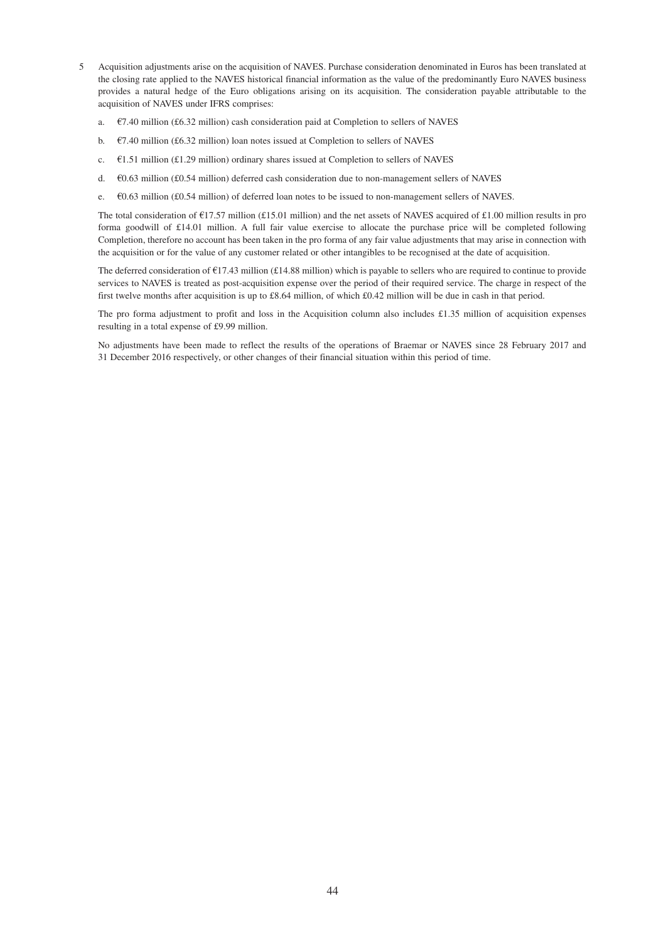- 5 Acquisition adjustments arise on the acquisition of NAVES. Purchase consideration denominated in Euros has been translated at the closing rate applied to the NAVES historical financial information as the value of the predominantly Euro NAVES business provides a natural hedge of the Euro obligations arising on its acquisition. The consideration payable attributable to the acquisition of NAVES under IFRS comprises:
	- a.  $\epsilon$ 7.40 million (£6.32 million) cash consideration paid at Completion to sellers of NAVES
	- b.  $\epsilon$ 7.40 million (£6.32 million) loan notes issued at Completion to sellers of NAVES
	- c.  $\epsilon$ 1.51 million (£1.29 million) ordinary shares issued at Completion to sellers of NAVES
	- d. €0.63 million (£0.54 million) deferred cash consideration due to non-management sellers of NAVES
	- e. €0.63 million (£0.54 million) of deferred loan notes to be issued to non-management sellers of NAVES.

The total consideration of  $\text{\textsterling}17.57$  million (£15.01 million) and the net assets of NAVES acquired of £1.00 million results in pro forma goodwill of £14.01 million. A full fair value exercise to allocate the purchase price will be completed following Completion, therefore no account has been taken in the pro forma of any fair value adjustments that may arise in connection with the acquisition or for the value of any customer related or other intangibles to be recognised at the date of acquisition.

The deferred consideration of €17.43 million (£14.88 million) which is payable to sellers who are required to continue to provide services to NAVES is treated as post-acquisition expense over the period of their required service. The charge in respect of the first twelve months after acquisition is up to £8.64 million, of which £0.42 million will be due in cash in that period.

The pro forma adjustment to profit and loss in the Acquisition column also includes £1.35 million of acquisition expenses resulting in a total expense of £9.99 million.

No adjustments have been made to reflect the results of the operations of Braemar or NAVES since 28 February 2017 and 31 December 2016 respectively, or other changes of their financial situation within this period of time.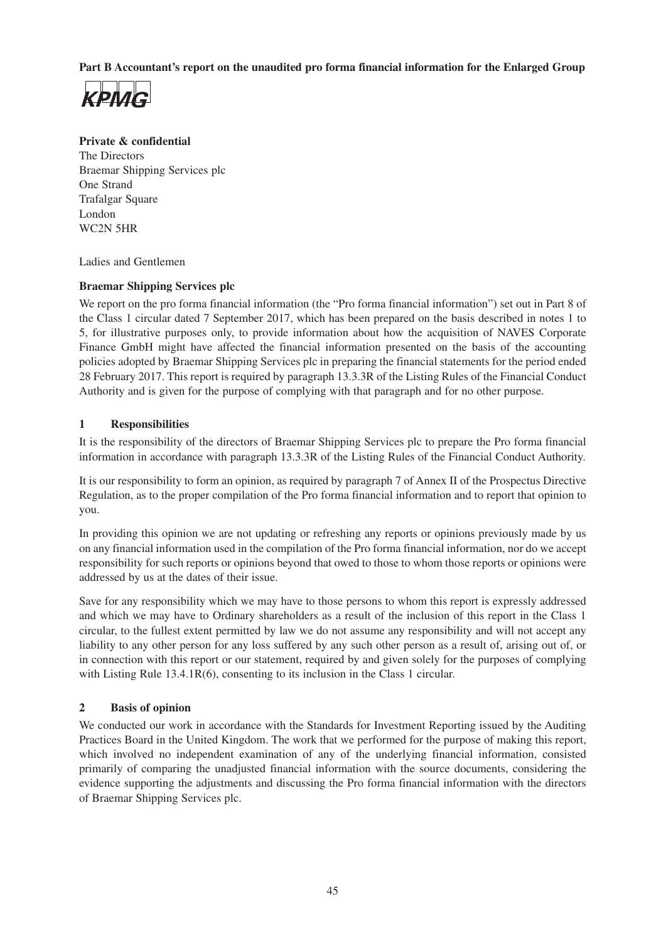**Part B Accountant's report on the unaudited pro forma financial information for the Enlarged Group**



### **Private & confidential**

The Directors Braemar Shipping Services plc One Strand Trafalgar Square London WC2N 5HR

Ladies and Gentlemen

#### **Braemar Shipping Services plc**

We report on the pro forma financial information (the "Pro forma financial information") set out in Part 8 of the Class 1 circular dated 7 September 2017, which has been prepared on the basis described in notes 1 to 5, for illustrative purposes only, to provide information about how the acquisition of NAVES Corporate Finance GmbH might have affected the financial information presented on the basis of the accounting policies adopted by Braemar Shipping Services plc in preparing the financial statements for the period ended 28 February 2017. This report is required by paragraph 13.3.3R of the Listing Rules of the Financial Conduct Authority and is given for the purpose of complying with that paragraph and for no other purpose.

#### **1 Responsibilities**

It is the responsibility of the directors of Braemar Shipping Services plc to prepare the Pro forma financial information in accordance with paragraph 13.3.3R of the Listing Rules of the Financial Conduct Authority.

It is our responsibility to form an opinion, as required by paragraph 7 of Annex II of the Prospectus Directive Regulation, as to the proper compilation of the Pro forma financial information and to report that opinion to you.

In providing this opinion we are not updating or refreshing any reports or opinions previously made by us on any financial information used in the compilation of the Pro forma financial information, nor do we accept responsibility for such reports or opinions beyond that owed to those to whom those reports or opinions were addressed by us at the dates of their issue.

Save for any responsibility which we may have to those persons to whom this report is expressly addressed and which we may have to Ordinary shareholders as a result of the inclusion of this report in the Class 1 circular, to the fullest extent permitted by law we do not assume any responsibility and will not accept any liability to any other person for any loss suffered by any such other person as a result of, arising out of, or in connection with this report or our statement, required by and given solely for the purposes of complying with Listing Rule 13.4.1R(6), consenting to its inclusion in the Class 1 circular.

#### **2 Basis of opinion**

We conducted our work in accordance with the Standards for Investment Reporting issued by the Auditing Practices Board in the United Kingdom. The work that we performed for the purpose of making this report, which involved no independent examination of any of the underlying financial information, consisted primarily of comparing the unadjusted financial information with the source documents, considering the evidence supporting the adjustments and discussing the Pro forma financial information with the directors of Braemar Shipping Services plc.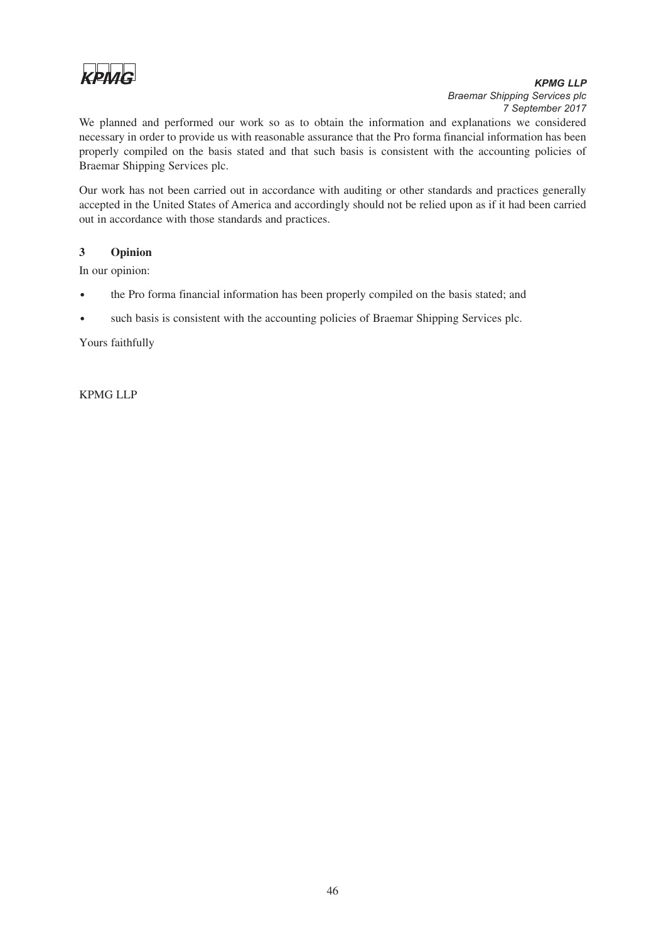

# *KPMG LLP Braemar Shipping Services plc*

We planned and performed our work so as to obtain the information and explanations we considered necessary in order to provide us with reasonable assurance that the Pro forma financial information has been properly compiled on the basis stated and that such basis is consistent with the accounting policies of Braemar Shipping Services plc.

Our work has not been carried out in accordance with auditing or other standards and practices generally accepted in the United States of America and accordingly should not be relied upon as if it had been carried out in accordance with those standards and practices.

#### **3 Opinion**

In our opinion:

- the Pro forma financial information has been properly compiled on the basis stated; and
- such basis is consistent with the accounting policies of Braemar Shipping Services plc.

Yours faithfully

KPMG LLP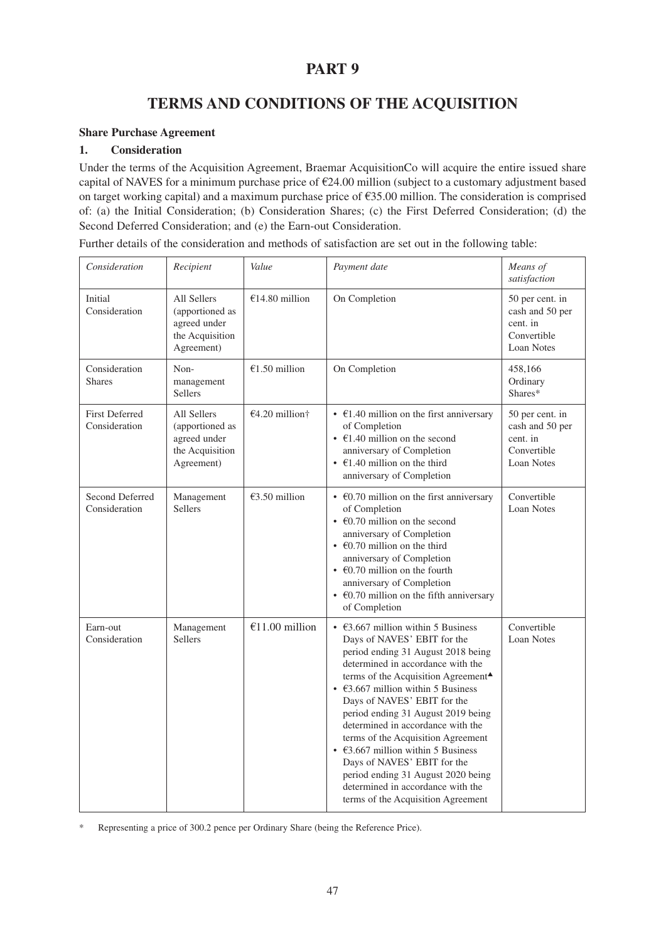# **TERMS AND CONDITIONS OF THE ACQUISITION**

#### **Share Purchase Agreement**

#### **1. Consideration**

Under the terms of the Acquisition Agreement, Braemar AcquisitionCo will acquire the entire issued share capital of NAVES for a minimum purchase price of  $\epsilon$ 24.00 million (subject to a customary adjustment based on target working capital) and a maximum purchase price of €35.00 million. The consideration is comprised of: (a) the Initial Consideration; (b) Consideration Shares; (c) the First Deferred Consideration; (d) the Second Deferred Consideration; and (e) the Earn-out Consideration.

| Further details of the consideration and methods of satisfaction are set out in the following table: |  |
|------------------------------------------------------------------------------------------------------|--|
|------------------------------------------------------------------------------------------------------|--|

| Consideration                          | Recipient                                                                       | Value            | Payment date                                                                                                                                                                                                                                                                                                                                                                                                                                                                                                                                                                                                         | Means of<br>satisfaction                                                    |
|----------------------------------------|---------------------------------------------------------------------------------|------------------|----------------------------------------------------------------------------------------------------------------------------------------------------------------------------------------------------------------------------------------------------------------------------------------------------------------------------------------------------------------------------------------------------------------------------------------------------------------------------------------------------------------------------------------------------------------------------------------------------------------------|-----------------------------------------------------------------------------|
| Initial<br>Consideration               | All Sellers<br>(apportioned as<br>agreed under<br>the Acquisition<br>Agreement) | €14.80 million   | On Completion                                                                                                                                                                                                                                                                                                                                                                                                                                                                                                                                                                                                        | 50 per cent. in<br>cash and 50 per<br>cent. in<br>Convertible<br>Loan Notes |
| Consideration<br><b>Shares</b>         | Non-<br>management<br>Sellers                                                   | €1.50 million    | On Completion                                                                                                                                                                                                                                                                                                                                                                                                                                                                                                                                                                                                        | 458,166<br>Ordinary<br>Shares*                                              |
| <b>First Deferred</b><br>Consideration | All Sellers<br>(apportioned as<br>agreed under<br>the Acquisition<br>Agreement) | $€4.20$ million† | • $\epsilon$ 1.40 million on the first anniversary<br>of Completion<br>$\cdot$ €1.40 million on the second<br>anniversary of Completion<br>• $\epsilon$ 1.40 million on the third<br>anniversary of Completion                                                                                                                                                                                                                                                                                                                                                                                                       | 50 per cent. in<br>cash and 50 per<br>cent. in<br>Convertible<br>Loan Notes |
| Second Deferred<br>Consideration       | Management<br><b>Sellers</b>                                                    | €3.50 million    | • $\epsilon$ 0.70 million on the first anniversary<br>of Completion<br>$\cdot$ $\in$ 60.70 million on the second<br>anniversary of Completion<br>$\cdot$ €0.70 million on the third<br>anniversary of Completion<br>$\cdot$ €0.70 million on the fourth<br>anniversary of Completion<br>• $\epsilon$ 0.70 million on the fifth anniversary<br>of Completion                                                                                                                                                                                                                                                          | Convertible<br>Loan Notes                                                   |
| Earn-out<br>Consideration              | Management<br>Sellers                                                           | €11.00 million   | • $\epsilon$ 3.667 million within 5 Business<br>Days of NAVES' EBIT for the<br>period ending 31 August 2018 being<br>determined in accordance with the<br>terms of the Acquisition Agreement <sup>4</sup><br>• $\epsilon$ 3.667 million within 5 Business<br>Days of NAVES' EBIT for the<br>period ending 31 August 2019 being<br>determined in accordance with the<br>terms of the Acquisition Agreement<br>• $\text{\textsterling}3.667$ million within 5 Business<br>Days of NAVES' EBIT for the<br>period ending 31 August 2020 being<br>determined in accordance with the<br>terms of the Acquisition Agreement | Convertible<br>Loan Notes                                                   |

\* Representing a price of 300.2 pence per Ordinary Share (being the Reference Price).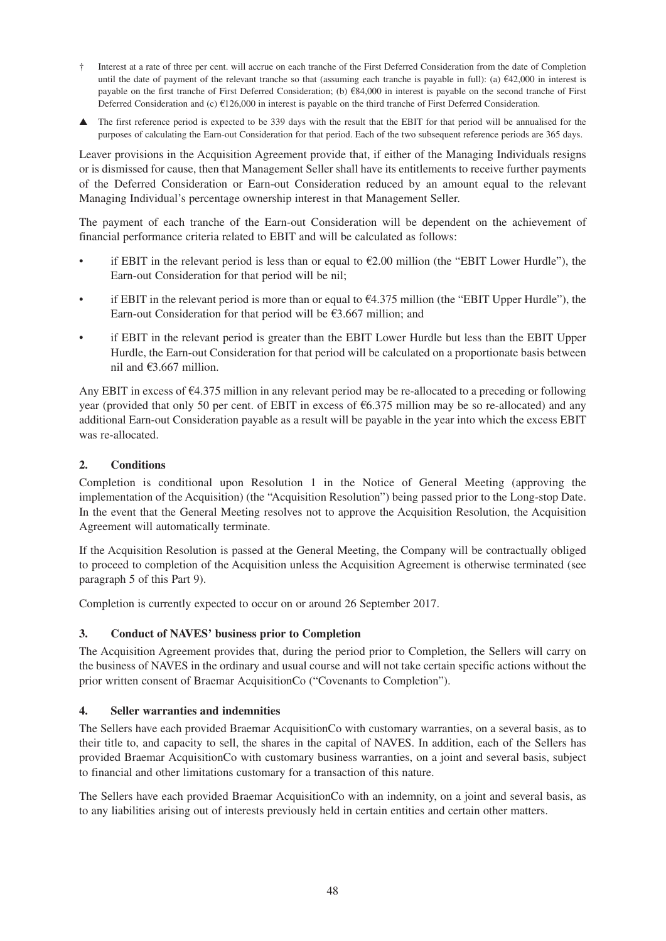- Interest at a rate of three per cent. will accrue on each tranche of the First Deferred Consideration from the date of Completion until the date of payment of the relevant tranche so that (assuming each tranche is payable in full): (a)  $\epsilon$ 42,000 in interest is payable on the first tranche of First Deferred Consideration; (b) €84,000 in interest is payable on the second tranche of First Deferred Consideration and (c) €126,000 in interest is payable on the third tranche of First Deferred Consideration.
- The first reference period is expected to be 339 days with the result that the EBIT for that period will be annualised for the purposes of calculating the Earn-out Consideration for that period. Each of the two subsequent reference periods are 365 days.

Leaver provisions in the Acquisition Agreement provide that, if either of the Managing Individuals resigns or is dismissed for cause, then that Management Seller shall have its entitlements to receive further payments of the Deferred Consideration or Earn-out Consideration reduced by an amount equal to the relevant Managing Individual's percentage ownership interest in that Management Seller.

The payment of each tranche of the Earn-out Consideration will be dependent on the achievement of financial performance criteria related to EBIT and will be calculated as follows:

- if EBIT in the relevant period is less than or equal to  $E2.00$  million (the "EBIT Lower Hurdle"), the Earn-out Consideration for that period will be nil;
- if EBIT in the relevant period is more than or equal to  $64.375$  million (the "EBIT Upper Hurdle"), the Earn-out Consideration for that period will be  $\epsilon$ 3.667 million; and
- if EBIT in the relevant period is greater than the EBIT Lower Hurdle but less than the EBIT Upper Hurdle, the Earn-out Consideration for that period will be calculated on a proportionate basis between nil and  $\text{\textsterling}3.667$  million.

Any EBIT in excess of  $\epsilon$ 4.375 million in any relevant period may be re-allocated to a preceding or following year (provided that only 50 per cent. of EBIT in excess of  $66.375$  million may be so re-allocated) and any additional Earn-out Consideration payable as a result will be payable in the year into which the excess EBIT was re-allocated.

#### **2. Conditions**

Completion is conditional upon Resolution 1 in the Notice of General Meeting (approving the implementation of the Acquisition) (the "Acquisition Resolution") being passed prior to the Long-stop Date. In the event that the General Meeting resolves not to approve the Acquisition Resolution, the Acquisition Agreement will automatically terminate.

If the Acquisition Resolution is passed at the General Meeting, the Company will be contractually obliged to proceed to completion of the Acquisition unless the Acquisition Agreement is otherwise terminated (see paragraph 5 of this Part 9).

Completion is currently expected to occur on or around 26 September 2017.

#### **3. Conduct of NAVES' business prior to Completion**

The Acquisition Agreement provides that, during the period prior to Completion, the Sellers will carry on the business of NAVES in the ordinary and usual course and will not take certain specific actions without the prior written consent of Braemar AcquisitionCo ("Covenants to Completion").

#### **4. Seller warranties and indemnities**

The Sellers have each provided Braemar AcquisitionCo with customary warranties, on a several basis, as to their title to, and capacity to sell, the shares in the capital of NAVES. In addition, each of the Sellers has provided Braemar AcquisitionCo with customary business warranties, on a joint and several basis, subject to financial and other limitations customary for a transaction of this nature.

The Sellers have each provided Braemar AcquisitionCo with an indemnity, on a joint and several basis, as to any liabilities arising out of interests previously held in certain entities and certain other matters.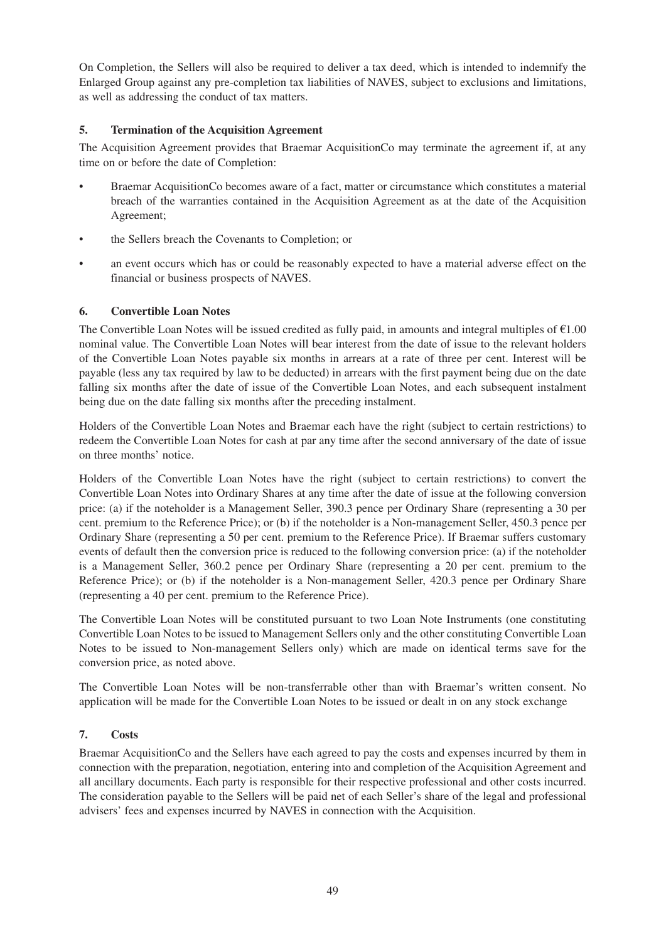On Completion, the Sellers will also be required to deliver a tax deed, which is intended to indemnify the Enlarged Group against any pre-completion tax liabilities of NAVES, subject to exclusions and limitations, as well as addressing the conduct of tax matters.

#### **5. Termination of the Acquisition Agreement**

The Acquisition Agreement provides that Braemar AcquisitionCo may terminate the agreement if, at any time on or before the date of Completion:

- Braemar AcquisitionCo becomes aware of a fact, matter or circumstance which constitutes a material breach of the warranties contained in the Acquisition Agreement as at the date of the Acquisition Agreement;
- the Sellers breach the Covenants to Completion; or
- an event occurs which has or could be reasonably expected to have a material adverse effect on the financial or business prospects of NAVES.

#### **6. Convertible Loan Notes**

The Convertible Loan Notes will be issued credited as fully paid, in amounts and integral multiples of  $\epsilon$ 1.00 nominal value. The Convertible Loan Notes will bear interest from the date of issue to the relevant holders of the Convertible Loan Notes payable six months in arrears at a rate of three per cent. Interest will be payable (less any tax required by law to be deducted) in arrears with the first payment being due on the date falling six months after the date of issue of the Convertible Loan Notes, and each subsequent instalment being due on the date falling six months after the preceding instalment.

Holders of the Convertible Loan Notes and Braemar each have the right (subject to certain restrictions) to redeem the Convertible Loan Notes for cash at par any time after the second anniversary of the date of issue on three months' notice.

Holders of the Convertible Loan Notes have the right (subject to certain restrictions) to convert the Convertible Loan Notes into Ordinary Shares at any time after the date of issue at the following conversion price: (a) if the noteholder is a Management Seller, 390.3 pence per Ordinary Share (representing a 30 per cent. premium to the Reference Price); or (b) if the noteholder is a Non-management Seller, 450.3 pence per Ordinary Share (representing a 50 per cent. premium to the Reference Price). If Braemar suffers customary events of default then the conversion price is reduced to the following conversion price: (a) if the noteholder is a Management Seller, 360.2 pence per Ordinary Share (representing a 20 per cent. premium to the Reference Price); or (b) if the noteholder is a Non-management Seller, 420.3 pence per Ordinary Share (representing a 40 per cent. premium to the Reference Price).

The Convertible Loan Notes will be constituted pursuant to two Loan Note Instruments (one constituting Convertible Loan Notes to be issued to Management Sellers only and the other constituting Convertible Loan Notes to be issued to Non-management Sellers only) which are made on identical terms save for the conversion price, as noted above.

The Convertible Loan Notes will be non-transferrable other than with Braemar's written consent. No application will be made for the Convertible Loan Notes to be issued or dealt in on any stock exchange

#### **7. Costs**

Braemar AcquisitionCo and the Sellers have each agreed to pay the costs and expenses incurred by them in connection with the preparation, negotiation, entering into and completion of the Acquisition Agreement and all ancillary documents. Each party is responsible for their respective professional and other costs incurred. The consideration payable to the Sellers will be paid net of each Seller's share of the legal and professional advisers' fees and expenses incurred by NAVES in connection with the Acquisition.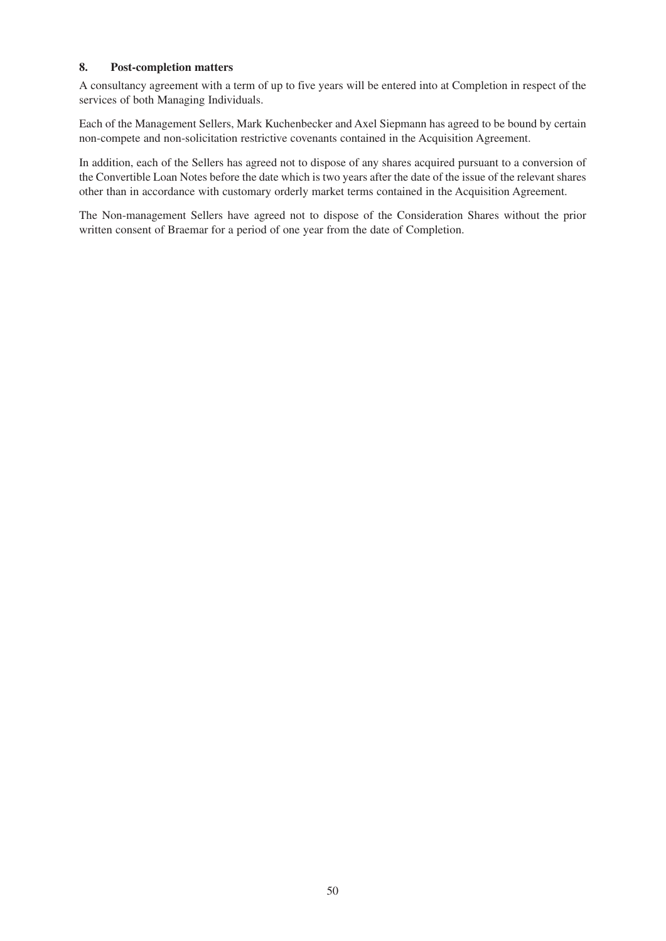#### **8. Post-completion matters**

A consultancy agreement with a term of up to five years will be entered into at Completion in respect of the services of both Managing Individuals.

Each of the Management Sellers, Mark Kuchenbecker and Axel Siepmann has agreed to be bound by certain non-compete and non-solicitation restrictive covenants contained in the Acquisition Agreement.

In addition, each of the Sellers has agreed not to dispose of any shares acquired pursuant to a conversion of the Convertible Loan Notes before the date which is two years after the date of the issue of the relevant shares other than in accordance with customary orderly market terms contained in the Acquisition Agreement.

The Non-management Sellers have agreed not to dispose of the Consideration Shares without the prior written consent of Braemar for a period of one year from the date of Completion.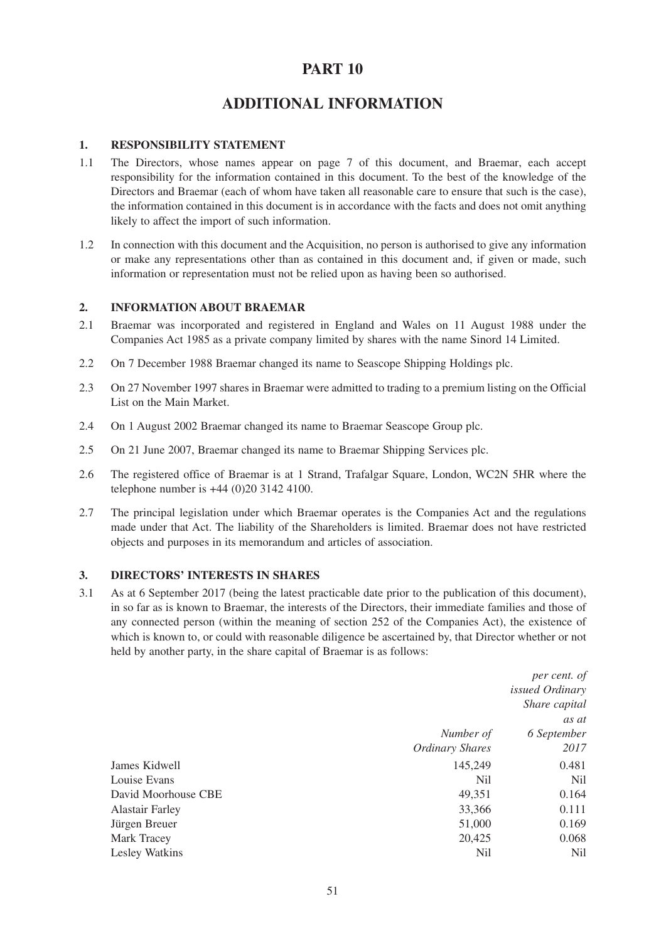# **ADDITIONAL INFORMATION**

#### **1. RESPONSIBILITY STATEMENT**

- 1.1 The Directors, whose names appear on page 7 of this document, and Braemar, each accept responsibility for the information contained in this document. To the best of the knowledge of the Directors and Braemar (each of whom have taken all reasonable care to ensure that such is the case), the information contained in this document is in accordance with the facts and does not omit anything likely to affect the import of such information.
- 1.2 In connection with this document and the Acquisition, no person is authorised to give any information or make any representations other than as contained in this document and, if given or made, such information or representation must not be relied upon as having been so authorised.

#### **2. INFORMATION ABOUT BRAEMAR**

- 2.1 Braemar was incorporated and registered in England and Wales on 11 August 1988 under the Companies Act 1985 as a private company limited by shares with the name Sinord 14 Limited.
- 2.2 On 7 December 1988 Braemar changed its name to Seascope Shipping Holdings plc.
- 2.3 On 27 November 1997 shares in Braemar were admitted to trading to a premium listing on the Official List on the Main Market.
- 2.4 On 1 August 2002 Braemar changed its name to Braemar Seascope Group plc.
- 2.5 On 21 June 2007, Braemar changed its name to Braemar Shipping Services plc.
- 2.6 The registered office of Braemar is at 1 Strand, Trafalgar Square, London, WC2N 5HR where the telephone number is +44 (0)20 3142 4100.
- 2.7 The principal legislation under which Braemar operates is the Companies Act and the regulations made under that Act. The liability of the Shareholders is limited. Braemar does not have restricted objects and purposes in its memorandum and articles of association.

#### **3. DIRECTORS' INTERESTS IN SHARES**

3.1 As at 6 September 2017 (being the latest practicable date prior to the publication of this document), in so far as is known to Braemar, the interests of the Directors, their immediate families and those of any connected person (within the meaning of section 252 of the Companies Act), the existence of which is known to, or could with reasonable diligence be ascertained by, that Director whether or not held by another party, in the share capital of Braemar is as follows:

|                        | per cent. of           |
|------------------------|------------------------|
|                        | <i>issued Ordinary</i> |
|                        | Share capital          |
|                        | as at                  |
| Number of              | 6 September            |
| <b>Ordinary Shares</b> | 2017                   |
| 145,249                | 0.481                  |
| Nil                    | Nil                    |
| 49,351                 | 0.164                  |
| 33,366                 | 0.111                  |
| 51,000                 | 0.169                  |
| 20,425                 | 0.068                  |
| Nil                    | Nil                    |
|                        |                        |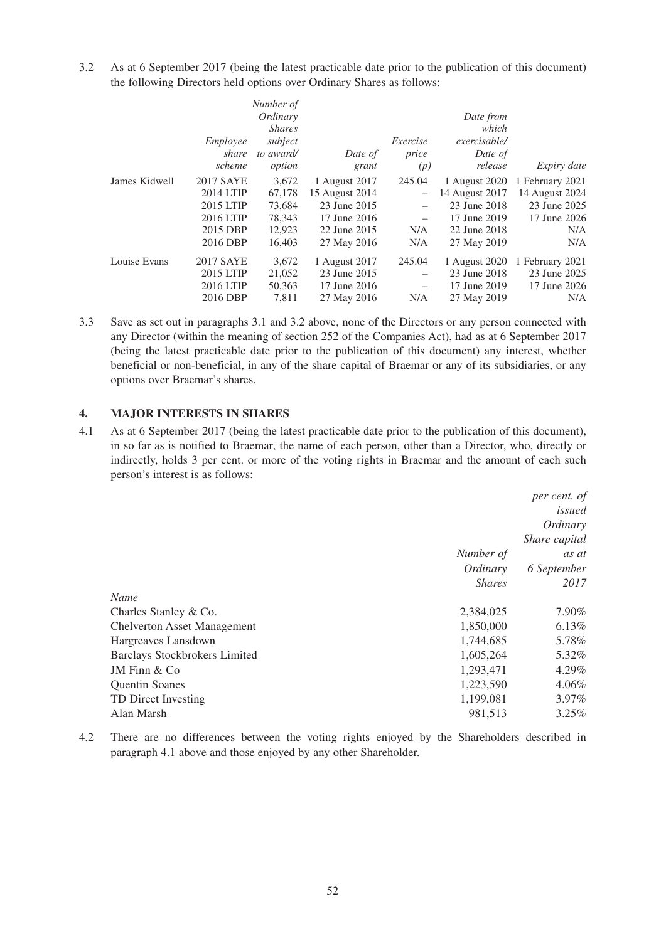3.2 As at 6 September 2017 (being the latest practicable date prior to the publication of this document) the following Directors held options over Ordinary Shares as follows:

|               |                  | Number of     |                |                          |                |                    |
|---------------|------------------|---------------|----------------|--------------------------|----------------|--------------------|
|               |                  | Ordinary      |                |                          | Date from      |                    |
|               |                  | <i>Shares</i> |                |                          | which          |                    |
|               | Employee         | subject       |                | Exercise                 | exercisable/   |                    |
|               | share            | to award/     | Date of        | price                    | Date of        |                    |
|               | scheme           | option        | grant          | (p)                      | release        | <i>Expiry date</i> |
| James Kidwell | <b>2017 SAYE</b> | 3,672         | 1 August 2017  | 245.04                   | 1 August 2020  | 1 February 2021    |
|               | 2014 LTIP        | 67,178        | 15 August 2014 | $-$                      | 14 August 2017 | 14 August 2024     |
|               | 2015 LTIP        | 73,684        | 23 June 2015   |                          | 23 June 2018   | 23 June 2025       |
|               | 2016 LTIP        | 78,343        | 17 June 2016   |                          | 17 June 2019   | 17 June 2026       |
|               | 2015 DBP         | 12,923        | 22 June 2015   | N/A                      | 22 June 2018   | N/A                |
|               | 2016 DBP         | 16,403        | 27 May 2016    | N/A                      | 27 May 2019    | N/A                |
| Louise Evans  | 2017 SAYE        | 3,672         | 1 August 2017  | 245.04                   | 1 August 2020  | 1 February 2021    |
|               | 2015 LTIP        | 21,052        | 23 June 2015   |                          | 23 June 2018   | 23 June 2025       |
|               | 2016 LTIP        | 50,363        | 17 June 2016   | $\overline{\phantom{m}}$ | 17 June 2019   | 17 June 2026       |
|               | 2016 DBP         | 7,811         | 27 May 2016    | N/A                      | 27 May 2019    | N/A                |

3.3 Save as set out in paragraphs 3.1 and 3.2 above, none of the Directors or any person connected with any Director (within the meaning of section 252 of the Companies Act), had as at 6 September 2017 (being the latest practicable date prior to the publication of this document) any interest, whether beneficial or non-beneficial, in any of the share capital of Braemar or any of its subsidiaries, or any options over Braemar's shares.

#### **4. MAJOR INTERESTS IN SHARES**

4.1 As at 6 September 2017 (being the latest practicable date prior to the publication of this document), in so far as is notified to Braemar, the name of each person, other than a Director, who, directly or indirectly, holds 3 per cent. or more of the voting rights in Braemar and the amount of each such person's interest is as follows:

|                                      |               | per cent. of  |
|--------------------------------------|---------------|---------------|
|                                      |               | issued        |
|                                      |               | Ordinary      |
|                                      |               | Share capital |
|                                      | Number of     | as at         |
|                                      | Ordinary      | 6 September   |
|                                      | <b>Shares</b> | 2017          |
| Name                                 |               |               |
| Charles Stanley & Co.                | 2,384,025     | 7.90%         |
| <b>Chelverton Asset Management</b>   | 1,850,000     | 6.13%         |
| Hargreaves Lansdown                  | 1,744,685     | 5.78%         |
| <b>Barclays Stockbrokers Limited</b> | 1,605,264     | 5.32%         |
| JM Finn $& Co$                       | 1,293,471     | 4.29%         |
| <b>Quentin Soanes</b>                | 1,223,590     | 4.06%         |
| TD Direct Investing                  | 1,199,081     | 3.97%         |
| Alan Marsh                           | 981.513       | 3.25%         |

4.2 There are no differences between the voting rights enjoyed by the Shareholders described in paragraph 4.1 above and those enjoyed by any other Shareholder.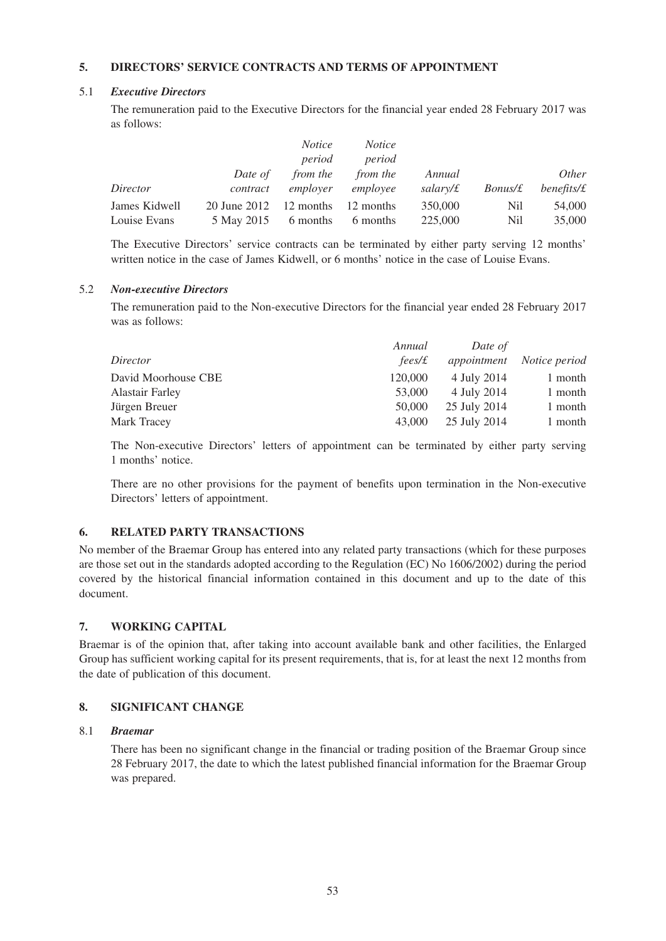### **5. DIRECTORS' SERVICE CONTRACTS AND TERMS OF APPOINTMENT**

#### 5.1 *Executive Directors*

The remuneration paid to the Executive Directors for the financial year ended 28 February 2017 was as follows:

|               |                            | <i>Notice</i><br>period | <i>Notice</i><br>period |          |                |              |
|---------------|----------------------------|-------------------------|-------------------------|----------|----------------|--------------|
|               | Date of                    | <i>from the</i>         | <i>from the</i>         | Annual   |                | <i>Other</i> |
| Director      | contract                   | employer                | employee                | salary/£ | <i>Bonus/£</i> | benefits/f   |
| James Kidwell | $20$ June $2012$ 12 months |                         | 12 months               | 350,000  | Nil            | 54,000       |
| Louise Evans  | 5 May 2015                 | 6 months                | 6 months                | 225,000  | Nil            | 35,000       |

The Executive Directors' service contracts can be terminated by either party serving 12 months' written notice in the case of James Kidwell, or 6 months' notice in the case of Louise Evans.

#### 5.2 *Non-executive Directors*

The remuneration paid to the Non-executive Directors for the financial year ended 28 February 2017 was as follows:

| Annual  | Date of      |               |
|---------|--------------|---------------|
| fees/£  | appointment  | Notice period |
| 120,000 | 4 July 2014  | 1 month       |
| 53,000  | 4 July 2014  | 1 month       |
| 50,000  | 25 July 2014 | 1 month       |
| 43,000  | 25 July 2014 | 1 month       |
|         |              |               |

The Non-executive Directors' letters of appointment can be terminated by either party serving 1 months' notice.

There are no other provisions for the payment of benefits upon termination in the Non-executive Directors' letters of appointment.

#### **6. RELATED PARTY TRANSACTIONS**

No member of the Braemar Group has entered into any related party transactions (which for these purposes are those set out in the standards adopted according to the Regulation (EC) No 1606/2002) during the period covered by the historical financial information contained in this document and up to the date of this document.

#### **7. WORKING CAPITAL**

Braemar is of the opinion that, after taking into account available bank and other facilities, the Enlarged Group has sufficient working capital for its present requirements, that is, for at least the next 12 months from the date of publication of this document.

#### **8. SIGNIFICANT CHANGE**

#### 8.1 *Braemar*

There has been no significant change in the financial or trading position of the Braemar Group since 28 February 2017, the date to which the latest published financial information for the Braemar Group was prepared.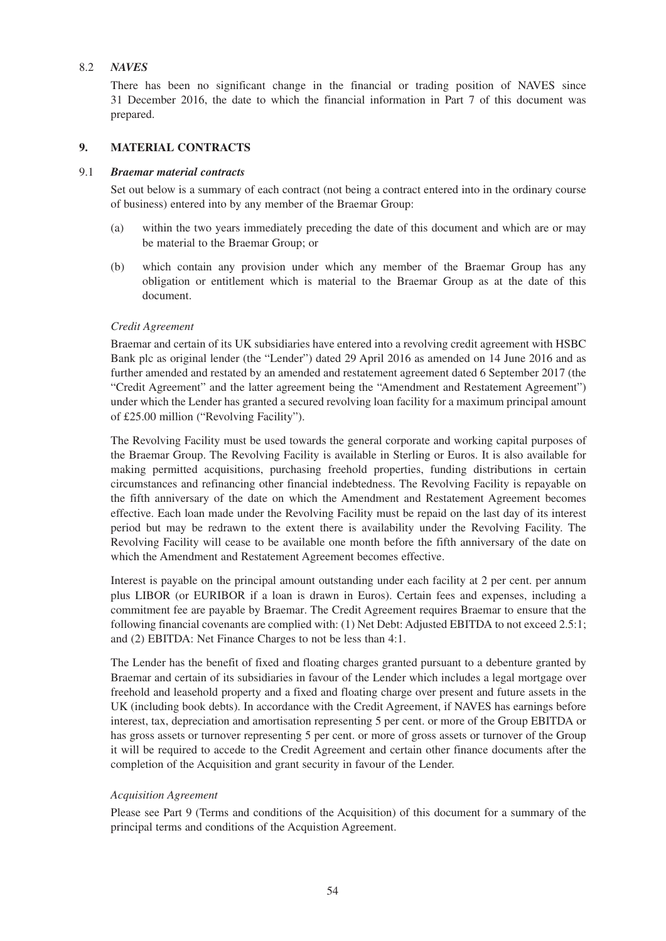#### 8.2 *NAVES*

There has been no significant change in the financial or trading position of NAVES since 31 December 2016, the date to which the financial information in Part 7 of this document was prepared.

#### **9. MATERIAL CONTRACTS**

#### 9.1 *Braemar material contracts*

Set out below is a summary of each contract (not being a contract entered into in the ordinary course of business) entered into by any member of the Braemar Group:

- (a) within the two years immediately preceding the date of this document and which are or may be material to the Braemar Group; or
- (b) which contain any provision under which any member of the Braemar Group has any obligation or entitlement which is material to the Braemar Group as at the date of this document.

#### *Credit Agreement*

Braemar and certain of its UK subsidiaries have entered into a revolving credit agreement with HSBC Bank plc as original lender (the "Lender") dated 29 April 2016 as amended on 14 June 2016 and as further amended and restated by an amended and restatement agreement dated 6 September 2017 (the "Credit Agreement" and the latter agreement being the "Amendment and Restatement Agreement") under which the Lender has granted a secured revolving loan facility for a maximum principal amount of £25.00 million ("Revolving Facility").

The Revolving Facility must be used towards the general corporate and working capital purposes of the Braemar Group. The Revolving Facility is available in Sterling or Euros. It is also available for making permitted acquisitions, purchasing freehold properties, funding distributions in certain circumstances and refinancing other financial indebtedness. The Revolving Facility is repayable on the fifth anniversary of the date on which the Amendment and Restatement Agreement becomes effective. Each loan made under the Revolving Facility must be repaid on the last day of its interest period but may be redrawn to the extent there is availability under the Revolving Facility. The Revolving Facility will cease to be available one month before the fifth anniversary of the date on which the Amendment and Restatement Agreement becomes effective.

Interest is payable on the principal amount outstanding under each facility at 2 per cent. per annum plus LIBOR (or EURIBOR if a loan is drawn in Euros). Certain fees and expenses, including a commitment fee are payable by Braemar. The Credit Agreement requires Braemar to ensure that the following financial covenants are complied with: (1) Net Debt: Adjusted EBITDA to not exceed 2.5:1; and (2) EBITDA: Net Finance Charges to not be less than 4:1.

The Lender has the benefit of fixed and floating charges granted pursuant to a debenture granted by Braemar and certain of its subsidiaries in favour of the Lender which includes a legal mortgage over freehold and leasehold property and a fixed and floating charge over present and future assets in the UK (including book debts). In accordance with the Credit Agreement, if NAVES has earnings before interest, tax, depreciation and amortisation representing 5 per cent. or more of the Group EBITDA or has gross assets or turnover representing 5 per cent. or more of gross assets or turnover of the Group it will be required to accede to the Credit Agreement and certain other finance documents after the completion of the Acquisition and grant security in favour of the Lender.

#### *Acquisition Agreement*

Please see Part 9 (Terms and conditions of the Acquisition) of this document for a summary of the principal terms and conditions of the Acquistion Agreement.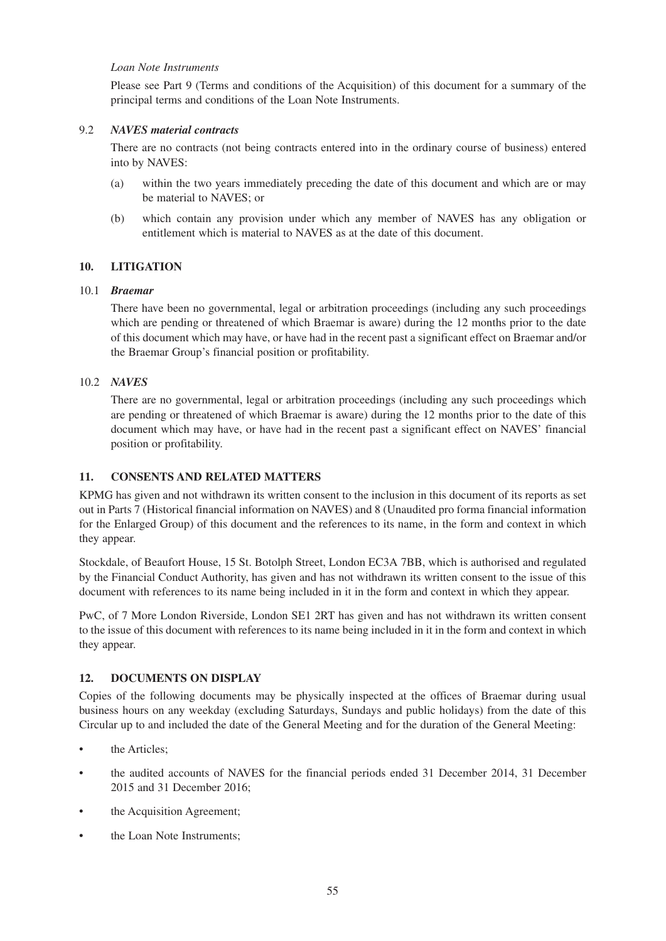#### *Loan Note Instruments*

Please see Part 9 (Terms and conditions of the Acquisition) of this document for a summary of the principal terms and conditions of the Loan Note Instruments.

#### 9.2 *NAVES material contracts*

There are no contracts (not being contracts entered into in the ordinary course of business) entered into by NAVES:

- (a) within the two years immediately preceding the date of this document and which are or may be material to NAVES; or
- (b) which contain any provision under which any member of NAVES has any obligation or entitlement which is material to NAVES as at the date of this document.

#### **10. LITIGATION**

#### 10.1 *Braemar*

There have been no governmental, legal or arbitration proceedings (including any such proceedings which are pending or threatened of which Braemar is aware) during the 12 months prior to the date of this document which may have, or have had in the recent past a significant effect on Braemar and/or the Braemar Group's financial position or profitability.

#### 10.2 *NAVES*

There are no governmental, legal or arbitration proceedings (including any such proceedings which are pending or threatened of which Braemar is aware) during the 12 months prior to the date of this document which may have, or have had in the recent past a significant effect on NAVES' financial position or profitability.

#### **11. CONSENTS AND RELATED MATTERS**

KPMG has given and not withdrawn its written consent to the inclusion in this document of its reports as set out in Parts 7 (Historical financial information on NAVES) and 8 (Unaudited pro forma financial information for the Enlarged Group) of this document and the references to its name, in the form and context in which they appear.

Stockdale, of Beaufort House, 15 St. Botolph Street, London EC3A 7BB, which is authorised and regulated by the Financial Conduct Authority, has given and has not withdrawn its written consent to the issue of this document with references to its name being included in it in the form and context in which they appear.

PwC, of 7 More London Riverside, London SE1 2RT has given and has not withdrawn its written consent to the issue of this document with references to its name being included in it in the form and context in which they appear.

#### **12. DOCUMENTS ON DISPLAY**

Copies of the following documents may be physically inspected at the offices of Braemar during usual business hours on any weekday (excluding Saturdays, Sundays and public holidays) from the date of this Circular up to and included the date of the General Meeting and for the duration of the General Meeting:

- the Articles:
- the audited accounts of NAVES for the financial periods ended 31 December 2014, 31 December 2015 and 31 December 2016;
- the Acquisition Agreement;
- the Loan Note Instruments;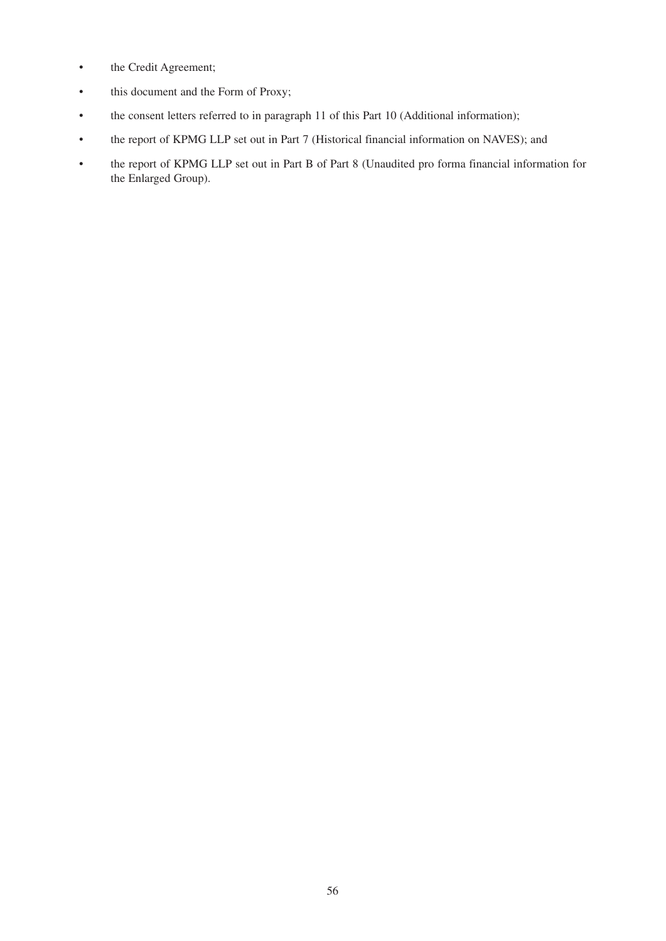- the Credit Agreement;
- this document and the Form of Proxy;
- the consent letters referred to in paragraph 11 of this Part 10 (Additional information);
- the report of KPMG LLP set out in Part 7 (Historical financial information on NAVES); and
- the report of KPMG LLP set out in Part B of Part 8 (Unaudited pro forma financial information for the Enlarged Group).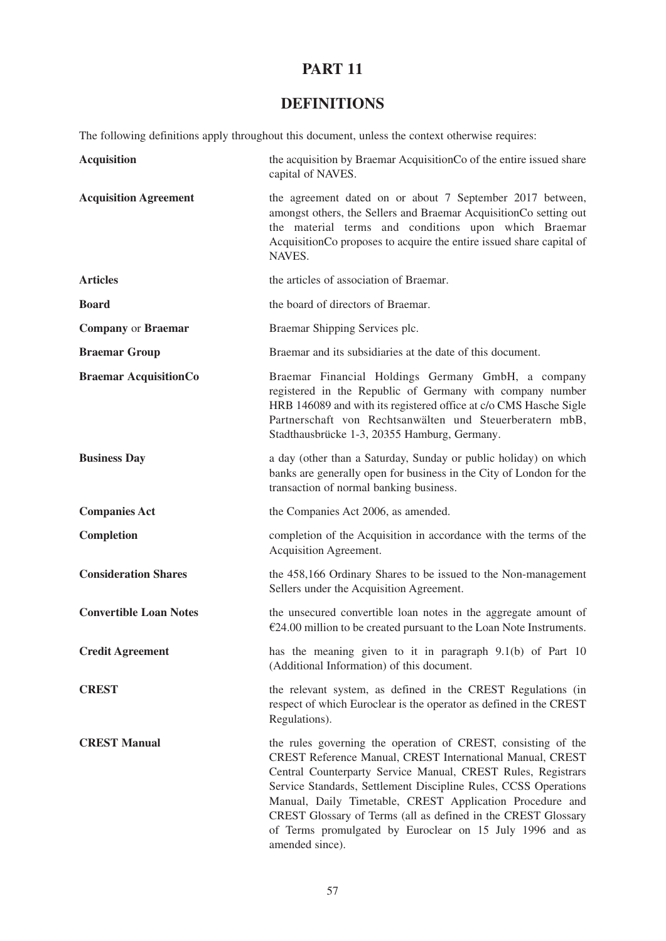# **DEFINITIONS**

The following definitions apply throughout this document, unless the context otherwise requires:

| <b>Acquisition</b>            | the acquisition by Braemar Acquisition Co of the entire issued share<br>capital of NAVES.                                                                                                                                                                                                                                                                                                                                                                                 |
|-------------------------------|---------------------------------------------------------------------------------------------------------------------------------------------------------------------------------------------------------------------------------------------------------------------------------------------------------------------------------------------------------------------------------------------------------------------------------------------------------------------------|
| <b>Acquisition Agreement</b>  | the agreement dated on or about 7 September 2017 between,<br>amongst others, the Sellers and Braemar AcquisitionCo setting out<br>the material terms and conditions upon which Braemar<br>AcquisitionCo proposes to acquire the entire issued share capital of<br>NAVES.                                                                                                                                                                                                  |
| <b>Articles</b>               | the articles of association of Braemar.                                                                                                                                                                                                                                                                                                                                                                                                                                   |
| <b>Board</b>                  | the board of directors of Braemar.                                                                                                                                                                                                                                                                                                                                                                                                                                        |
| <b>Company or Braemar</b>     | Braemar Shipping Services plc.                                                                                                                                                                                                                                                                                                                                                                                                                                            |
| <b>Braemar Group</b>          | Braemar and its subsidiaries at the date of this document.                                                                                                                                                                                                                                                                                                                                                                                                                |
| <b>Braemar AcquisitionCo</b>  | Braemar Financial Holdings Germany GmbH, a company<br>registered in the Republic of Germany with company number<br>HRB 146089 and with its registered office at c/o CMS Hasche Sigle<br>Partnerschaft von Rechtsanwälten und Steuerberatern mbB,<br>Stadthausbrücke 1-3, 20355 Hamburg, Germany.                                                                                                                                                                          |
| <b>Business Day</b>           | a day (other than a Saturday, Sunday or public holiday) on which<br>banks are generally open for business in the City of London for the<br>transaction of normal banking business.                                                                                                                                                                                                                                                                                        |
| <b>Companies Act</b>          | the Companies Act 2006, as amended.                                                                                                                                                                                                                                                                                                                                                                                                                                       |
| <b>Completion</b>             | completion of the Acquisition in accordance with the terms of the<br>Acquisition Agreement.                                                                                                                                                                                                                                                                                                                                                                               |
| <b>Consideration Shares</b>   | the 458,166 Ordinary Shares to be issued to the Non-management<br>Sellers under the Acquisition Agreement.                                                                                                                                                                                                                                                                                                                                                                |
| <b>Convertible Loan Notes</b> | the unsecured convertible loan notes in the aggregate amount of<br>$E$ 24.00 million to be created pursuant to the Loan Note Instruments.                                                                                                                                                                                                                                                                                                                                 |
| <b>Credit Agreement</b>       | has the meaning given to it in paragraph 9.1(b) of Part 10<br>(Additional Information) of this document.                                                                                                                                                                                                                                                                                                                                                                  |
| <b>CREST</b>                  | the relevant system, as defined in the CREST Regulations (in<br>respect of which Euroclear is the operator as defined in the CREST<br>Regulations).                                                                                                                                                                                                                                                                                                                       |
| <b>CREST Manual</b>           | the rules governing the operation of CREST, consisting of the<br>CREST Reference Manual, CREST International Manual, CREST<br>Central Counterparty Service Manual, CREST Rules, Registrars<br>Service Standards, Settlement Discipline Rules, CCSS Operations<br>Manual, Daily Timetable, CREST Application Procedure and<br>CREST Glossary of Terms (all as defined in the CREST Glossary<br>of Terms promulgated by Euroclear on 15 July 1996 and as<br>amended since). |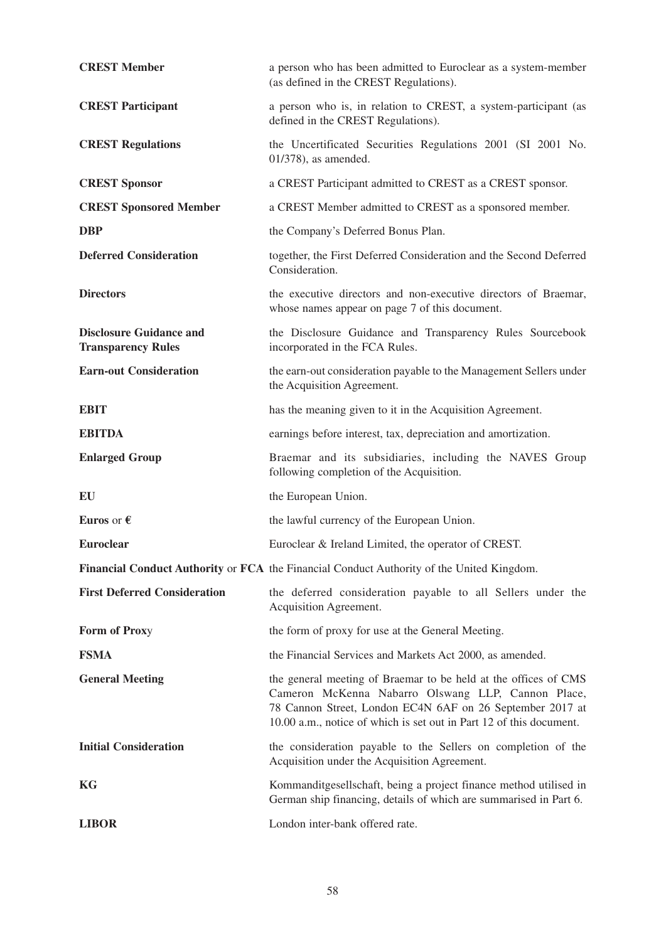| <b>CREST Member</b>                                         | a person who has been admitted to Euroclear as a system-member<br>(as defined in the CREST Regulations).                                                                                                                                                  |
|-------------------------------------------------------------|-----------------------------------------------------------------------------------------------------------------------------------------------------------------------------------------------------------------------------------------------------------|
| <b>CREST Participant</b>                                    | a person who is, in relation to CREST, a system-participant (as<br>defined in the CREST Regulations).                                                                                                                                                     |
| <b>CREST Regulations</b>                                    | the Uncertificated Securities Regulations 2001 (SI 2001 No.<br>$01/378$ , as amended.                                                                                                                                                                     |
| <b>CREST Sponsor</b>                                        | a CREST Participant admitted to CREST as a CREST sponsor.                                                                                                                                                                                                 |
| <b>CREST Sponsored Member</b>                               | a CREST Member admitted to CREST as a sponsored member.                                                                                                                                                                                                   |
| <b>DBP</b>                                                  | the Company's Deferred Bonus Plan.                                                                                                                                                                                                                        |
| <b>Deferred Consideration</b>                               | together, the First Deferred Consideration and the Second Deferred<br>Consideration.                                                                                                                                                                      |
| <b>Directors</b>                                            | the executive directors and non-executive directors of Braemar,<br>whose names appear on page 7 of this document.                                                                                                                                         |
| <b>Disclosure Guidance and</b><br><b>Transparency Rules</b> | the Disclosure Guidance and Transparency Rules Sourcebook<br>incorporated in the FCA Rules.                                                                                                                                                               |
| <b>Earn-out Consideration</b>                               | the earn-out consideration payable to the Management Sellers under<br>the Acquisition Agreement.                                                                                                                                                          |
| <b>EBIT</b>                                                 | has the meaning given to it in the Acquisition Agreement.                                                                                                                                                                                                 |
| <b>EBITDA</b>                                               | earnings before interest, tax, depreciation and amortization.                                                                                                                                                                                             |
| <b>Enlarged Group</b>                                       | Braemar and its subsidiaries, including the NAVES Group<br>following completion of the Acquisition.                                                                                                                                                       |
| EU                                                          | the European Union.                                                                                                                                                                                                                                       |
| Euros or $\epsilon$                                         | the lawful currency of the European Union.                                                                                                                                                                                                                |
| <b>Euroclear</b>                                            | Euroclear & Ireland Limited, the operator of CREST.                                                                                                                                                                                                       |
|                                                             | Financial Conduct Authority or FCA the Financial Conduct Authority of the United Kingdom.                                                                                                                                                                 |
| <b>First Deferred Consideration</b>                         | the deferred consideration payable to all Sellers under the<br>Acquisition Agreement.                                                                                                                                                                     |
| Form of Proxy                                               | the form of proxy for use at the General Meeting.                                                                                                                                                                                                         |
| <b>FSMA</b>                                                 | the Financial Services and Markets Act 2000, as amended.                                                                                                                                                                                                  |
| <b>General Meeting</b>                                      | the general meeting of Braemar to be held at the offices of CMS<br>Cameron McKenna Nabarro Olswang LLP, Cannon Place,<br>78 Cannon Street, London EC4N 6AF on 26 September 2017 at<br>10.00 a.m., notice of which is set out in Part 12 of this document. |
| <b>Initial Consideration</b>                                | the consideration payable to the Sellers on completion of the<br>Acquisition under the Acquisition Agreement.                                                                                                                                             |
|                                                             |                                                                                                                                                                                                                                                           |
| KG                                                          | Kommanditgesellschaft, being a project finance method utilised in<br>German ship financing, details of which are summarised in Part 6.                                                                                                                    |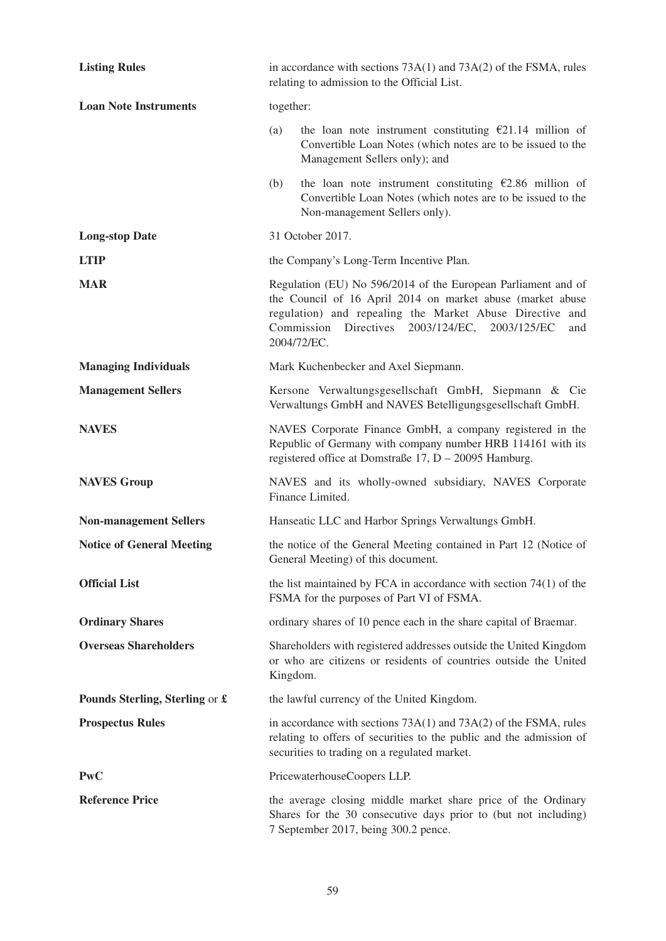| <b>Listing Rules</b>             | in accordance with sections $73A(1)$ and $73A(2)$ of the FSMA, rules<br>relating to admission to the Official List.                                                                                                                                             |                                                                                                                                                                                             |
|----------------------------------|-----------------------------------------------------------------------------------------------------------------------------------------------------------------------------------------------------------------------------------------------------------------|---------------------------------------------------------------------------------------------------------------------------------------------------------------------------------------------|
| <b>Loan Note Instruments</b>     | together:                                                                                                                                                                                                                                                       |                                                                                                                                                                                             |
|                                  | (a)                                                                                                                                                                                                                                                             | the loan note instrument constituting $\epsilon$ 21.14 million of<br>Convertible Loan Notes (which notes are to be issued to the<br>Management Sellers only); and                           |
|                                  | (b)                                                                                                                                                                                                                                                             | the loan note instrument constituting $\epsilon$ 2.86 million of<br>Convertible Loan Notes (which notes are to be issued to the<br>Non-management Sellers only).                            |
| <b>Long-stop Date</b>            | 31 October 2017.                                                                                                                                                                                                                                                |                                                                                                                                                                                             |
| <b>LTIP</b>                      | the Company's Long-Term Incentive Plan.                                                                                                                                                                                                                         |                                                                                                                                                                                             |
| <b>MAR</b>                       | Regulation (EU) No 596/2014 of the European Parliament and of<br>the Council of 16 April 2014 on market abuse (market abuse<br>regulation) and repealing the Market Abuse Directive and<br>Commission Directives 2003/124/EC, 2003/125/EC<br>and<br>2004/72/EC. |                                                                                                                                                                                             |
| <b>Managing Individuals</b>      | Mark Kuchenbecker and Axel Siepmann.                                                                                                                                                                                                                            |                                                                                                                                                                                             |
| <b>Management Sellers</b>        |                                                                                                                                                                                                                                                                 | Kersone Verwaltungsgesellschaft GmbH, Siepmann & Cie<br>Verwaltungs GmbH and NAVES Betelligungsgesellschaft GmbH.                                                                           |
| <b>NAVES</b>                     |                                                                                                                                                                                                                                                                 | NAVES Corporate Finance GmbH, a company registered in the<br>Republic of Germany with company number HRB 114161 with its<br>registered office at Domstraße 17, D - 20095 Hamburg.           |
| <b>NAVES Group</b>               |                                                                                                                                                                                                                                                                 | NAVES and its wholly-owned subsidiary, NAVES Corporate<br>Finance Limited.                                                                                                                  |
| <b>Non-management Sellers</b>    |                                                                                                                                                                                                                                                                 | Hanseatic LLC and Harbor Springs Verwaltungs GmbH.                                                                                                                                          |
| <b>Notice of General Meeting</b> |                                                                                                                                                                                                                                                                 | the notice of the General Meeting contained in Part 12 (Notice of<br>General Meeting) of this document.                                                                                     |
| <b>Official List</b>             |                                                                                                                                                                                                                                                                 | the list maintained by FCA in accordance with section $74(1)$ of the<br>FSMA for the purposes of Part VI of FSMA.                                                                           |
| <b>Ordinary Shares</b>           |                                                                                                                                                                                                                                                                 | ordinary shares of 10 pence each in the share capital of Braemar.                                                                                                                           |
| <b>Overseas Shareholders</b>     | Kingdom.                                                                                                                                                                                                                                                        | Shareholders with registered addresses outside the United Kingdom<br>or who are citizens or residents of countries outside the United                                                       |
| Pounds Sterling, Sterling or £   | the lawful currency of the United Kingdom.                                                                                                                                                                                                                      |                                                                                                                                                                                             |
| <b>Prospectus Rules</b>          |                                                                                                                                                                                                                                                                 | in accordance with sections $73A(1)$ and $73A(2)$ of the FSMA, rules<br>relating to offers of securities to the public and the admission of<br>securities to trading on a regulated market. |
| <b>PwC</b>                       | PricewaterhouseCoopers LLP.                                                                                                                                                                                                                                     |                                                                                                                                                                                             |
| <b>Reference Price</b>           |                                                                                                                                                                                                                                                                 | the average closing middle market share price of the Ordinary<br>Shares for the 30 consecutive days prior to (but not including)<br>7 September 2017, being 300.2 pence.                    |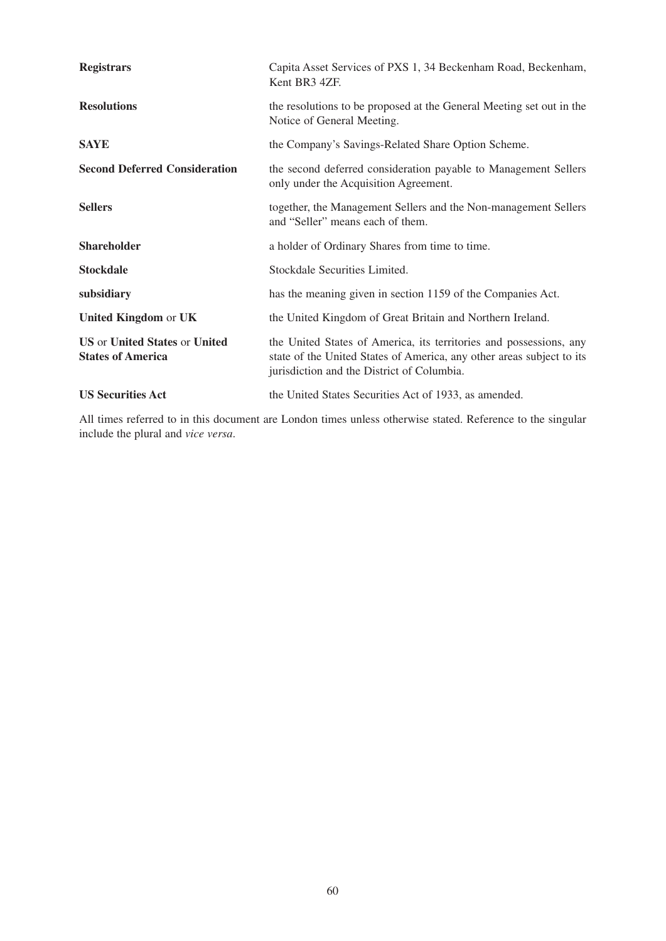| <b>Registrars</b>                                                              | Capita Asset Services of PXS 1, 34 Beckenham Road, Beckenham,<br>Kent BR3 4ZF.                                                                                                            |
|--------------------------------------------------------------------------------|-------------------------------------------------------------------------------------------------------------------------------------------------------------------------------------------|
| <b>Resolutions</b>                                                             | the resolutions to be proposed at the General Meeting set out in the<br>Notice of General Meeting.                                                                                        |
| <b>SAYE</b>                                                                    | the Company's Savings-Related Share Option Scheme.                                                                                                                                        |
| <b>Second Deferred Consideration</b>                                           | the second deferred consideration payable to Management Sellers<br>only under the Acquisition Agreement.                                                                                  |
| <b>Sellers</b>                                                                 | together, the Management Sellers and the Non-management Sellers<br>and "Seller" means each of them.                                                                                       |
| <b>Shareholder</b>                                                             | a holder of Ordinary Shares from time to time.                                                                                                                                            |
| <b>Stockdale</b>                                                               | Stockdale Securities Limited.                                                                                                                                                             |
| subsidiary                                                                     | has the meaning given in section 1159 of the Companies Act.                                                                                                                               |
| United Kingdom or UK                                                           | the United Kingdom of Great Britain and Northern Ireland.                                                                                                                                 |
| <b>US</b> or <b>United States</b> or <b>United</b><br><b>States of America</b> | the United States of America, its territories and possessions, any<br>state of the United States of America, any other areas subject to its<br>jurisdiction and the District of Columbia. |
| <b>US Securities Act</b>                                                       | the United States Securities Act of 1933, as amended.                                                                                                                                     |

All times referred to in this document are London times unless otherwise stated. Reference to the singular include the plural and *vice versa*.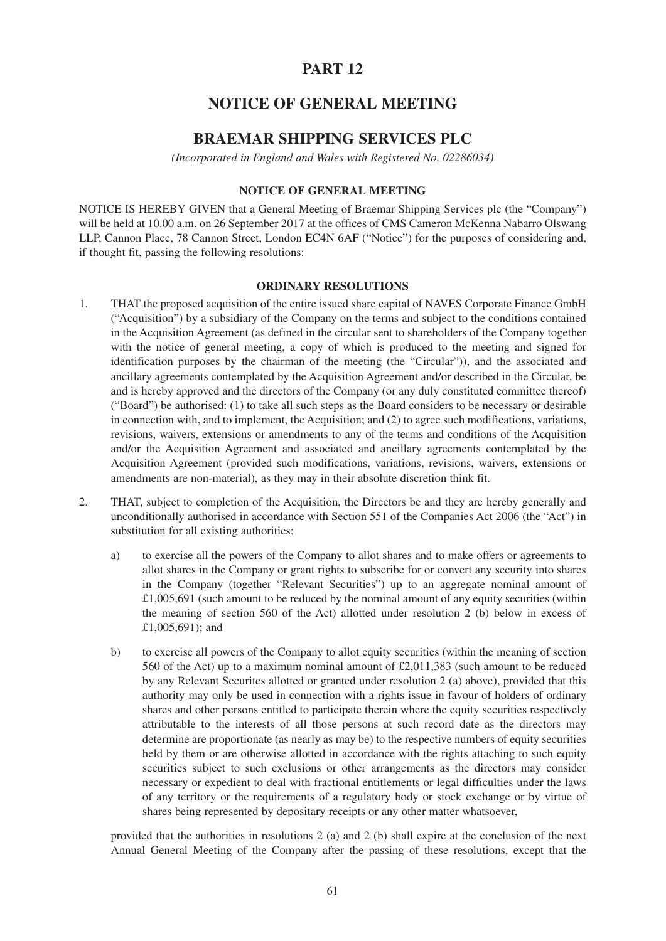# **NOTICE OF GENERAL MEETING**

# **BRAEMAR SHIPPING SERVICES PLC**

*(Incorporated in England and Wales with Registered No. 02286034)*

#### **NOTICE OF GENERAL MEETING**

NOTICE IS HEREBY GIVEN that a General Meeting of Braemar Shipping Services plc (the "Company") will be held at 10.00 a.m. on 26 September 2017 at the offices of CMS Cameron McKenna Nabarro Olswang LLP, Cannon Place, 78 Cannon Street, London EC4N 6AF ("Notice") for the purposes of considering and, if thought fit, passing the following resolutions:

#### **ORDINARY RESOLUTIONS**

- 1. THAT the proposed acquisition of the entire issued share capital of NAVES Corporate Finance GmbH ("Acquisition") by a subsidiary of the Company on the terms and subject to the conditions contained in the Acquisition Agreement (as defined in the circular sent to shareholders of the Company together with the notice of general meeting, a copy of which is produced to the meeting and signed for identification purposes by the chairman of the meeting (the "Circular")), and the associated and ancillary agreements contemplated by the Acquisition Agreement and/or described in the Circular, be and is hereby approved and the directors of the Company (or any duly constituted committee thereof) ("Board") be authorised: (1) to take all such steps as the Board considers to be necessary or desirable in connection with, and to implement, the Acquisition; and (2) to agree such modifications, variations, revisions, waivers, extensions or amendments to any of the terms and conditions of the Acquisition and/or the Acquisition Agreement and associated and ancillary agreements contemplated by the Acquisition Agreement (provided such modifications, variations, revisions, waivers, extensions or amendments are non-material), as they may in their absolute discretion think fit.
- 2. THAT, subject to completion of the Acquisition, the Directors be and they are hereby generally and unconditionally authorised in accordance with Section 551 of the Companies Act 2006 (the "Act") in substitution for all existing authorities:
	- a) to exercise all the powers of the Company to allot shares and to make offers or agreements to allot shares in the Company or grant rights to subscribe for or convert any security into shares in the Company (together "Relevant Securities") up to an aggregate nominal amount of  $£1,005,691$  (such amount to be reduced by the nominal amount of any equity securities (within the meaning of section 560 of the Act) allotted under resolution 2 (b) below in excess of £1,005,691); and
	- b) to exercise all powers of the Company to allot equity securities (within the meaning of section 560 of the Act) up to a maximum nominal amount of £2,011,383 (such amount to be reduced by any Relevant Securites allotted or granted under resolution 2 (a) above), provided that this authority may only be used in connection with a rights issue in favour of holders of ordinary shares and other persons entitled to participate therein where the equity securities respectively attributable to the interests of all those persons at such record date as the directors may determine are proportionate (as nearly as may be) to the respective numbers of equity securities held by them or are otherwise allotted in accordance with the rights attaching to such equity securities subject to such exclusions or other arrangements as the directors may consider necessary or expedient to deal with fractional entitlements or legal difficulties under the laws of any territory or the requirements of a regulatory body or stock exchange or by virtue of shares being represented by depositary receipts or any other matter whatsoever,

provided that the authorities in resolutions 2 (a) and 2 (b) shall expire at the conclusion of the next Annual General Meeting of the Company after the passing of these resolutions, except that the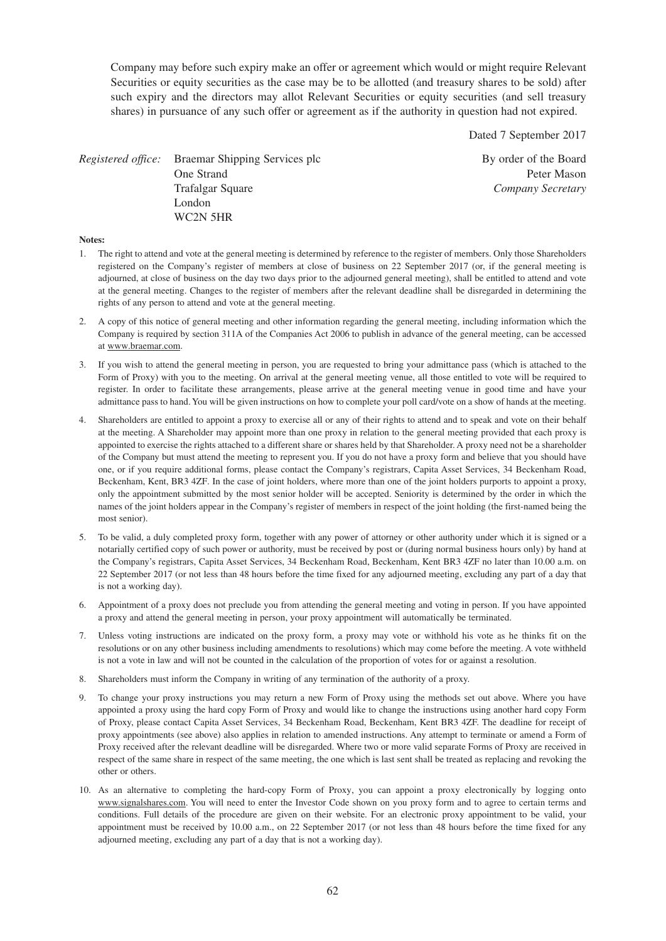Company may before such expiry make an offer or agreement which would or might require Relevant Securities or equity securities as the case may be to be allotted (and treasury shares to be sold) after such expiry and the directors may allot Relevant Securities or equity securities (and sell treasury shares) in pursuance of any such offer or agreement as if the authority in question had not expired.

Dated 7 September 2017

*Registered office:* Braemar Shipping Services plc By order of the Board One Strand Peter Mason Trafalgar Square *Company Secretary* London WC2N 5HR

#### **Notes:**

- 1. The right to attend and vote at the general meeting is determined by reference to the register of members. Only those Shareholders registered on the Company's register of members at close of business on 22 September 2017 (or, if the general meeting is adjourned, at close of business on the day two days prior to the adjourned general meeting), shall be entitled to attend and vote at the general meeting. Changes to the register of members after the relevant deadline shall be disregarded in determining the rights of any person to attend and vote at the general meeting.
- 2. A copy of this notice of general meeting and other information regarding the general meeting, including information which the Company is required by section 311A of the Companies Act 2006 to publish in advance of the general meeting, can be accessed at www.braemar.com.
- 3. If you wish to attend the general meeting in person, you are requested to bring your admittance pass (which is attached to the Form of Proxy) with you to the meeting. On arrival at the general meeting venue, all those entitled to vote will be required to register. In order to facilitate these arrangements, please arrive at the general meeting venue in good time and have your admittance pass to hand. You will be given instructions on how to complete your poll card/vote on a show of hands at the meeting.
- 4. Shareholders are entitled to appoint a proxy to exercise all or any of their rights to attend and to speak and vote on their behalf at the meeting. A Shareholder may appoint more than one proxy in relation to the general meeting provided that each proxy is appointed to exercise the rights attached to a different share or shares held by that Shareholder. A proxy need not be a shareholder of the Company but must attend the meeting to represent you. If you do not have a proxy form and believe that you should have one, or if you require additional forms, please contact the Company's registrars, Capita Asset Services, 34 Beckenham Road, Beckenham, Kent, BR3 4ZF. In the case of joint holders, where more than one of the joint holders purports to appoint a proxy, only the appointment submitted by the most senior holder will be accepted. Seniority is determined by the order in which the names of the joint holders appear in the Company's register of members in respect of the joint holding (the first-named being the most senior).
- 5. To be valid, a duly completed proxy form, together with any power of attorney or other authority under which it is signed or a notarially certified copy of such power or authority, must be received by post or (during normal business hours only) by hand at the Company's registrars, Capita Asset Services, 34 Beckenham Road, Beckenham, Kent BR3 4ZF no later than 10.00 a.m. on 22 September 2017 (or not less than 48 hours before the time fixed for any adjourned meeting, excluding any part of a day that is not a working day).
- 6. Appointment of a proxy does not preclude you from attending the general meeting and voting in person. If you have appointed a proxy and attend the general meeting in person, your proxy appointment will automatically be terminated.
- 7. Unless voting instructions are indicated on the proxy form, a proxy may vote or withhold his vote as he thinks fit on the resolutions or on any other business including amendments to resolutions) which may come before the meeting. A vote withheld is not a vote in law and will not be counted in the calculation of the proportion of votes for or against a resolution.
- 8. Shareholders must inform the Company in writing of any termination of the authority of a proxy.
- 9. To change your proxy instructions you may return a new Form of Proxy using the methods set out above. Where you have appointed a proxy using the hard copy Form of Proxy and would like to change the instructions using another hard copy Form of Proxy, please contact Capita Asset Services, 34 Beckenham Road, Beckenham, Kent BR3 4ZF. The deadline for receipt of proxy appointments (see above) also applies in relation to amended instructions. Any attempt to terminate or amend a Form of Proxy received after the relevant deadline will be disregarded. Where two or more valid separate Forms of Proxy are received in respect of the same share in respect of the same meeting, the one which is last sent shall be treated as replacing and revoking the other or others.
- 10. As an alternative to completing the hard-copy Form of Proxy, you can appoint a proxy electronically by logging onto www.signalshares.com. You will need to enter the Investor Code shown on you proxy form and to agree to certain terms and conditions. Full details of the procedure are given on their website. For an electronic proxy appointment to be valid, your appointment must be received by 10.00 a.m., on 22 September 2017 (or not less than 48 hours before the time fixed for any adjourned meeting, excluding any part of a day that is not a working day).